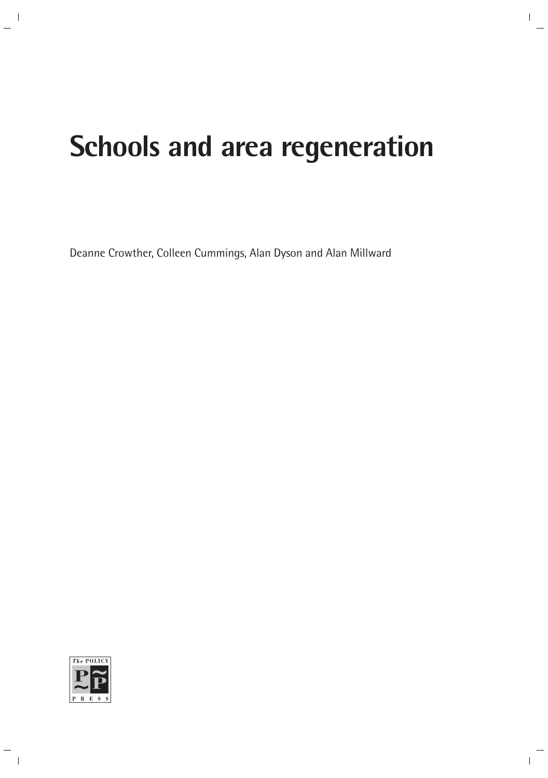# **Schools and area regeneration**

Deanne Crowther, Colleen Cummings, Alan Dyson and Alan Millward

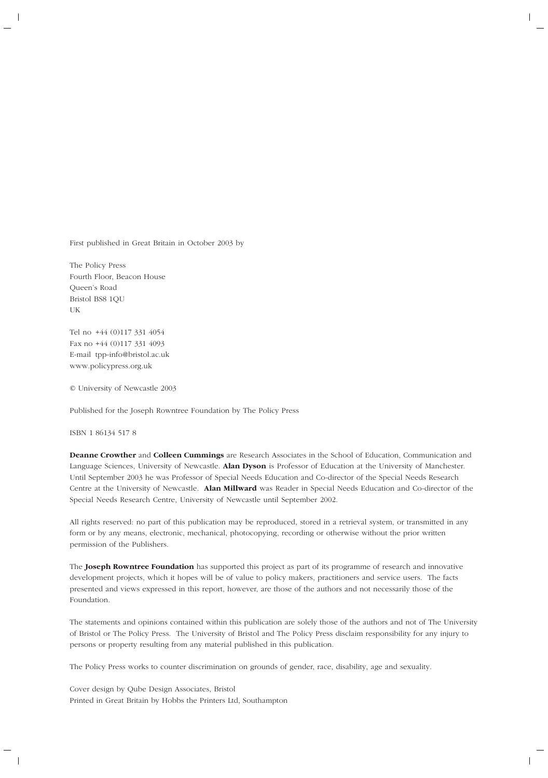First published in Great Britain in October 2003 by

The Policy Press Fourth Floor, Beacon House Queen's Road Bristol BS8 1QU UK

Tel no +44 (0)117 331 4054 Fax no +44 (0)117 331 4093 E-mail tpp-info@bristol.ac.uk www.policypress.org.uk

© University of Newcastle 2003

Published for the Joseph Rowntree Foundation by The Policy Press

ISBN 1 86134 517 8

**Deanne Crowther** and **Colleen Cummings** are Research Associates in the School of Education, Communication and Language Sciences, University of Newcastle. **Alan Dyson** is Professor of Education at the University of Manchester. Until September 2003 he was Professor of Special Needs Education and Co-director of the Special Needs Research Centre at the University of Newcastle. **Alan Millward** was Reader in Special Needs Education and Co-director of the Special Needs Research Centre, University of Newcastle until September 2002.

All rights reserved: no part of this publication may be reproduced, stored in a retrieval system, or transmitted in any form or by any means, electronic, mechanical, photocopying, recording or otherwise without the prior written permission of the Publishers.

The **Joseph Rowntree Foundation** has supported this project as part of its programme of research and innovative development projects, which it hopes will be of value to policy makers, practitioners and service users. The facts presented and views expressed in this report, however, are those of the authors and not necessarily those of the Foundation.

The statements and opinions contained within this publication are solely those of the authors and not of The University of Bristol or The Policy Press. The University of Bristol and The Policy Press disclaim responsibility for any injury to persons or property resulting from any material published in this publication.

The Policy Press works to counter discrimination on grounds of gender, race, disability, age and sexuality.

Cover design by Qube Design Associates, Bristol Printed in Great Britain by Hobbs the Printers Ltd, Southampton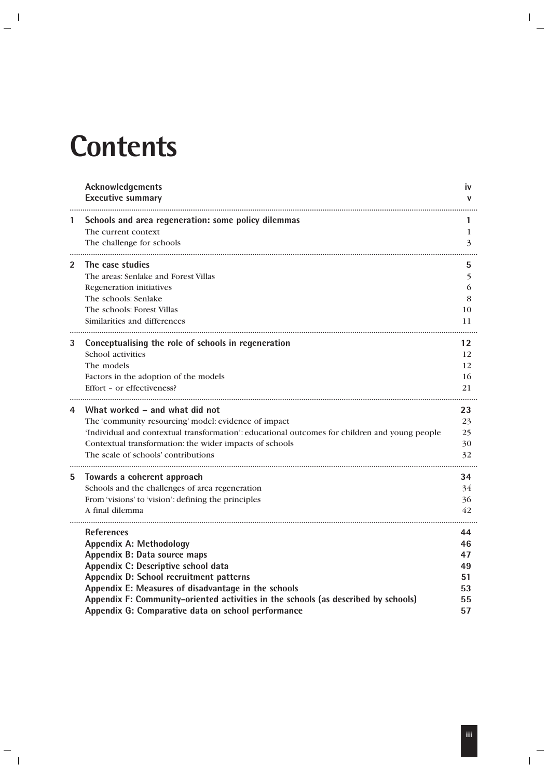# **Contents**

|              | Acknowledgements<br><b>Executive summary</b>                                                   | <b>iv</b><br>v |
|--------------|------------------------------------------------------------------------------------------------|----------------|
| 1            | Schools and area regeneration: some policy dilemmas                                            |                |
|              | The current context<br>The challenge for schools                                               | 1<br>3         |
| $\mathbf{2}$ | The case studies                                                                               | 5              |
|              | The areas: Senlake and Forest Villas                                                           | 5              |
|              | Regeneration initiatives                                                                       | 6              |
|              | The schools: Senlake                                                                           | 8              |
|              | The schools: Forest Villas                                                                     | 10             |
|              | Similarities and differences                                                                   | 11             |
| 3            | Conceptualising the role of schools in regeneration                                            | 12             |
|              | School activities                                                                              | 12             |
|              | The models                                                                                     | 12             |
|              | Factors in the adoption of the models                                                          | 16             |
|              | Effort - or effectiveness?                                                                     | 21             |
| 4            | What worked – and what did not                                                                 | 23             |
|              | The 'community resourcing' model: evidence of impact                                           | 23             |
|              | 'Individual and contextual transformation': educational outcomes for children and young people | 25             |
|              | Contextual transformation: the wider impacts of schools                                        | 30             |
|              | The scale of schools' contributions                                                            | 32             |
| 5            | Towards a coherent approach                                                                    | 34             |
|              | Schools and the challenges of area regeneration                                                | 34             |
|              | From 'visions' to 'vision': defining the principles                                            | 36             |
|              | A final dilemma                                                                                | 42             |
|              | <b>References</b>                                                                              | 44             |
|              | <b>Appendix A: Methodology</b>                                                                 | 46             |
|              | Appendix B: Data source maps                                                                   | 47             |
|              | Appendix C: Descriptive school data                                                            | 49             |
|              | Appendix D: School recruitment patterns                                                        | 51             |
|              | Appendix E: Measures of disadvantage in the schools                                            | 53             |
|              | Appendix F: Community-oriented activities in the schools (as described by schools)             | 55             |
|              | Appendix G: Comparative data on school performance                                             | 57             |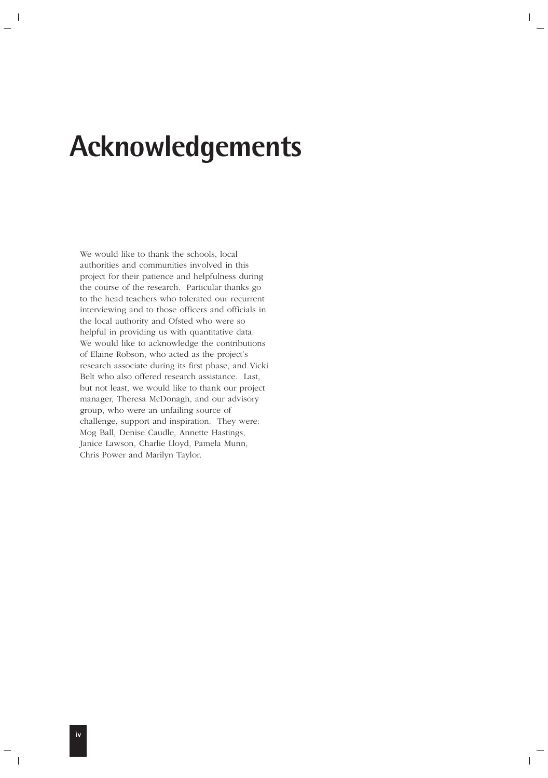# **Acknowledgements**

We would like to thank the schools, local authorities and communities involved in this project for their patience and helpfulness during the course of the research. Particular thanks go to the head teachers who tolerated our recurrent interviewing and to those officers and officials in the local authority and Ofsted who were so helpful in providing us with quantitative data. We would like to acknowledge the contributions of Elaine Robson, who acted as the project's research associate during its first phase, and Vicki Belt who also offered research assistance. Last, but not least, we would like to thank our project manager, Theresa McDonagh, and our advisory group, who were an unfailing source of challenge, support and inspiration. They were: Mog Ball, Denise Caudle, Annette Hastings, Janice Lawson, Charlie Lloyd, Pamela Munn, Chris Power and Marilyn Taylor.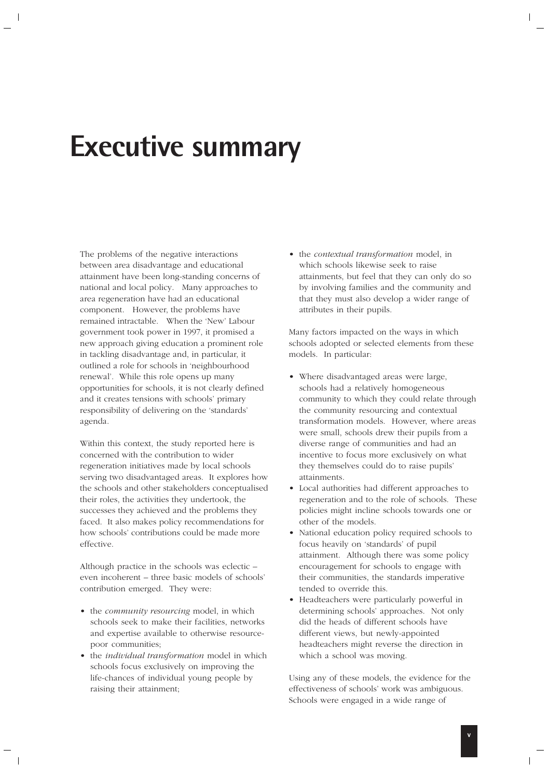# **Executive summary**

The problems of the negative interactions between area disadvantage and educational attainment have been long-standing concerns of national and local policy. Many approaches to area regeneration have had an educational component. However, the problems have remained intractable. When the 'New' Labour government took power in 1997, it promised a new approach giving education a prominent role in tackling disadvantage and, in particular, it outlined a role for schools in 'neighbourhood renewal'. While this role opens up many opportunities for schools, it is not clearly defined and it creates tensions with schools' primary responsibility of delivering on the 'standards' agenda.

Within this context, the study reported here is concerned with the contribution to wider regeneration initiatives made by local schools serving two disadvantaged areas. It explores how the schools and other stakeholders conceptualised their roles, the activities they undertook, the successes they achieved and the problems they faced. It also makes policy recommendations for how schools' contributions could be made more effective.

Although practice in the schools was eclectic – even incoherent – three basic models of schools' contribution emerged. They were:

- the *community resourcing* model, in which schools seek to make their facilities, networks and expertise available to otherwise resourcepoor communities;
- the *individual transformation* model in which schools focus exclusively on improving the life-chances of individual young people by raising their attainment;

• the *contextual transformation* model, in which schools likewise seek to raise attainments, but feel that they can only do so by involving families and the community and that they must also develop a wider range of attributes in their pupils.

Many factors impacted on the ways in which schools adopted or selected elements from these models. In particular:

- Where disadvantaged areas were large, schools had a relatively homogeneous community to which they could relate through the community resourcing and contextual transformation models. However, where areas were small, schools drew their pupils from a diverse range of communities and had an incentive to focus more exclusively on what they themselves could do to raise pupils' attainments.
- Local authorities had different approaches to regeneration and to the role of schools. These policies might incline schools towards one or other of the models.
- National education policy required schools to focus heavily on 'standards' of pupil attainment. Although there was some policy encouragement for schools to engage with their communities, the standards imperative tended to override this.
- Headteachers were particularly powerful in determining schools' approaches. Not only did the heads of different schools have different views, but newly-appointed headteachers might reverse the direction in which a school was moving.

Using any of these models, the evidence for the effectiveness of schools' work was ambiguous. Schools were engaged in a wide range of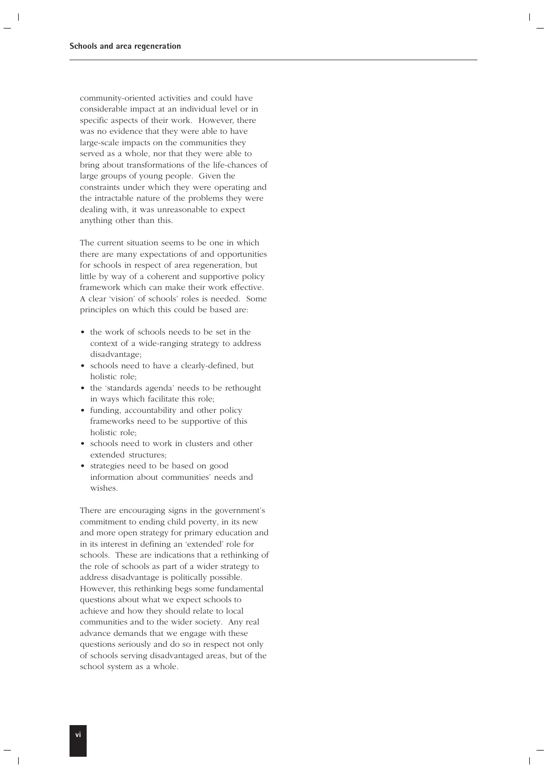community-oriented activities and could have considerable impact at an individual level or in specific aspects of their work. However, there was no evidence that they were able to have large-scale impacts on the communities they served as a whole, nor that they were able to bring about transformations of the life-chances of large groups of young people. Given the constraints under which they were operating and the intractable nature of the problems they were dealing with, it was unreasonable to expect anything other than this.

The current situation seems to be one in which there are many expectations of and opportunities for schools in respect of area regeneration, but little by way of a coherent and supportive policy framework which can make their work effective. A clear 'vision' of schools' roles is needed. Some principles on which this could be based are:

- the work of schools needs to be set in the context of a wide-ranging strategy to address disadvantage;
- schools need to have a clearly-defined, but holistic role;
- the 'standards agenda' needs to be rethought in ways which facilitate this role;
- funding, accountability and other policy frameworks need to be supportive of this holistic role;
- schools need to work in clusters and other extended structures;
- strategies need to be based on good information about communities' needs and wishes.

There are encouraging signs in the government's commitment to ending child poverty, in its new and more open strategy for primary education and in its interest in defining an 'extended' role for schools. These are indications that a rethinking of the role of schools as part of a wider strategy to address disadvantage is politically possible. However, this rethinking begs some fundamental questions about what we expect schools to achieve and how they should relate to local communities and to the wider society. Any real advance demands that we engage with these questions seriously and do so in respect not only of schools serving disadvantaged areas, but of the school system as a whole.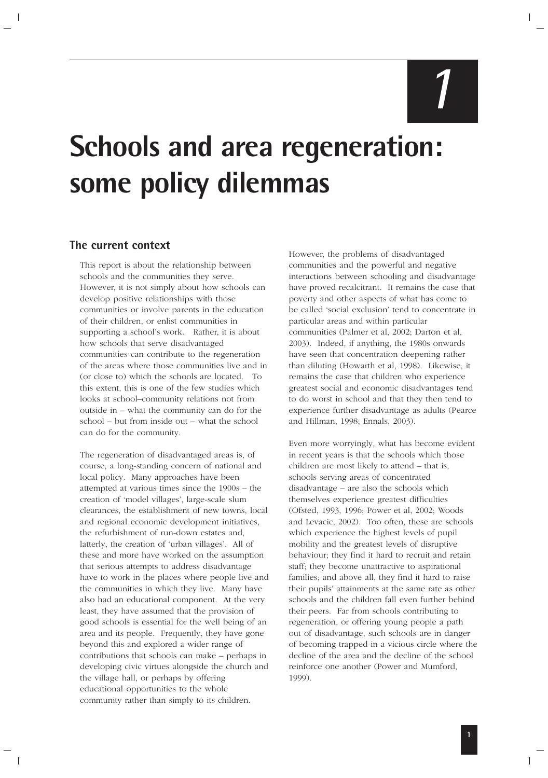# **Schools and area regeneration: some policy dilemmas**

### **The current context**

This report is about the relationship between schools and the communities they serve. However, it is not simply about how schools can develop positive relationships with those communities or involve parents in the education of their children, or enlist communities in supporting a school's work. Rather, it is about how schools that serve disadvantaged communities can contribute to the regeneration of the areas where those communities live and in (or close to) which the schools are located. To this extent, this is one of the few studies which looks at school–community relations not from outside in – what the community can do for the school – but from inside out – what the school can do for the community.

The regeneration of disadvantaged areas is, of course, a long-standing concern of national and local policy. Many approaches have been attempted at various times since the 1900s – the creation of 'model villages', large-scale slum clearances, the establishment of new towns, local and regional economic development initiatives, the refurbishment of run-down estates and, latterly, the creation of 'urban villages'. All of these and more have worked on the assumption that serious attempts to address disadvantage have to work in the places where people live and the communities in which they live. Many have also had an educational component. At the very least, they have assumed that the provision of good schools is essential for the well being of an area and its people. Frequently, they have gone beyond this and explored a wider range of contributions that schools can make – perhaps in developing civic virtues alongside the church and the village hall, or perhaps by offering educational opportunities to the whole community rather than simply to its children.

However, the problems of disadvantaged communities and the powerful and negative interactions between schooling and disadvantage have proved recalcitrant. It remains the case that poverty and other aspects of what has come to be called 'social exclusion' tend to concentrate in particular areas and within particular communities (Palmer et al, 2002; Darton et al, 2003). Indeed, if anything, the 1980s onwards have seen that concentration deepening rather than diluting (Howarth et al, 1998). Likewise, it remains the case that children who experience greatest social and economic disadvantages tend to do worst in school and that they then tend to experience further disadvantage as adults (Pearce and Hillman, 1998; Ennals, 2003).

Even more worryingly, what has become evident in recent years is that the schools which those children are most likely to attend – that is, schools serving areas of concentrated disadvantage – are also the schools which themselves experience greatest difficulties (Ofsted, 1993, 1996; Power et al, 2002; Woods and Levacic, 2002). Too often, these are schools which experience the highest levels of pupil mobility and the greatest levels of disruptive behaviour; they find it hard to recruit and retain staff; they become unattractive to aspirational families; and above all, they find it hard to raise their pupils' attainments at the same rate as other schools and the children fall even further behind their peers. Far from schools contributing to regeneration, or offering young people a path out of disadvantage, such schools are in danger of becoming trapped in a vicious circle where the decline of the area and the decline of the school reinforce one another (Power and Mumford, 1999).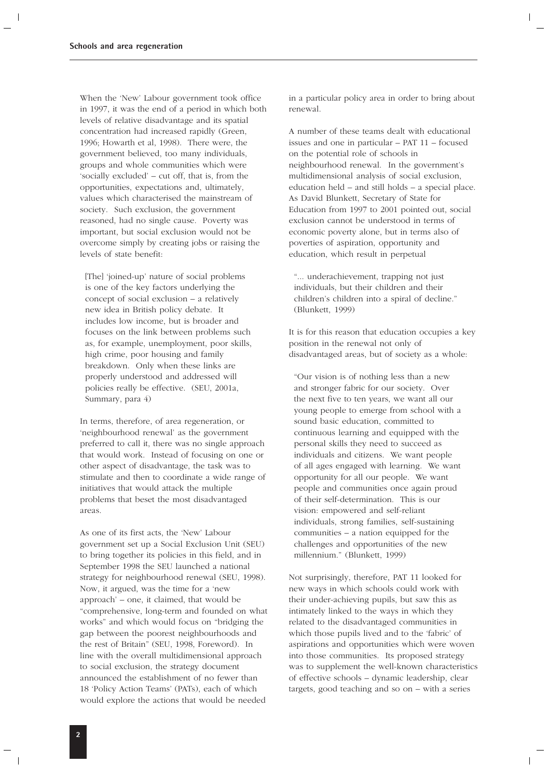When the 'New' Labour government took office in 1997, it was the end of a period in which both levels of relative disadvantage and its spatial concentration had increased rapidly (Green, 1996; Howarth et al, 1998). There were, the government believed, too many individuals, groups and whole communities which were 'socially excluded' – cut off, that is, from the opportunities, expectations and, ultimately, values which characterised the mainstream of society. Such exclusion, the government reasoned, had no single cause. Poverty was important, but social exclusion would not be overcome simply by creating jobs or raising the levels of state benefit:

[The] 'joined-up' nature of social problems is one of the key factors underlying the concept of social exclusion – a relatively new idea in British policy debate. It includes low income, but is broader and focuses on the link between problems such as, for example, unemployment, poor skills, high crime, poor housing and family breakdown. Only when these links are properly understood and addressed will policies really be effective. (SEU, 2001a, Summary, para 4)

In terms, therefore, of area regeneration, or 'neighbourhood renewal' as the government preferred to call it, there was no single approach that would work. Instead of focusing on one or other aspect of disadvantage, the task was to stimulate and then to coordinate a wide range of initiatives that would attack the multiple problems that beset the most disadvantaged areas.

As one of its first acts, the 'New' Labour government set up a Social Exclusion Unit (SEU) to bring together its policies in this field, and in September 1998 the SEU launched a national strategy for neighbourhood renewal (SEU, 1998). Now, it argued, was the time for a 'new approach' – one, it claimed, that would be "comprehensive, long-term and founded on what works" and which would focus on "bridging the gap between the poorest neighbourhoods and the rest of Britain" (SEU, 1998, Foreword). In line with the overall multidimensional approach to social exclusion, the strategy document announced the establishment of no fewer than 18 'Policy Action Teams' (PATs), each of which would explore the actions that would be needed

in a particular policy area in order to bring about renewal.

A number of these teams dealt with educational issues and one in particular – PAT 11 – focused on the potential role of schools in neighbourhood renewal. In the government's multidimensional analysis of social exclusion, education held – and still holds – a special place. As David Blunkett, Secretary of State for Education from 1997 to 2001 pointed out, social exclusion cannot be understood in terms of economic poverty alone, but in terms also of poverties of aspiration, opportunity and education, which result in perpetual

"... underachievement, trapping not just individuals, but their children and their children's children into a spiral of decline." (Blunkett, 1999)

It is for this reason that education occupies a key position in the renewal not only of disadvantaged areas, but of society as a whole:

"Our vision is of nothing less than a new and stronger fabric for our society. Over the next five to ten years, we want all our young people to emerge from school with a sound basic education, committed to continuous learning and equipped with the personal skills they need to succeed as individuals and citizens. We want people of all ages engaged with learning. We want opportunity for all our people. We want people and communities once again proud of their self-determination. This is our vision: empowered and self-reliant individuals, strong families, self-sustaining communities – a nation equipped for the challenges and opportunities of the new millennium." (Blunkett, 1999)

Not surprisingly, therefore, PAT 11 looked for new ways in which schools could work with their under-achieving pupils, but saw this as intimately linked to the ways in which they related to the disadvantaged communities in which those pupils lived and to the 'fabric' of aspirations and opportunities which were woven into those communities. Its proposed strategy was to supplement the well-known characteristics of effective schools – dynamic leadership, clear targets, good teaching and so on – with a series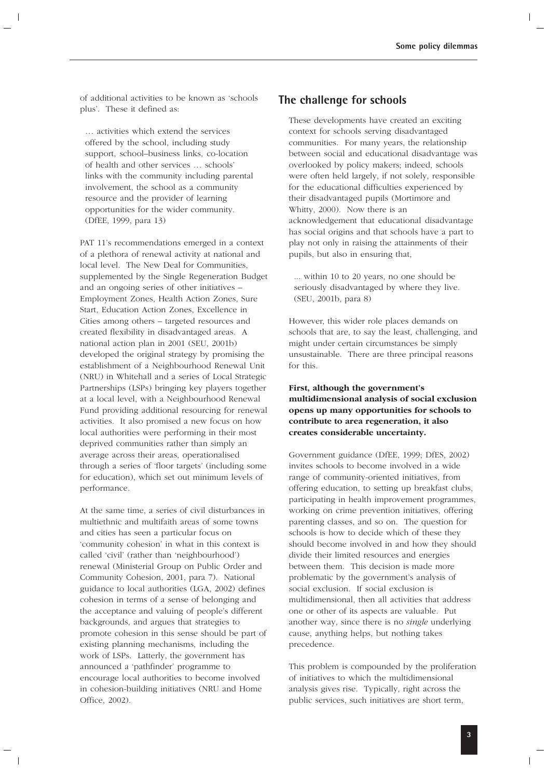of additional activities to be known as 'schools plus'. These it defined as:

… activities which extend the services offered by the school, including study support, school–business links, co-location of health and other services … schools' links with the community including parental involvement, the school as a community resource and the provider of learning opportunities for the wider community. (DfEE, 1999, para 13)

PAT 11's recommendations emerged in a context of a plethora of renewal activity at national and local level. The New Deal for Communities, supplemented by the Single Regeneration Budget and an ongoing series of other initiatives – Employment Zones, Health Action Zones, Sure Start, Education Action Zones, Excellence in Cities among others – targeted resources and created flexibility in disadvantaged areas. A national action plan in 2001 (SEU, 2001b) developed the original strategy by promising the establishment of a Neighbourhood Renewal Unit (NRU) in Whitehall and a series of Local Strategic Partnerships (LSPs) bringing key players together at a local level, with a Neighbourhood Renewal Fund providing additional resourcing for renewal activities. It also promised a new focus on how local authorities were performing in their most deprived communities rather than simply an average across their areas, operationalised through a series of 'floor targets' (including some for education), which set out minimum levels of performance.

At the same time, a series of civil disturbances in multiethnic and multifaith areas of some towns and cities has seen a particular focus on 'community cohesion' in what in this context is called 'civil' (rather than 'neighbourhood') renewal (Ministerial Group on Public Order and Community Cohesion, 2001, para 7). National guidance to local authorities (LGA, 2002) defines cohesion in terms of a sense of belonging and the acceptance and valuing of people's different backgrounds, and argues that strategies to promote cohesion in this sense should be part of existing planning mechanisms, including the work of LSPs. Latterly, the government has announced a 'pathfinder' programme to encourage local authorities to become involved in cohesion-building initiatives (NRU and Home Office, 2002).

### **The challenge for schools**

These developments have created an exciting context for schools serving disadvantaged communities. For many years, the relationship between social and educational disadvantage was overlooked by policy makers; indeed, schools were often held largely, if not solely, responsible for the educational difficulties experienced by their disadvantaged pupils (Mortimore and Whitty, 2000). Now there is an acknowledgement that educational disadvantage has social origins and that schools have a part to play not only in raising the attainments of their pupils, but also in ensuring that,

... within 10 to 20 years, no one should be seriously disadvantaged by where they live. (SEU, 2001b, para 8)

However, this wider role places demands on schools that are, to say the least, challenging, and might under certain circumstances be simply unsustainable. There are three principal reasons for this.

### **First, although the government's multidimensional analysis of social exclusion opens up many opportunities for schools to contribute to area regeneration, it also creates considerable uncertainty.**

Government guidance (DfEE, 1999; DfES, 2002) invites schools to become involved in a wide range of community-oriented initiatives, from offering education, to setting up breakfast clubs, participating in health improvement programmes, working on crime prevention initiatives, offering parenting classes, and so on. The question for schools is how to decide which of these they should become involved in and how they should divide their limited resources and energies between them. This decision is made more problematic by the government's analysis of social exclusion. If social exclusion is multidimensional, then all activities that address one or other of its aspects are valuable. Put another way, since there is no *single* underlying cause, anything helps, but nothing takes precedence.

This problem is compounded by the proliferation of initiatives to which the multidimensional analysis gives rise. Typically, right across the public services, such initiatives are short term,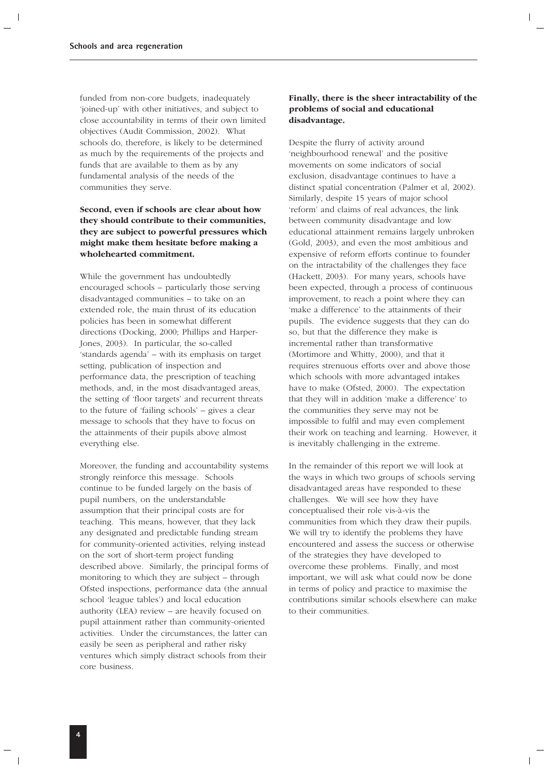funded from non-core budgets, inadequately 'joined-up' with other initiatives, and subject to close accountability in terms of their own limited objectives (Audit Commission, 2002). What schools do, therefore, is likely to be determined as much by the requirements of the projects and funds that are available to them as by any fundamental analysis of the needs of the communities they serve.

### **Second, even if schools are clear about how they should contribute to their communities, they are subject to powerful pressures which might make them hesitate before making a wholehearted commitment.**

While the government has undoubtedly encouraged schools – particularly those serving disadvantaged communities – to take on an extended role, the main thrust of its education policies has been in somewhat different directions (Docking, 2000; Phillips and Harper-Jones, 2003). In particular, the so-called 'standards agenda' – with its emphasis on target setting, publication of inspection and performance data, the prescription of teaching methods, and, in the most disadvantaged areas, the setting of 'floor targets' and recurrent threats to the future of 'failing schools' – gives a clear message to schools that they have to focus on the attainments of their pupils above almost everything else.

Moreover, the funding and accountability systems strongly reinforce this message. Schools continue to be funded largely on the basis of pupil numbers, on the understandable assumption that their principal costs are for teaching. This means, however, that they lack any designated and predictable funding stream for community-oriented activities, relying instead on the sort of short-term project funding described above. Similarly, the principal forms of monitoring to which they are subject – through Ofsted inspections, performance data (the annual school 'league tables') and local education authority (LEA) review – are heavily focused on pupil attainment rather than community-oriented activities. Under the circumstances, the latter can easily be seen as peripheral and rather risky ventures which simply distract schools from their core business.

### **Finally, there is the sheer intractability of the problems of social and educational disadvantage.**

Despite the flurry of activity around 'neighbourhood renewal' and the positive movements on some indicators of social exclusion, disadvantage continues to have a distinct spatial concentration (Palmer et al, 2002). Similarly, despite 15 years of major school 'reform' and claims of real advances, the link between community disadvantage and low educational attainment remains largely unbroken (Gold, 2003), and even the most ambitious and expensive of reform efforts continue to founder on the intractability of the challenges they face (Hackett, 2003). For many years, schools have been expected, through a process of continuous improvement, to reach a point where they can 'make a difference' to the attainments of their pupils. The evidence suggests that they can do so, but that the difference they make is incremental rather than transformative (Mortimore and Whitty, 2000), and that it requires strenuous efforts over and above those which schools with more advantaged intakes have to make (Ofsted, 2000). The expectation that they will in addition 'make a difference' to the communities they serve may not be impossible to fulfil and may even complement their work on teaching and learning. However, it is inevitably challenging in the extreme.

In the remainder of this report we will look at the ways in which two groups of schools serving disadvantaged areas have responded to these challenges. We will see how they have conceptualised their role vis-à-vis the communities from which they draw their pupils. We will try to identify the problems they have encountered and assess the success or otherwise of the strategies they have developed to overcome these problems. Finally, and most important, we will ask what could now be done in terms of policy and practice to maximise the contributions similar schools elsewhere can make to their communities.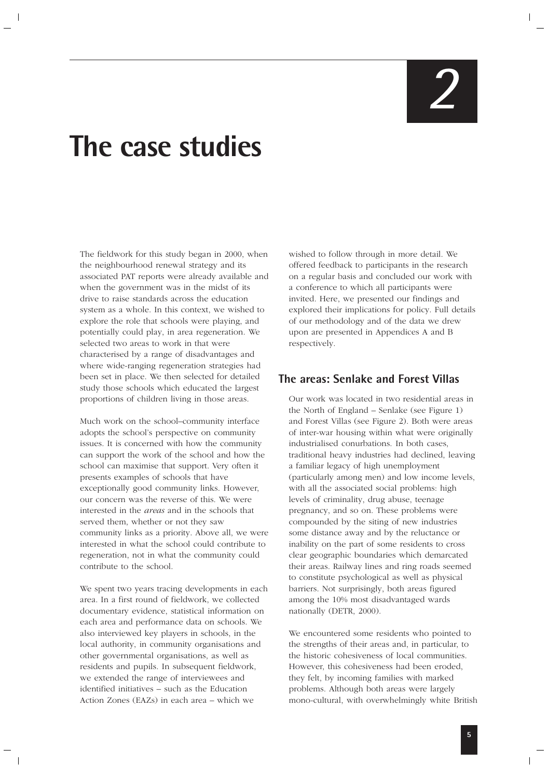# *2*

# **The case studies**

The fieldwork for this study began in 2000, when the neighbourhood renewal strategy and its associated PAT reports were already available and when the government was in the midst of its drive to raise standards across the education system as a whole. In this context, we wished to explore the role that schools were playing, and potentially could play, in area regeneration. We selected two areas to work in that were characterised by a range of disadvantages and where wide-ranging regeneration strategies had been set in place. We then selected for detailed study those schools which educated the largest proportions of children living in those areas.

Much work on the school–community interface adopts the school's perspective on community issues. It is concerned with how the community can support the work of the school and how the school can maximise that support. Very often it presents examples of schools that have exceptionally good community links. However, our concern was the reverse of this. We were interested in the *areas* and in the schools that served them, whether or not they saw community links as a priority. Above all, we were interested in what the school could contribute to regeneration, not in what the community could contribute to the school.

We spent two years tracing developments in each area. In a first round of fieldwork, we collected documentary evidence, statistical information on each area and performance data on schools. We also interviewed key players in schools, in the local authority, in community organisations and other governmental organisations, as well as residents and pupils. In subsequent fieldwork, we extended the range of interviewees and identified initiatives – such as the Education Action Zones (EAZs) in each area – which we

wished to follow through in more detail. We offered feedback to participants in the research on a regular basis and concluded our work with a conference to which all participants were invited. Here, we presented our findings and explored their implications for policy. Full details of our methodology and of the data we drew upon are presented in Appendices A and B respectively.

### **The areas: Senlake and Forest Villas**

Our work was located in two residential areas in the North of England – Senlake (see Figure 1) and Forest Villas (see Figure 2). Both were areas of inter-war housing within what were originally industrialised conurbations. In both cases, traditional heavy industries had declined, leaving a familiar legacy of high unemployment (particularly among men) and low income levels, with all the associated social problems: high levels of criminality, drug abuse, teenage pregnancy, and so on. These problems were compounded by the siting of new industries some distance away and by the reluctance or inability on the part of some residents to cross clear geographic boundaries which demarcated their areas. Railway lines and ring roads seemed to constitute psychological as well as physical barriers. Not surprisingly, both areas figured among the 10% most disadvantaged wards nationally (DETR, 2000).

We encountered some residents who pointed to the strengths of their areas and, in particular, to the historic cohesiveness of local communities. However, this cohesiveness had been eroded, they felt, by incoming families with marked problems. Although both areas were largely mono-cultural, with overwhelmingly white British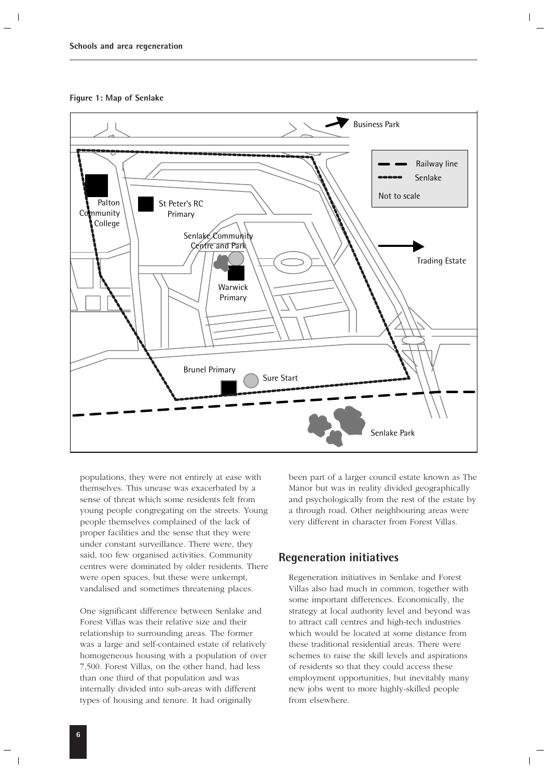**Figure 1: Map of Senlake**



populations, they were not entirely at ease with themselves. This unease was exacerbated by a sense of threat which some residents felt from young people congregating on the streets. Young people themselves complained of the lack of proper facilities and the sense that they were under constant surveillance. There were, they said, too few organised activities. Community centres were dominated by older residents. There were open spaces, but these were unkempt, vandalised and sometimes threatening places.

One significant difference between Senlake and Forest Villas was their relative size and their relationship to surrounding areas. The former was a large and self-contained estate of relatively homogeneous housing with a population of over 7,500. Forest Villas, on the other hand, had less than one third of that population and was internally divided into sub-areas with different types of housing and tenure. It had originally

been part of a larger council estate known as The Manor but was in reality divided geographically and psychologically from the rest of the estate by a through road. Other neighbouring areas were very different in character from Forest Villas.

### **Regeneration initiatives**

Regeneration initiatives in Senlake and Forest Villas also had much in common, together with some important differences. Economically, the strategy at local authority level and beyond was to attract call centres and high-tech industries which would be located at some distance from these traditional residential areas. There were schemes to raise the skill levels and aspirations of residents so that they could access these employment opportunities, but inevitably many new jobs went to more highly-skilled people from elsewhere.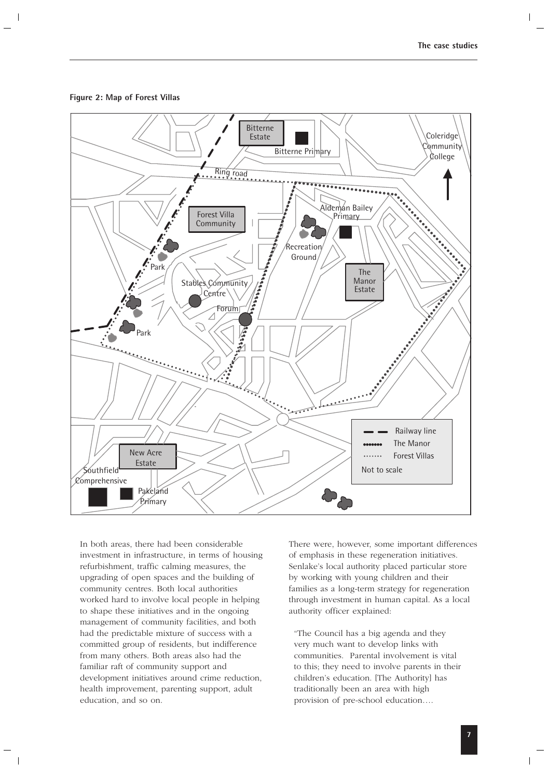



In both areas, there had been considerable investment in infrastructure, in terms of housing refurbishment, traffic calming measures, the upgrading of open spaces and the building of community centres. Both local authorities worked hard to involve local people in helping to shape these initiatives and in the ongoing management of community facilities, and both had the predictable mixture of success with a committed group of residents, but indifference from many others. Both areas also had the familiar raft of community support and development initiatives around crime reduction, health improvement, parenting support, adult education, and so on.

There were, however, some important differences of emphasis in these regeneration initiatives. Senlake's local authority placed particular store by working with young children and their families as a long-term strategy for regeneration through investment in human capital. As a local authority officer explained:

"The Council has a big agenda and they very much want to develop links with communities. Parental involvement is vital to this; they need to involve parents in their children's education. [The Authority] has traditionally been an area with high provision of pre-school education….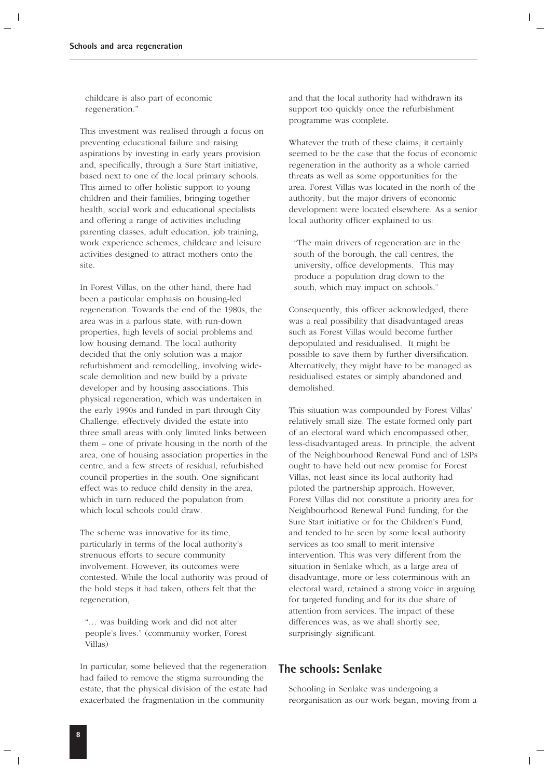childcare is also part of economic regeneration."

This investment was realised through a focus on preventing educational failure and raising aspirations by investing in early years provision and, specifically, through a Sure Start initiative, based next to one of the local primary schools. This aimed to offer holistic support to young children and their families, bringing together health, social work and educational specialists and offering a range of activities including parenting classes, adult education, job training, work experience schemes, childcare and leisure activities designed to attract mothers onto the site.

In Forest Villas, on the other hand, there had been a particular emphasis on housing-led regeneration. Towards the end of the 1980s, the area was in a parlous state, with run-down properties, high levels of social problems and low housing demand. The local authority decided that the only solution was a major refurbishment and remodelling, involving widescale demolition and new build by a private developer and by housing associations. This physical regeneration, which was undertaken in the early 1990s and funded in part through City Challenge, effectively divided the estate into three small areas with only limited links between them – one of private housing in the north of the area, one of housing association properties in the centre, and a few streets of residual, refurbished council properties in the south. One significant effect was to reduce child density in the area, which in turn reduced the population from which local schools could draw.

The scheme was innovative for its time, particularly in terms of the local authority's strenuous efforts to secure community involvement. However, its outcomes were contested. While the local authority was proud of the bold steps it had taken, others felt that the regeneration,

"… was building work and did not alter people's lives." (community worker, Forest Villas)

In particular, some believed that the regeneration had failed to remove the stigma surrounding the estate, that the physical division of the estate had exacerbated the fragmentation in the community

and that the local authority had withdrawn its support too quickly once the refurbishment programme was complete.

Whatever the truth of these claims, it certainly seemed to be the case that the focus of economic regeneration in the authority as a whole carried threats as well as some opportunities for the area. Forest Villas was located in the north of the authority, but the major drivers of economic development were located elsewhere. As a senior local authority officer explained to us:

"The main drivers of regeneration are in the south of the borough, the call centres, the university, office developments. This may produce a population drag down to the south, which may impact on schools."

Consequently, this officer acknowledged, there was a real possibility that disadvantaged areas such as Forest Villas would become further depopulated and residualised. It might be possible to save them by further diversification. Alternatively, they might have to be managed as residualised estates or simply abandoned and demolished.

This situation was compounded by Forest Villas' relatively small size. The estate formed only part of an electoral ward which encompassed other, less-disadvantaged areas. In principle, the advent of the Neighbourhood Renewal Fund and of LSPs ought to have held out new promise for Forest Villas, not least since its local authority had piloted the partnership approach. However, Forest Villas did not constitute a priority area for Neighbourhood Renewal Fund funding, for the Sure Start initiative or for the Children's Fund, and tended to be seen by some local authority services as too small to merit intensive intervention. This was very different from the situation in Senlake which, as a large area of disadvantage, more or less coterminous with an electoral ward, retained a strong voice in arguing for targeted funding and for its due share of attention from services. The impact of these differences was, as we shall shortly see, surprisingly significant.

### **The schools: Senlake**

Schooling in Senlake was undergoing a reorganisation as our work began, moving from a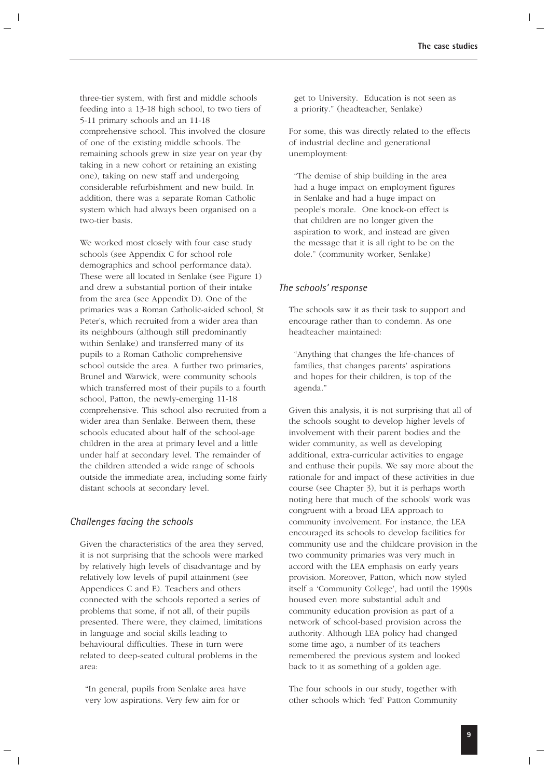three-tier system, with first and middle schools feeding into a 13-18 high school, to two tiers of 5-11 primary schools and an 11-18 comprehensive school. This involved the closure of one of the existing middle schools. The remaining schools grew in size year on year (by taking in a new cohort or retaining an existing one), taking on new staff and undergoing considerable refurbishment and new build. In addition, there was a separate Roman Catholic system which had always been organised on a two-tier basis.

We worked most closely with four case study schools (see Appendix C for school role demographics and school performance data). These were all located in Senlake (see Figure 1) and drew a substantial portion of their intake from the area (see Appendix D). One of the primaries was a Roman Catholic-aided school, St Peter's, which recruited from a wider area than its neighbours (although still predominantly within Senlake) and transferred many of its pupils to a Roman Catholic comprehensive school outside the area. A further two primaries, Brunel and Warwick, were community schools which transferred most of their pupils to a fourth school, Patton, the newly-emerging 11-18 comprehensive. This school also recruited from a wider area than Senlake. Between them, these schools educated about half of the school-age children in the area at primary level and a little under half at secondary level. The remainder of the children attended a wide range of schools outside the immediate area, including some fairly distant schools at secondary level.

### *Challenges facing the schools*

Given the characteristics of the area they served, it is not surprising that the schools were marked by relatively high levels of disadvantage and by relatively low levels of pupil attainment (see Appendices C and E). Teachers and others connected with the schools reported a series of problems that some, if not all, of their pupils presented. There were, they claimed, limitations in language and social skills leading to behavioural difficulties. These in turn were related to deep-seated cultural problems in the area:

"In general, pupils from Senlake area have very low aspirations. Very few aim for or

get to University. Education is not seen as a priority." (headteacher, Senlake)

For some, this was directly related to the effects of industrial decline and generational unemployment:

"The demise of ship building in the area had a huge impact on employment figures in Senlake and had a huge impact on people's morale. One knock-on effect is that children are no longer given the aspiration to work, and instead are given the message that it is all right to be on the dole." (community worker, Senlake)

### *The schools' response*

The schools saw it as their task to support and encourage rather than to condemn. As one headteacher maintained:

"Anything that changes the life-chances of families, that changes parents' aspirations and hopes for their children, is top of the agenda."

Given this analysis, it is not surprising that all of the schools sought to develop higher levels of involvement with their parent bodies and the wider community, as well as developing additional, extra-curricular activities to engage and enthuse their pupils. We say more about the rationale for and impact of these activities in due course (see Chapter 3), but it is perhaps worth noting here that much of the schools' work was congruent with a broad LEA approach to community involvement. For instance, the LEA encouraged its schools to develop facilities for community use and the childcare provision in the two community primaries was very much in accord with the LEA emphasis on early years provision. Moreover, Patton, which now styled itself a 'Community College', had until the 1990s housed even more substantial adult and community education provision as part of a network of school-based provision across the authority. Although LEA policy had changed some time ago, a number of its teachers remembered the previous system and looked back to it as something of a golden age.

The four schools in our study, together with other schools which 'fed' Patton Community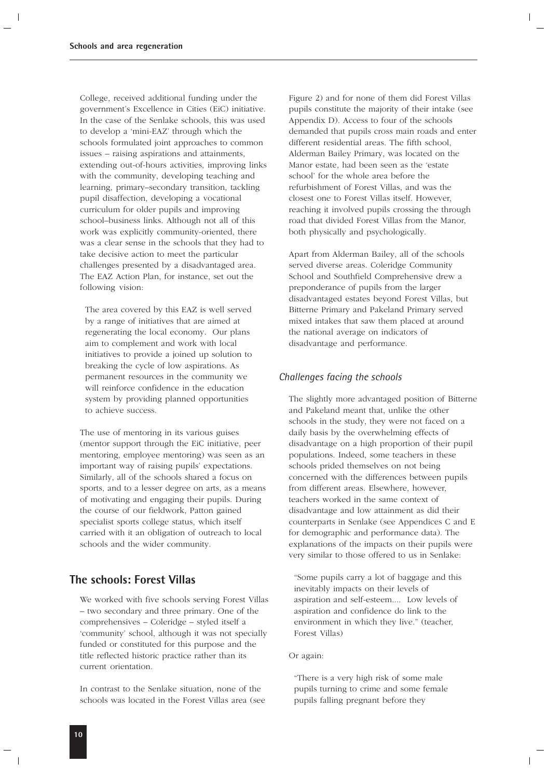College, received additional funding under the government's Excellence in Cities (EiC) initiative. In the case of the Senlake schools, this was used to develop a 'mini-EAZ' through which the schools formulated joint approaches to common issues – raising aspirations and attainments, extending out-of-hours activities, improving links with the community, developing teaching and learning, primary–secondary transition, tackling pupil disaffection, developing a vocational curriculum for older pupils and improving school–business links. Although not all of this work was explicitly community-oriented, there was a clear sense in the schools that they had to take decisive action to meet the particular challenges presented by a disadvantaged area. The EAZ Action Plan, for instance, set out the following vision:

The area covered by this EAZ is well served by a range of initiatives that are aimed at regenerating the local economy. Our plans aim to complement and work with local initiatives to provide a joined up solution to breaking the cycle of low aspirations. As permanent resources in the community we will reinforce confidence in the education system by providing planned opportunities to achieve success.

The use of mentoring in its various guises (mentor support through the EiC initiative, peer mentoring, employee mentoring) was seen as an important way of raising pupils' expectations. Similarly, all of the schools shared a focus on sports, and to a lesser degree on arts, as a means of motivating and engaging their pupils. During the course of our fieldwork, Patton gained specialist sports college status, which itself carried with it an obligation of outreach to local schools and the wider community.

### **The schools: Forest Villas**

We worked with five schools serving Forest Villas – two secondary and three primary. One of the comprehensives – Coleridge – styled itself a 'community' school, although it was not specially funded or constituted for this purpose and the title reflected historic practice rather than its current orientation.

In contrast to the Senlake situation, none of the schools was located in the Forest Villas area (see

Figure 2) and for none of them did Forest Villas pupils constitute the majority of their intake (see Appendix D). Access to four of the schools demanded that pupils cross main roads and enter different residential areas. The fifth school, Alderman Bailey Primary, was located on the Manor estate, had been seen as the 'estate school' for the whole area before the refurbishment of Forest Villas, and was the closest one to Forest Villas itself. However, reaching it involved pupils crossing the through road that divided Forest Villas from the Manor, both physically and psychologically.

Apart from Alderman Bailey, all of the schools served diverse areas. Coleridge Community School and Southfield Comprehensive drew a preponderance of pupils from the larger disadvantaged estates beyond Forest Villas, but Bitterne Primary and Pakeland Primary served mixed intakes that saw them placed at around the national average on indicators of disadvantage and performance.

### *Challenges facing the schools*

The slightly more advantaged position of Bitterne and Pakeland meant that, unlike the other schools in the study, they were not faced on a daily basis by the overwhelming effects of disadvantage on a high proportion of their pupil populations. Indeed, some teachers in these schools prided themselves on not being concerned with the differences between pupils from different areas. Elsewhere, however, teachers worked in the same context of disadvantage and low attainment as did their counterparts in Senlake (see Appendices C and E for demographic and performance data). The explanations of the impacts on their pupils were very similar to those offered to us in Senlake:

"Some pupils carry a lot of baggage and this inevitably impacts on their levels of aspiration and self-esteem.... Low levels of aspiration and confidence do link to the environment in which they live." (teacher, Forest Villas)

Or again:

"There is a very high risk of some male pupils turning to crime and some female pupils falling pregnant before they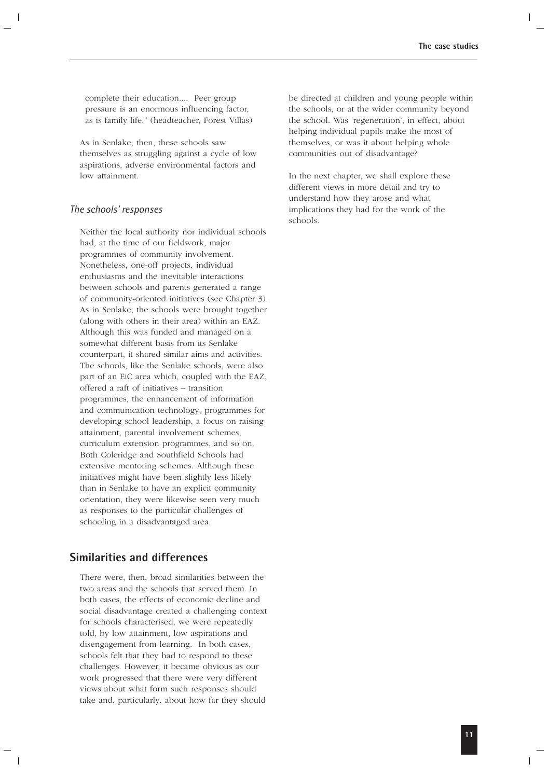complete their education.... Peer group pressure is an enormous influencing factor, as is family life." (headteacher, Forest Villas)

As in Senlake, then, these schools saw themselves as struggling against a cycle of low aspirations, adverse environmental factors and low attainment.

### *The schools' responses*

Neither the local authority nor individual schools had, at the time of our fieldwork, major programmes of community involvement. Nonetheless, one-off projects, individual enthusiasms and the inevitable interactions between schools and parents generated a range of community-oriented initiatives (see Chapter 3). As in Senlake, the schools were brought together (along with others in their area) within an EAZ. Although this was funded and managed on a somewhat different basis from its Senlake counterpart, it shared similar aims and activities. The schools, like the Senlake schools, were also part of an EiC area which, coupled with the EAZ, offered a raft of initiatives – transition programmes, the enhancement of information and communication technology, programmes for developing school leadership, a focus on raising attainment, parental involvement schemes, curriculum extension programmes, and so on. Both Coleridge and Southfield Schools had extensive mentoring schemes. Although these initiatives might have been slightly less likely than in Senlake to have an explicit community orientation, they were likewise seen very much as responses to the particular challenges of schooling in a disadvantaged area.

### **Similarities and differences**

There were, then, broad similarities between the two areas and the schools that served them. In both cases, the effects of economic decline and social disadvantage created a challenging context for schools characterised, we were repeatedly told, by low attainment, low aspirations and disengagement from learning. In both cases, schools felt that they had to respond to these challenges. However, it became obvious as our work progressed that there were very different views about what form such responses should take and, particularly, about how far they should

be directed at children and young people within the schools, or at the wider community beyond the school. Was 'regeneration', in effect, about helping individual pupils make the most of themselves, or was it about helping whole communities out of disadvantage?

In the next chapter, we shall explore these different views in more detail and try to understand how they arose and what implications they had for the work of the schools.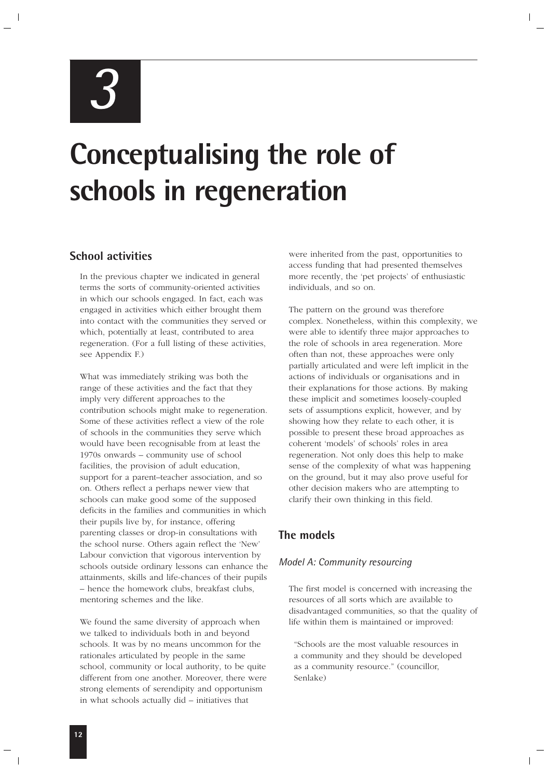*3*

# **Conceptualising the role of schools in regeneration**

### **School activities**

In the previous chapter we indicated in general terms the sorts of community-oriented activities in which our schools engaged. In fact, each was engaged in activities which either brought them into contact with the communities they served or which, potentially at least, contributed to area regeneration. (For a full listing of these activities, see Appendix F.)

What was immediately striking was both the range of these activities and the fact that they imply very different approaches to the contribution schools might make to regeneration. Some of these activities reflect a view of the role of schools in the communities they serve which would have been recognisable from at least the 1970s onwards – community use of school facilities, the provision of adult education, support for a parent–teacher association, and so on. Others reflect a perhaps newer view that schools can make good some of the supposed deficits in the families and communities in which their pupils live by, for instance, offering parenting classes or drop-in consultations with the school nurse. Others again reflect the 'New' Labour conviction that vigorous intervention by schools outside ordinary lessons can enhance the attainments, skills and life-chances of their pupils – hence the homework clubs, breakfast clubs, mentoring schemes and the like.

We found the same diversity of approach when we talked to individuals both in and beyond schools. It was by no means uncommon for the rationales articulated by people in the same school, community or local authority, to be quite different from one another. Moreover, there were strong elements of serendipity and opportunism in what schools actually did – initiatives that

were inherited from the past, opportunities to access funding that had presented themselves more recently, the 'pet projects' of enthusiastic individuals, and so on.

The pattern on the ground was therefore complex. Nonetheless, within this complexity, we were able to identify three major approaches to the role of schools in area regeneration. More often than not, these approaches were only partially articulated and were left implicit in the actions of individuals or organisations and in their explanations for those actions. By making these implicit and sometimes loosely-coupled sets of assumptions explicit, however, and by showing how they relate to each other, it is possible to present these broad approaches as coherent 'models' of schools' roles in area regeneration. Not only does this help to make sense of the complexity of what was happening on the ground, but it may also prove useful for other decision makers who are attempting to clarify their own thinking in this field.

### **The models**

### *Model A: Community resourcing*

The first model is concerned with increasing the resources of all sorts which are available to disadvantaged communities, so that the quality of life within them is maintained or improved:

"Schools are the most valuable resources in a community and they should be developed as a community resource." (councillor, Senlake)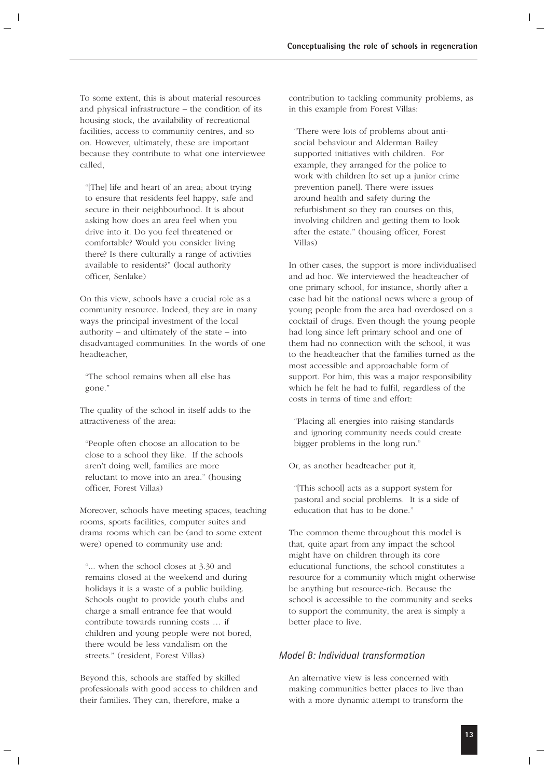To some extent, this is about material resources and physical infrastructure – the condition of its housing stock, the availability of recreational facilities, access to community centres, and so on. However, ultimately, these are important because they contribute to what one interviewee called,

"[The] life and heart of an area; about trying to ensure that residents feel happy, safe and secure in their neighbourhood. It is about asking how does an area feel when you drive into it. Do you feel threatened or comfortable? Would you consider living there? Is there culturally a range of activities available to residents?" (local authority officer, Senlake)

On this view, schools have a crucial role as a community resource. Indeed, they are in many ways the principal investment of the local authority – and ultimately of the state – into disadvantaged communities. In the words of one headteacher,

"The school remains when all else has gone."

The quality of the school in itself adds to the attractiveness of the area:

"People often choose an allocation to be close to a school they like. If the schools aren't doing well, families are more reluctant to move into an area." (housing officer, Forest Villas)

Moreover, schools have meeting spaces, teaching rooms, sports facilities, computer suites and drama rooms which can be (and to some extent were) opened to community use and:

"... when the school closes at 3.30 and remains closed at the weekend and during holidays it is a waste of a public building. Schools ought to provide youth clubs and charge a small entrance fee that would contribute towards running costs … if children and young people were not bored, there would be less vandalism on the streets." (resident, Forest Villas)

Beyond this, schools are staffed by skilled professionals with good access to children and their families. They can, therefore, make a

contribution to tackling community problems, as in this example from Forest Villas:

"There were lots of problems about antisocial behaviour and Alderman Bailey supported initiatives with children. For example, they arranged for the police to work with children [to set up a junior crime prevention panel]. There were issues around health and safety during the refurbishment so they ran courses on this, involving children and getting them to look after the estate." (housing officer, Forest Villas)

In other cases, the support is more individualised and ad hoc. We interviewed the headteacher of one primary school, for instance, shortly after a case had hit the national news where a group of young people from the area had overdosed on a cocktail of drugs. Even though the young people had long since left primary school and one of them had no connection with the school, it was to the headteacher that the families turned as the most accessible and approachable form of support. For him, this was a major responsibility which he felt he had to fulfil, regardless of the costs in terms of time and effort:

"Placing all energies into raising standards and ignoring community needs could create bigger problems in the long run."

Or, as another headteacher put it,

"[This school] acts as a support system for pastoral and social problems. It is a side of education that has to be done."

The common theme throughout this model is that, quite apart from any impact the school might have on children through its core educational functions, the school constitutes a resource for a community which might otherwise be anything but resource-rich. Because the school is accessible to the community and seeks to support the community, the area is simply a better place to live.

### *Model B: Individual transformation*

An alternative view is less concerned with making communities better places to live than with a more dynamic attempt to transform the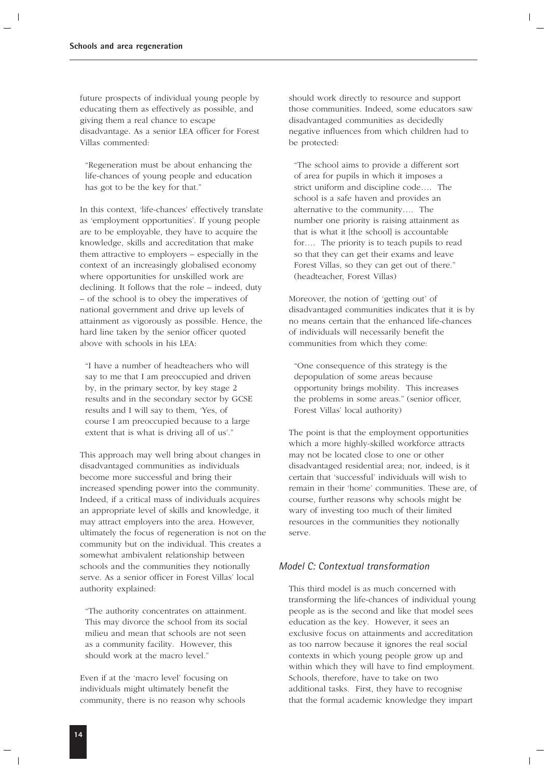future prospects of individual young people by educating them as effectively as possible, and giving them a real chance to escape disadvantage. As a senior LEA officer for Forest Villas commented:

"Regeneration must be about enhancing the life-chances of young people and education has got to be the key for that."

In this context, 'life-chances' effectively translate as 'employment opportunities'. If young people are to be employable, they have to acquire the knowledge, skills and accreditation that make them attractive to employers – especially in the context of an increasingly globalised economy where opportunities for unskilled work are declining. It follows that the role – indeed, duty – of the school is to obey the imperatives of national government and drive up levels of attainment as vigorously as possible. Hence, the hard line taken by the senior officer quoted above with schools in his LEA:

"I have a number of headteachers who will say to me that I am preoccupied and driven by, in the primary sector, by key stage 2 results and in the secondary sector by GCSE results and I will say to them, 'Yes, of course I am preoccupied because to a large extent that is what is driving all of us'."

This approach may well bring about changes in disadvantaged communities as individuals become more successful and bring their increased spending power into the community. Indeed, if a critical mass of individuals acquires an appropriate level of skills and knowledge, it may attract employers into the area. However, ultimately the focus of regeneration is not on the community but on the individual. This creates a somewhat ambivalent relationship between schools and the communities they notionally serve. As a senior officer in Forest Villas' local authority explained:

"The authority concentrates on attainment. This may divorce the school from its social milieu and mean that schools are not seen as a community facility. However, this should work at the macro level."

Even if at the 'macro level' focusing on individuals might ultimately benefit the community, there is no reason why schools should work directly to resource and support those communities. Indeed, some educators saw disadvantaged communities as decidedly negative influences from which children had to be protected:

"The school aims to provide a different sort of area for pupils in which it imposes a strict uniform and discipline code…. The school is a safe haven and provides an alternative to the community…. The number one priority is raising attainment as that is what it [the school] is accountable for…. The priority is to teach pupils to read so that they can get their exams and leave Forest Villas, so they can get out of there." (headteacher, Forest Villas)

Moreover, the notion of 'getting out' of disadvantaged communities indicates that it is by no means certain that the enhanced life-chances of individuals will necessarily benefit the communities from which they come:

"One consequence of this strategy is the depopulation of some areas because opportunity brings mobility. This increases the problems in some areas." (senior officer, Forest Villas' local authority)

The point is that the employment opportunities which a more highly-skilled workforce attracts may not be located close to one or other disadvantaged residential area; nor, indeed, is it certain that 'successful' individuals will wish to remain in their 'home' communities. These are, of course, further reasons why schools might be wary of investing too much of their limited resources in the communities they notionally serve.

### *Model C: Contextual transformation*

This third model is as much concerned with transforming the life-chances of individual young people as is the second and like that model sees education as the key. However, it sees an exclusive focus on attainments and accreditation as too narrow because it ignores the real social contexts in which young people grow up and within which they will have to find employment. Schools, therefore, have to take on two additional tasks. First, they have to recognise that the formal academic knowledge they impart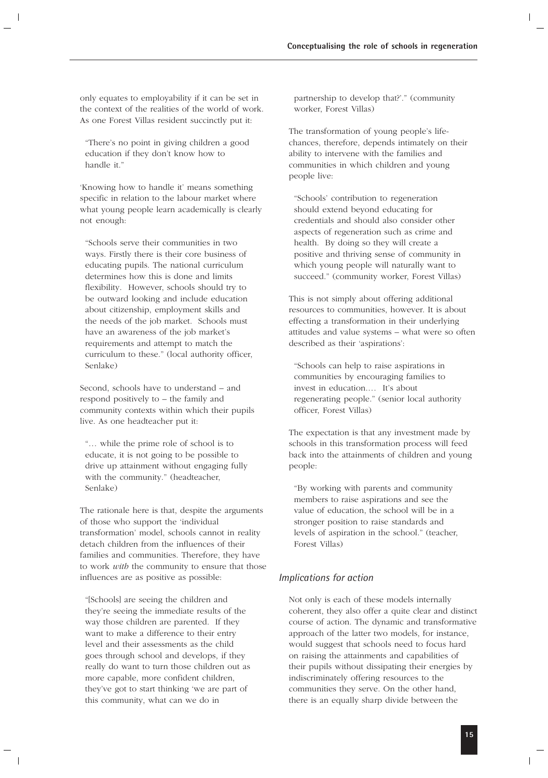only equates to employability if it can be set in the context of the realities of the world of work. As one Forest Villas resident succinctly put it:

"There's no point in giving children a good education if they don't know how to handle it."

'Knowing how to handle it' means something specific in relation to the labour market where what young people learn academically is clearly not enough:

"Schools serve their communities in two ways. Firstly there is their core business of educating pupils. The national curriculum determines how this is done and limits flexibility. However, schools should try to be outward looking and include education about citizenship, employment skills and the needs of the job market. Schools must have an awareness of the job market's requirements and attempt to match the curriculum to these." (local authority officer, Senlake)

Second, schools have to understand – and respond positively to – the family and community contexts within which their pupils live. As one headteacher put it:

"… while the prime role of school is to educate, it is not going to be possible to drive up attainment without engaging fully with the community." (headteacher, Senlake)

The rationale here is that, despite the arguments of those who support the 'individual transformation' model, schools cannot in reality detach children from the influences of their families and communities. Therefore, they have to work *with* the community to ensure that those influences are as positive as possible:

"[Schools] are seeing the children and they're seeing the immediate results of the way those children are parented. If they want to make a difference to their entry level and their assessments as the child goes through school and develops, if they really do want to turn those children out as more capable, more confident children, they've got to start thinking 'we are part of this community, what can we do in

partnership to develop that?'." (community worker, Forest Villas)

The transformation of young people's lifechances, therefore, depends intimately on their ability to intervene with the families and communities in which children and young people live:

"Schools' contribution to regeneration should extend beyond educating for credentials and should also consider other aspects of regeneration such as crime and health. By doing so they will create a positive and thriving sense of community in which young people will naturally want to succeed." (community worker, Forest Villas)

This is not simply about offering additional resources to communities, however. It is about effecting a transformation in their underlying attitudes and value systems – what were so often described as their 'aspirations':

"Schools can help to raise aspirations in communities by encouraging families to invest in education.… It's about regenerating people." (senior local authority officer, Forest Villas)

The expectation is that any investment made by schools in this transformation process will feed back into the attainments of children and young people:

"By working with parents and community members to raise aspirations and see the value of education, the school will be in a stronger position to raise standards and levels of aspiration in the school." (teacher, Forest Villas)

### *Implications for action*

Not only is each of these models internally coherent, they also offer a quite clear and distinct course of action. The dynamic and transformative approach of the latter two models, for instance, would suggest that schools need to focus hard on raising the attainments and capabilities of their pupils without dissipating their energies by indiscriminately offering resources to the communities they serve. On the other hand, there is an equally sharp divide between the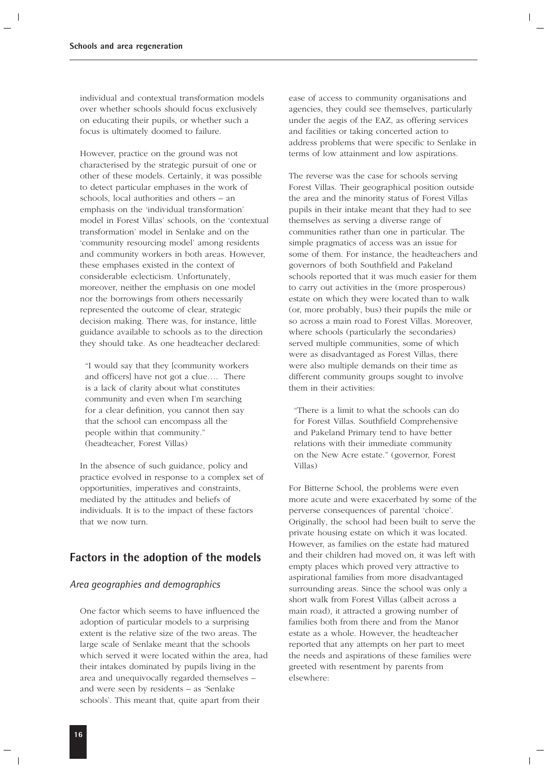individual and contextual transformation models over whether schools should focus exclusively on educating their pupils, or whether such a focus is ultimately doomed to failure.

However, practice on the ground was not characterised by the strategic pursuit of one or other of these models. Certainly, it was possible to detect particular emphases in the work of schools, local authorities and others – an emphasis on the 'individual transformation' model in Forest Villas' schools, on the 'contextual transformation' model in Senlake and on the 'community resourcing model' among residents and community workers in both areas. However, these emphases existed in the context of considerable eclecticism. Unfortunately, moreover, neither the emphasis on one model nor the borrowings from others necessarily represented the outcome of clear, strategic decision making. There was, for instance, little guidance available to schools as to the direction they should take. As one headteacher declared:

"I would say that they [community workers and officers] have not got a clue…. There is a lack of clarity about what constitutes community and even when I'm searching for a clear definition, you cannot then say that the school can encompass all the people within that community." (headteacher, Forest Villas)

In the absence of such guidance, policy and practice evolved in response to a complex set of opportunities, imperatives and constraints, mediated by the attitudes and beliefs of individuals. It is to the impact of these factors that we now turn.

### **Factors in the adoption of the models**

### *Area geographies and demographics*

One factor which seems to have influenced the adoption of particular models to a surprising extent is the relative size of the two areas. The large scale of Senlake meant that the schools which served it were located within the area, had their intakes dominated by pupils living in the area and unequivocally regarded themselves – and were seen by residents – as 'Senlake schools'. This meant that, quite apart from their

ease of access to community organisations and agencies, they could see themselves, particularly under the aegis of the EAZ, as offering services and facilities or taking concerted action to address problems that were specific to Senlake in terms of low attainment and low aspirations.

The reverse was the case for schools serving Forest Villas. Their geographical position outside the area and the minority status of Forest Villas pupils in their intake meant that they had to see themselves as serving a diverse range of communities rather than one in particular. The simple pragmatics of access was an issue for some of them. For instance, the headteachers and governors of both Southfield and Pakeland schools reported that it was much easier for them to carry out activities in the (more prosperous) estate on which they were located than to walk (or, more probably, bus) their pupils the mile or so across a main road to Forest Villas. Moreover, where schools (particularly the secondaries) served multiple communities, some of which were as disadvantaged as Forest Villas, there were also multiple demands on their time as different community groups sought to involve them in their activities:

"There is a limit to what the schools can do for Forest Villas. Southfield Comprehensive and Pakeland Primary tend to have better relations with their immediate community on the New Acre estate." (governor, Forest Villas)

For Bitterne School, the problems were even more acute and were exacerbated by some of the perverse consequences of parental 'choice'. Originally, the school had been built to serve the private housing estate on which it was located. However, as families on the estate had matured and their children had moved on, it was left with empty places which proved very attractive to aspirational families from more disadvantaged surrounding areas. Since the school was only a short walk from Forest Villas (albeit across a main road), it attracted a growing number of families both from there and from the Manor estate as a whole. However, the headteacher reported that any attempts on her part to meet the needs and aspirations of these families were greeted with resentment by parents from elsewhere: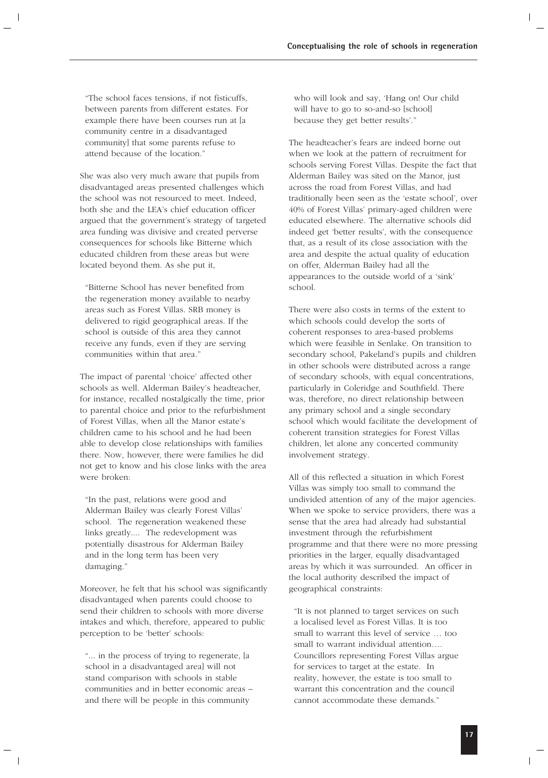"The school faces tensions, if not fisticuffs, between parents from different estates. For example there have been courses run at [a community centre in a disadvantaged community] that some parents refuse to attend because of the location."

She was also very much aware that pupils from disadvantaged areas presented challenges which the school was not resourced to meet. Indeed, both she and the LEA's chief education officer argued that the government's strategy of targeted area funding was divisive and created perverse consequences for schools like Bitterne which educated children from these areas but were located beyond them. As she put it,

"Bitterne School has never benefited from the regeneration money available to nearby areas such as Forest Villas. SRB money is delivered to rigid geographical areas. If the school is outside of this area they cannot receive any funds, even if they are serving communities within that area."

The impact of parental 'choice' affected other schools as well. Alderman Bailey's headteacher, for instance, recalled nostalgically the time, prior to parental choice and prior to the refurbishment of Forest Villas, when all the Manor estate's children came to his school and he had been able to develop close relationships with families there. Now, however, there were families he did not get to know and his close links with the area were broken:

"In the past, relations were good and Alderman Bailey was clearly Forest Villas' school. The regeneration weakened these links greatly.... The redevelopment was potentially disastrous for Alderman Bailey and in the long term has been very damaging."

Moreover, he felt that his school was significantly disadvantaged when parents could choose to send their children to schools with more diverse intakes and which, therefore, appeared to public perception to be 'better' schools:

"... in the process of trying to regenerate, [a school in a disadvantaged area] will not stand comparison with schools in stable communities and in better economic areas – and there will be people in this community

who will look and say, 'Hang on! Our child will have to go to so-and-so [school] because they get better results'."

The headteacher's fears are indeed borne out when we look at the pattern of recruitment for schools serving Forest Villas. Despite the fact that Alderman Bailey was sited on the Manor, just across the road from Forest Villas, and had traditionally been seen as the 'estate school', over 40% of Forest Villas' primary-aged children were educated elsewhere. The alternative schools did indeed get 'better results', with the consequence that, as a result of its close association with the area and despite the actual quality of education on offer, Alderman Bailey had all the appearances to the outside world of a 'sink' school.

There were also costs in terms of the extent to which schools could develop the sorts of coherent responses to area-based problems which were feasible in Senlake. On transition to secondary school, Pakeland's pupils and children in other schools were distributed across a range of secondary schools, with equal concentrations, particularly in Coleridge and Southfield. There was, therefore, no direct relationship between any primary school and a single secondary school which would facilitate the development of coherent transition strategies for Forest Villas children, let alone any concerted community involvement strategy.

All of this reflected a situation in which Forest Villas was simply too small to command the undivided attention of any of the major agencies. When we spoke to service providers, there was a sense that the area had already had substantial investment through the refurbishment programme and that there were no more pressing priorities in the larger, equally disadvantaged areas by which it was surrounded. An officer in the local authority described the impact of geographical constraints:

"It is not planned to target services on such a localised level as Forest Villas. It is too small to warrant this level of service … too small to warrant individual attention…. Councillors representing Forest Villas argue for services to target at the estate. In reality, however, the estate is too small to warrant this concentration and the council cannot accommodate these demands."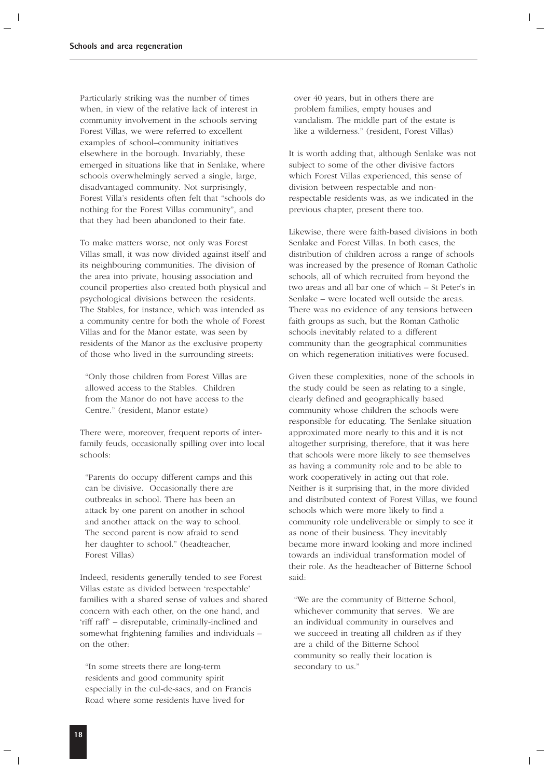Particularly striking was the number of times when, in view of the relative lack of interest in community involvement in the schools serving Forest Villas, we were referred to excellent examples of school–community initiatives elsewhere in the borough. Invariably, these emerged in situations like that in Senlake, where schools overwhelmingly served a single, large, disadvantaged community. Not surprisingly, Forest Villa's residents often felt that "schools do nothing for the Forest Villas community", and that they had been abandoned to their fate.

To make matters worse, not only was Forest Villas small, it was now divided against itself and its neighbouring communities. The division of the area into private, housing association and council properties also created both physical and psychological divisions between the residents. The Stables, for instance, which was intended as a community centre for both the whole of Forest Villas and for the Manor estate, was seen by residents of the Manor as the exclusive property of those who lived in the surrounding streets:

"Only those children from Forest Villas are allowed access to the Stables. Children from the Manor do not have access to the Centre." (resident, Manor estate)

There were, moreover, frequent reports of interfamily feuds, occasionally spilling over into local schools:

"Parents do occupy different camps and this can be divisive. Occasionally there are outbreaks in school. There has been an attack by one parent on another in school and another attack on the way to school. The second parent is now afraid to send her daughter to school." (headteacher, Forest Villas)

Indeed, residents generally tended to see Forest Villas estate as divided between 'respectable' families with a shared sense of values and shared concern with each other, on the one hand, and 'riff raff' – disreputable, criminally-inclined and somewhat frightening families and individuals – on the other:

"In some streets there are long-term residents and good community spirit especially in the cul-de-sacs, and on Francis Road where some residents have lived for

over 40 years, but in others there are problem families, empty houses and vandalism. The middle part of the estate is like a wilderness." (resident, Forest Villas)

It is worth adding that, although Senlake was not subject to some of the other divisive factors which Forest Villas experienced, this sense of division between respectable and nonrespectable residents was, as we indicated in the previous chapter, present there too.

Likewise, there were faith-based divisions in both Senlake and Forest Villas. In both cases, the distribution of children across a range of schools was increased by the presence of Roman Catholic schools, all of which recruited from beyond the two areas and all bar one of which – St Peter's in Senlake – were located well outside the areas. There was no evidence of any tensions between faith groups as such, but the Roman Catholic schools inevitably related to a different community than the geographical communities on which regeneration initiatives were focused.

Given these complexities, none of the schools in the study could be seen as relating to a single, clearly defined and geographically based community whose children the schools were responsible for educating. The Senlake situation approximated more nearly to this and it is not altogether surprising, therefore, that it was here that schools were more likely to see themselves as having a community role and to be able to work cooperatively in acting out that role. Neither is it surprising that, in the more divided and distributed context of Forest Villas, we found schools which were more likely to find a community role undeliverable or simply to see it as none of their business. They inevitably became more inward looking and more inclined towards an individual transformation model of their role. As the headteacher of Bitterne School said:

"We are the community of Bitterne School, whichever community that serves. We are an individual community in ourselves and we succeed in treating all children as if they are a child of the Bitterne School community so really their location is secondary to us."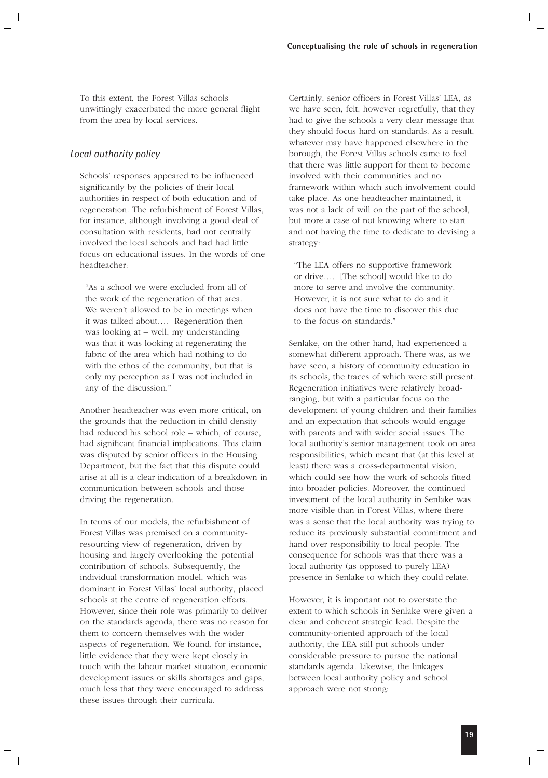To this extent, the Forest Villas schools unwittingly exacerbated the more general flight from the area by local services.

### *Local authority policy*

Schools' responses appeared to be influenced significantly by the policies of their local authorities in respect of both education and of regeneration. The refurbishment of Forest Villas, for instance, although involving a good deal of consultation with residents, had not centrally involved the local schools and had had little focus on educational issues. In the words of one headteacher:

"As a school we were excluded from all of the work of the regeneration of that area. We weren't allowed to be in meetings when it was talked about…. Regeneration then was looking at – well, my understanding was that it was looking at regenerating the fabric of the area which had nothing to do with the ethos of the community, but that is only my perception as I was not included in any of the discussion."

Another headteacher was even more critical, on the grounds that the reduction in child density had reduced his school role – which, of course, had significant financial implications. This claim was disputed by senior officers in the Housing Department, but the fact that this dispute could arise at all is a clear indication of a breakdown in communication between schools and those driving the regeneration.

In terms of our models, the refurbishment of Forest Villas was premised on a communityresourcing view of regeneration, driven by housing and largely overlooking the potential contribution of schools. Subsequently, the individual transformation model, which was dominant in Forest Villas' local authority, placed schools at the centre of regeneration efforts. However, since their role was primarily to deliver on the standards agenda, there was no reason for them to concern themselves with the wider aspects of regeneration. We found, for instance, little evidence that they were kept closely in touch with the labour market situation, economic development issues or skills shortages and gaps, much less that they were encouraged to address these issues through their curricula.

Certainly, senior officers in Forest Villas' LEA, as we have seen, felt, however regretfully, that they had to give the schools a very clear message that they should focus hard on standards. As a result, whatever may have happened elsewhere in the borough, the Forest Villas schools came to feel that there was little support for them to become involved with their communities and no framework within which such involvement could take place. As one headteacher maintained, it was not a lack of will on the part of the school, but more a case of not knowing where to start and not having the time to dedicate to devising a strategy:

"The LEA offers no supportive framework or drive…. [The school] would like to do more to serve and involve the community. However, it is not sure what to do and it does not have the time to discover this due to the focus on standards."

Senlake, on the other hand, had experienced a somewhat different approach. There was, as we have seen, a history of community education in its schools, the traces of which were still present. Regeneration initiatives were relatively broadranging, but with a particular focus on the development of young children and their families and an expectation that schools would engage with parents and with wider social issues. The local authority's senior management took on area responsibilities, which meant that (at this level at least) there was a cross-departmental vision, which could see how the work of schools fitted into broader policies. Moreover, the continued investment of the local authority in Senlake was more visible than in Forest Villas, where there was a sense that the local authority was trying to reduce its previously substantial commitment and hand over responsibility to local people. The consequence for schools was that there was a local authority (as opposed to purely LEA) presence in Senlake to which they could relate.

However, it is important not to overstate the extent to which schools in Senlake were given a clear and coherent strategic lead. Despite the community-oriented approach of the local authority, the LEA still put schools under considerable pressure to pursue the national standards agenda. Likewise, the linkages between local authority policy and school approach were not strong: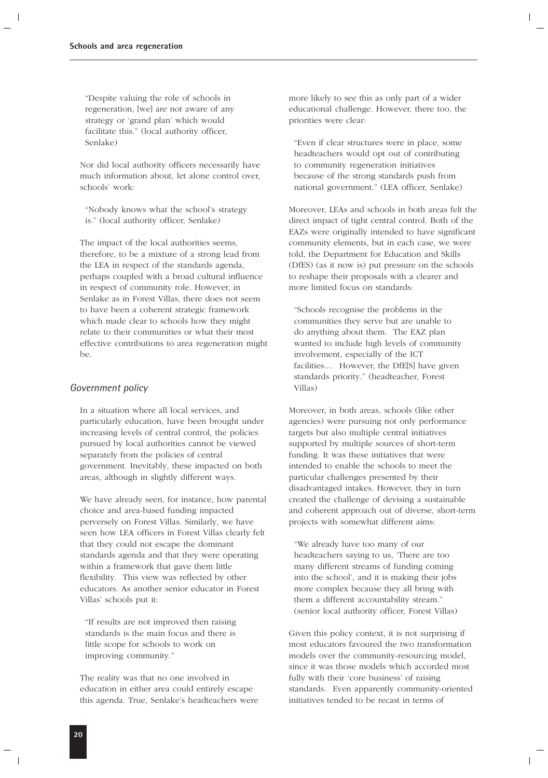"Despite valuing the role of schools in regeneration, [we] are not aware of any strategy or 'grand plan' which would facilitate this." (local authority officer, Senlake)

Nor did local authority officers necessarily have much information about, let alone control over, schools' work:

"Nobody knows what the school's strategy is." (local authority officer, Senlake)

The impact of the local authorities seems, therefore, to be a mixture of a strong lead from the LEA in respect of the standards agenda, perhaps coupled with a broad cultural influence in respect of community role. However, in Senlake as in Forest Villas, there does not seem to have been a coherent strategic framework which made clear to schools how they might relate to their communities or what their most effective contributions to area regeneration might be.

### *Government policy*

In a situation where all local services, and particularly education, have been brought under increasing levels of central control, the policies pursued by local authorities cannot be viewed separately from the policies of central government. Inevitably, these impacted on both areas, although in slightly different ways.

We have already seen, for instance, how parental choice and area-based funding impacted perversely on Forest Villas. Similarly, we have seen how LEA officers in Forest Villas clearly felt that they could not escape the dominant standards agenda and that they were operating within a framework that gave them little flexibility. This view was reflected by other educators. As another senior educator in Forest Villas' schools put it:

"If results are not improved then raising standards is the main focus and there is little scope for schools to work on improving community."

The reality was that no one involved in education in either area could entirely escape this agenda. True, Senlake's headteachers were more likely to see this as only part of a wider educational challenge. However, there too, the priorities were clear:

"Even if clear structures were in place, some headteachers would opt out of contributing to community regeneration initiatives because of the strong standards push from national government." (LEA officer, Senlake)

Moreover, LEAs and schools in both areas felt the direct impact of tight central control. Both of the EAZs were originally intended to have significant community elements, but in each case, we were told, the Department for Education and Skills (DfES) (as it now is) put pressure on the schools to reshape their proposals with a clearer and more limited focus on standards:

"Schools recognise the problems in the communities they serve but are unable to do anything about them. The EAZ plan wanted to include high levels of community involvement, especially of the ICT facilities.... However, the DfE[S] have given standards priority." (headteacher, Forest Villas)

Moreover, in both areas, schools (like other agencies) were pursuing not only performance targets but also multiple central initiatives supported by multiple sources of short-term funding. It was these initiatives that were intended to enable the schools to meet the particular challenges presented by their disadvantaged intakes. However, they in turn created the challenge of devising a sustainable and coherent approach out of diverse, short-term projects with somewhat different aims:

"We already have too many of our headteachers saying to us, 'There are too many different streams of funding coming into the school', and it is making their jobs more complex because they all bring with them a different accountability stream." (senior local authority officer, Forest Villas)

Given this policy context, it is not surprising if most educators favoured the two transformation models over the community-resourcing model, since it was those models which accorded most fully with their 'core business' of raising standards. Even apparently community-oriented initiatives tended to be recast in terms of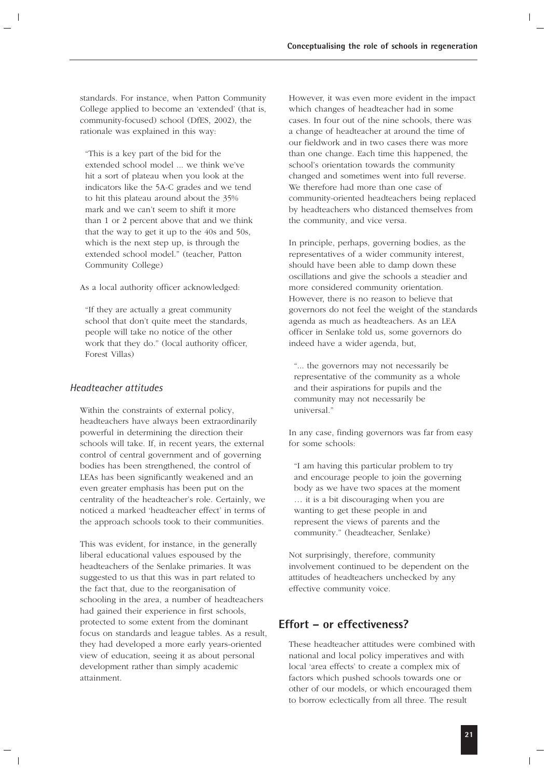standards. For instance, when Patton Community College applied to become an 'extended' (that is, community-focused) school (DfES, 2002), the rationale was explained in this way:

"This is a key part of the bid for the extended school model ... we think we've hit a sort of plateau when you look at the indicators like the 5A-C grades and we tend to hit this plateau around about the 35% mark and we can't seem to shift it more than 1 or 2 percent above that and we think that the way to get it up to the 40s and 50s, which is the next step up, is through the extended school model." (teacher, Patton Community College)

As a local authority officer acknowledged:

"If they are actually a great community school that don't quite meet the standards, people will take no notice of the other work that they do." (local authority officer, Forest Villas)

### *Headteacher attitudes*

Within the constraints of external policy, headteachers have always been extraordinarily powerful in determining the direction their schools will take. If, in recent years, the external control of central government and of governing bodies has been strengthened, the control of LEAs has been significantly weakened and an even greater emphasis has been put on the centrality of the headteacher's role. Certainly, we noticed a marked 'headteacher effect' in terms of the approach schools took to their communities.

This was evident, for instance, in the generally liberal educational values espoused by the headteachers of the Senlake primaries. It was suggested to us that this was in part related to the fact that, due to the reorganisation of schooling in the area, a number of headteachers had gained their experience in first schools, protected to some extent from the dominant focus on standards and league tables. As a result, they had developed a more early years-oriented view of education, seeing it as about personal development rather than simply academic attainment.

However, it was even more evident in the impact which changes of headteacher had in some cases. In four out of the nine schools, there was a change of headteacher at around the time of our fieldwork and in two cases there was more than one change. Each time this happened, the school's orientation towards the community changed and sometimes went into full reverse. We therefore had more than one case of community-oriented headteachers being replaced by headteachers who distanced themselves from the community, and vice versa.

In principle, perhaps, governing bodies, as the representatives of a wider community interest, should have been able to damp down these oscillations and give the schools a steadier and more considered community orientation. However, there is no reason to believe that governors do not feel the weight of the standards agenda as much as headteachers. As an LEA officer in Senlake told us, some governors do indeed have a wider agenda, but,

"... the governors may not necessarily be representative of the community as a whole and their aspirations for pupils and the community may not necessarily be universal."

In any case, finding governors was far from easy for some schools:

"I am having this particular problem to try and encourage people to join the governing body as we have two spaces at the moment … it is a bit discouraging when you are wanting to get these people in and represent the views of parents and the community." (headteacher, Senlake)

Not surprisingly, therefore, community involvement continued to be dependent on the attitudes of headteachers unchecked by any effective community voice.

### **Effort – or effectiveness?**

These headteacher attitudes were combined with national and local policy imperatives and with local 'area effects' to create a complex mix of factors which pushed schools towards one or other of our models, or which encouraged them to borrow eclectically from all three. The result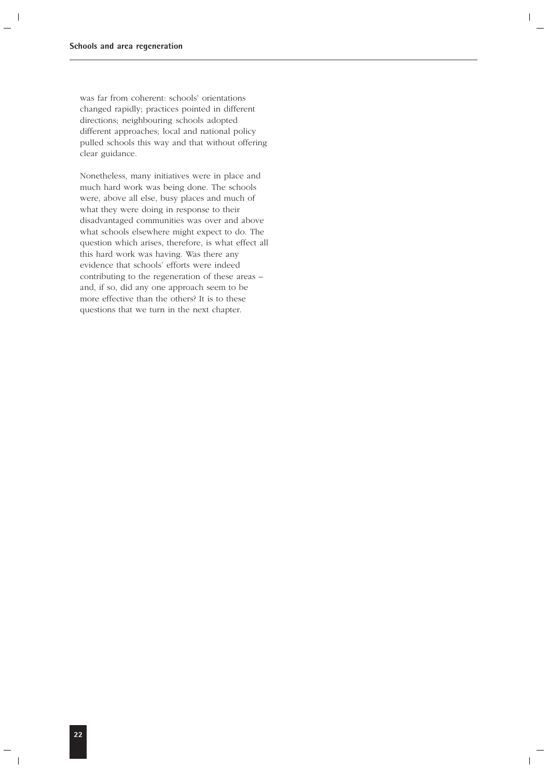was far from coherent: schools' orientations changed rapidly; practices pointed in different directions; neighbouring schools adopted different approaches; local and national policy pulled schools this way and that without offering clear guidance.

Nonetheless, many initiatives were in place and much hard work was being done. The schools were, above all else, busy places and much of what they were doing in response to their disadvantaged communities was over and above what schools elsewhere might expect to do. The question which arises, therefore, is what effect all this hard work was having. Was there any evidence that schools' efforts were indeed contributing to the regeneration of these areas – and, if so, did any one approach seem to be more effective than the others? It is to these questions that we turn in the next chapter.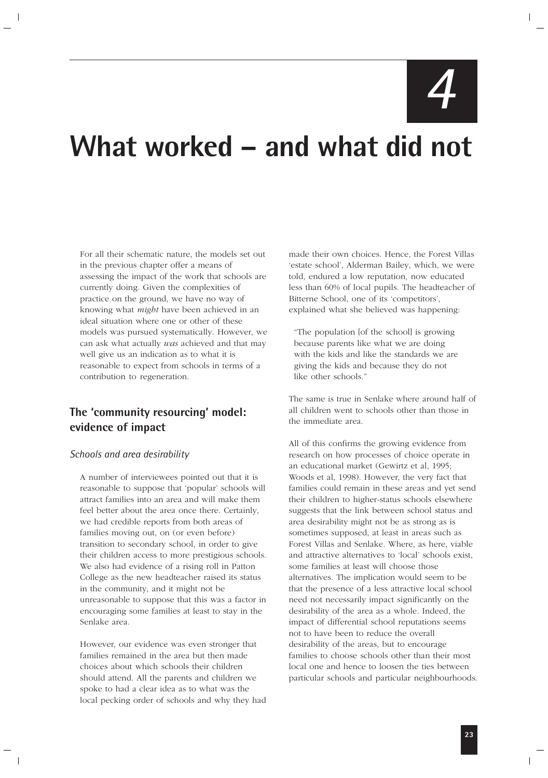*4*

# **What worked – and what did not**

For all their schematic nature, the models set out in the previous chapter offer a means of assessing the impact of the work that schools are currently doing. Given the complexities of practice on the ground, we have no way of knowing what *might* have been achieved in an ideal situation where one or other of these models was pursued systematically. However, we can ask what actually *was* achieved and that may well give us an indication as to what it is reasonable to expect from schools in terms of a contribution to regeneration.

### **The 'community resourcing' model: evidence of impact**

### *Schools and area desirability*

A number of interviewees pointed out that it is reasonable to suppose that 'popular' schools will attract families into an area and will make them feel better about the area once there. Certainly, we had credible reports from both areas of families moving out, on (or even before) transition to secondary school, in order to give their children access to more prestigious schools. We also had evidence of a rising roll in Patton College as the new headteacher raised its status in the community, and it might not be unreasonable to suppose that this was a factor in encouraging some families at least to stay in the Senlake area.

However, our evidence was even stronger that families remained in the area but then made choices about which schools their children should attend. All the parents and children we spoke to had a clear idea as to what was the local pecking order of schools and why they had made their own choices. Hence, the Forest Villas 'estate school', Alderman Bailey, which, we were told, endured a low reputation, now educated less than 60% of local pupils. The headteacher of Bitterne School, one of its 'competitors', explained what she believed was happening:

"The population [of the school] is growing because parents like what we are doing with the kids and like the standards we are giving the kids and because they do not like other schools."

The same is true in Senlake where around half of all children went to schools other than those in the immediate area.

All of this confirms the growing evidence from research on how processes of choice operate in an educational market (Gewirtz et al, 1995; Woods et al, 1998). However, the very fact that families could remain in these areas and yet send their children to higher-status schools elsewhere suggests that the link between school status and area desirability might not be as strong as is sometimes supposed, at least in areas such as Forest Villas and Senlake. Where, as here, viable and attractive alternatives to 'local' schools exist, some families at least will choose those alternatives. The implication would seem to be that the presence of a less attractive local school need not necessarily impact significantly on the desirability of the area as a whole. Indeed, the impact of differential school reputations seems not to have been to reduce the overall desirability of the areas, but to encourage families to choose schools other than their most local one and hence to loosen the ties between particular schools and particular neighbourhoods.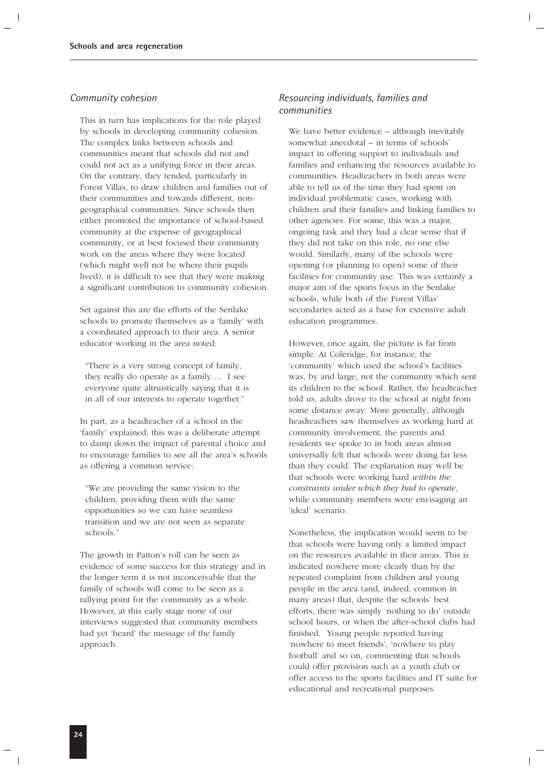### *Community cohesion*

This in turn has implications for the role played by schools in developing community cohesion. The complex links between schools and communities meant that schools did not and could not act as a unifying force in their areas. On the contrary, they tended, particularly in Forest Villas, to draw children and families out of their communities and towards different, nongeographical communities. Since schools then either promoted the importance of school-based community at the expense of geographical community, or at best focused their community work on the areas where they were located (which might well not be where their pupils lived), it is difficult to see that they were making a significant contribution to community cohesion.

Set against this are the efforts of the Senlake schools to promote themselves as a 'family' with a coordinated approach to their area. A senior educator working in the area noted:

"There is a very strong concept of family, they really do operate as a family…. I see everyone quite altruistically saying that it is in all of our interests to operate together."

In part, as a headteacher of a school in the 'family' explained, this was a deliberate attempt to damp down the impact of parental choice and to encourage families to see all the area's schools as offering a common service:

"We are providing the same vision to the children, providing them with the same opportunities so we can have seamless transition and we are not seen as separate schools."

The growth in Patton's roll can be seen as evidence of some success for this strategy and in the longer term it is not inconceivable that the family of schools will come to be seen as a rallying point for the community as a whole. However, at this early stage none of our interviews suggested that community members had yet 'heard' the message of the family approach.

### *Resourcing individuals, families and communities*

We have better evidence – although inevitably somewhat anecdotal – in terms of schools' impact in offering support to individuals and families and enhancing the resources available to communities. Headteachers in both areas were able to tell us of the time they had spent on individual problematic cases, working with children and their families and linking families to other agencies. For some, this was a major, ongoing task and they had a clear sense that if they did not take on this role, no one else would. Similarly, many of the schools were opening (or planning to open) some of their facilities for community use. This was certainly a major aim of the sports focus in the Senlake schools, while both of the Forest Villas' secondaries acted as a base for extensive adult education programmes.

However, once again, the picture is far from simple. At Coleridge, for instance, the 'community' which used the school's facilities was, by and large, not the community which sent its children to the school. Rather, the headteacher told us, adults drove to the school at night from some distance away. More generally, although headteachers saw themselves as working hard at community involvement, the parents and residents we spoke to in both areas almost universally felt that schools were doing far less than they could. The explanation may well be that schools were working hard *within the constraints under which they had to operate*, while community members were envisaging an 'ideal' scenario.

Nonetheless, the implication would seem to be that schools were having only a limited impact on the resources available in their areas. This is indicated nowhere more clearly than by the repeated complaint from children and young people in the area (and, indeed, common in many areas) that, despite the schools' best efforts, there was simply 'nothing to do' outside school hours, or when the after-school clubs had finished. Young people reported having 'nowhere to meet friends', 'nowhere to play football' and so on, commenting that schools could offer provision such as a youth club or offer access to the sports facilities and IT suite for educational and recreational purposes.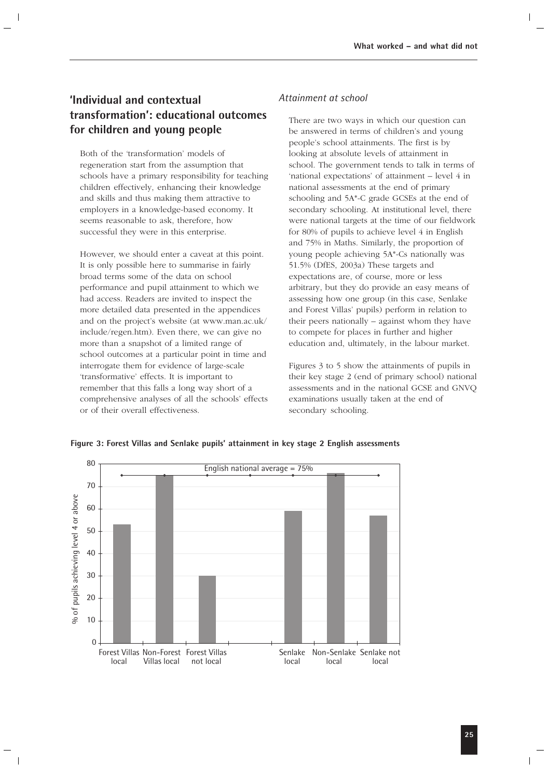### **'Individual and contextual transformation': educational outcomes for children and young people**

Both of the 'transformation' models of regeneration start from the assumption that schools have a primary responsibility for teaching children effectively, enhancing their knowledge and skills and thus making them attractive to employers in a knowledge-based economy. It seems reasonable to ask, therefore, how successful they were in this enterprise.

However, we should enter a caveat at this point. It is only possible here to summarise in fairly broad terms some of the data on school performance and pupil attainment to which we had access. Readers are invited to inspect the more detailed data presented in the appendices and on the project's website (at www.man.ac.uk/ include/regen.htm). Even there, we can give no more than a snapshot of a limited range of school outcomes at a particular point in time and interrogate them for evidence of large-scale 'transformative' effects. It is important to remember that this falls a long way short of a comprehensive analyses of all the schools' effects or of their overall effectiveness.

### *Attainment at school*

There are two ways in which our question can be answered in terms of children's and young people's school attainments. The first is by looking at absolute levels of attainment in school. The government tends to talk in terms of 'national expectations' of attainment – level 4 in national assessments at the end of primary schooling and 5A\*-C grade GCSEs at the end of secondary schooling. At institutional level, there were national targets at the time of our fieldwork for 80% of pupils to achieve level 4 in English and 75% in Maths. Similarly, the proportion of young people achieving 5A\*-Cs nationally was 51.5% (DfES, 2003a) These targets and expectations are, of course, more or less arbitrary, but they do provide an easy means of assessing how one group (in this case, Senlake and Forest Villas' pupils) perform in relation to their peers nationally – against whom they have to compete for places in further and higher education and, ultimately, in the labour market.

Figures 3 to 5 show the attainments of pupils in their key stage 2 (end of primary school) national assessments and in the national GCSE and GNVQ examinations usually taken at the end of secondary schooling.



**Figure 3: Forest Villas and Senlake pupils' attainment in key stage 2 English assessments**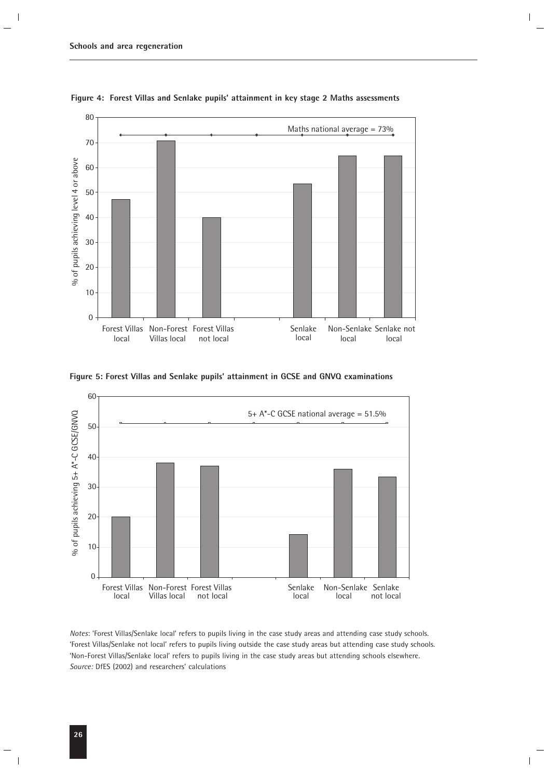

**Figure 4: Forest Villas and Senlake pupils' attainment in key stage 2 Maths assessments**

**Figure 5: Forest Villas and Senlake pupils' attainment in GCSE and GNVQ examinations**



*Notes*: 'Forest Villas/Senlake local' refers to pupils living in the case study areas and attending case study schools. 'Forest Villas/Senlake not local' refers to pupils living outside the case study areas but attending case study schools. 'Non-Forest Villas/Senlake local' refers to pupils living in the case study areas but attending schools elsewhere. *Source:* DfES (2002) and researchers' calculations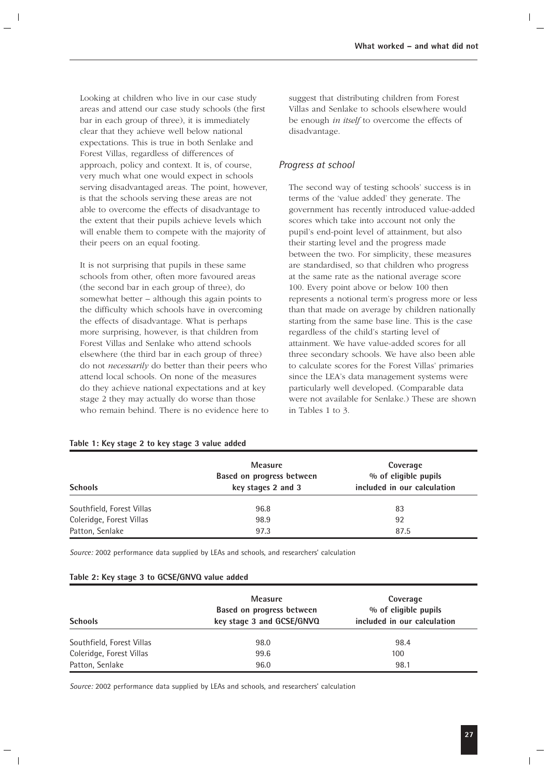Looking at children who live in our case study areas and attend our case study schools (the first bar in each group of three), it is immediately clear that they achieve well below national expectations. This is true in both Senlake and Forest Villas, regardless of differences of approach, policy and context. It is, of course, very much what one would expect in schools serving disadvantaged areas. The point, however, is that the schools serving these areas are not able to overcome the effects of disadvantage to the extent that their pupils achieve levels which will enable them to compete with the majority of their peers on an equal footing.

It is not surprising that pupils in these same schools from other, often more favoured areas (the second bar in each group of three), do somewhat better – although this again points to the difficulty which schools have in overcoming the effects of disadvantage. What is perhaps more surprising, however, is that children from Forest Villas and Senlake who attend schools elsewhere (the third bar in each group of three) do not *necessarily* do better than their peers who attend local schools. On none of the measures do they achieve national expectations and at key stage 2 they may actually do worse than those who remain behind. There is no evidence here to

suggest that distributing children from Forest Villas and Senlake to schools elsewhere would be enough *in itself* to overcome the effects of disadvantage.

### *Progress at school*

The second way of testing schools' success is in terms of the 'value added' they generate. The government has recently introduced value-added scores which take into account not only the pupil's end-point level of attainment, but also their starting level and the progress made between the two. For simplicity, these measures are standardised, so that children who progress at the same rate as the national average score 100. Every point above or below 100 then represents a notional term's progress more or less than that made on average by children nationally starting from the same base line. This is the case regardless of the child's starting level of attainment. We have value-added scores for all three secondary schools. We have also been able to calculate scores for the Forest Villas' primaries since the LEA's data management systems were particularly well developed. (Comparable data were not available for Senlake.) These are shown in Tables 1 to 3.

|  |  |  |  | Table 1: Key stage 2 to key stage 3 value added |  |
|--|--|--|--|-------------------------------------------------|--|
|  |  |  |  |                                                 |  |

| <b>Schools</b>            | <b>Measure</b><br>Based on progress between<br>key stages 2 and 3 | Coverage<br>% of eligible pupils<br>included in our calculation |
|---------------------------|-------------------------------------------------------------------|-----------------------------------------------------------------|
| Southfield, Forest Villas | 96.8                                                              | 83                                                              |
| Coleridge, Forest Villas  | 98.9                                                              | 92                                                              |
| Patton, Senlake           | 97.3                                                              | 87.5                                                            |

*Source:* 2002 performance data supplied by LEAs and schools, and researchers' calculation

### **Table 2: Key stage 3 to GCSE/GNVQ value added**

| <b>Schools</b>            | <b>Measure</b><br>Based on progress between<br>key stage 3 and GCSE/GNVQ | Coverage<br>% of eligible pupils<br>included in our calculation |
|---------------------------|--------------------------------------------------------------------------|-----------------------------------------------------------------|
| Southfield, Forest Villas | 98.0                                                                     | 98.4                                                            |
| Coleridge, Forest Villas  | 99.6                                                                     | 100                                                             |
| Patton, Senlake           | 96.0                                                                     | 98.1                                                            |

*Source:* 2002 performance data supplied by LEAs and schools, and researchers' calculation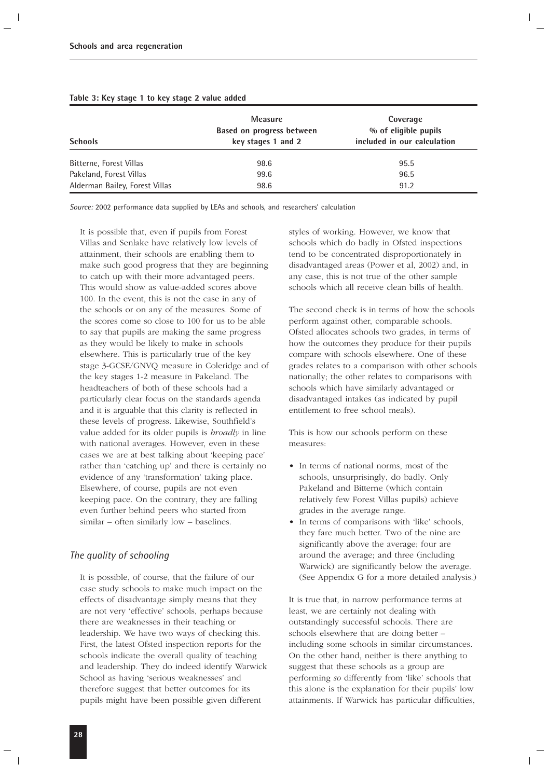| <b>Schools</b>                 | Measure<br>Based on progress between<br>key stages 1 and 2 | Coverage<br>% of eligible pupils<br>included in our calculation |
|--------------------------------|------------------------------------------------------------|-----------------------------------------------------------------|
| Bitterne, Forest Villas        | 98.6                                                       | 95.5                                                            |
| Pakeland, Forest Villas        | 99.6                                                       | 96.5                                                            |
| Alderman Bailey, Forest Villas | 98.6                                                       | 91.2                                                            |

### **Table 3: Key stage 1 to key stage 2 value added**

*Source:* 2002 performance data supplied by LEAs and schools, and researchers' calculation

It is possible that, even if pupils from Forest Villas and Senlake have relatively low levels of attainment, their schools are enabling them to make such good progress that they are beginning to catch up with their more advantaged peers. This would show as value-added scores above 100. In the event, this is not the case in any of the schools or on any of the measures. Some of the scores come so close to 100 for us to be able to say that pupils are making the same progress as they would be likely to make in schools elsewhere. This is particularly true of the key stage 3-GCSE/GNVQ measure in Coleridge and of the key stages 1-2 measure in Pakeland. The headteachers of both of these schools had a particularly clear focus on the standards agenda and it is arguable that this clarity is reflected in these levels of progress. Likewise, Southfield's value added for its older pupils is *broadly* in line with national averages. However, even in these cases we are at best talking about 'keeping pace' rather than 'catching up' and there is certainly no evidence of any 'transformation' taking place. Elsewhere, of course, pupils are not even keeping pace. On the contrary, they are falling even further behind peers who started from similar – often similarly low – baselines.

### *The quality of schooling*

It is possible, of course, that the failure of our case study schools to make much impact on the effects of disadvantage simply means that they are not very 'effective' schools, perhaps because there are weaknesses in their teaching or leadership. We have two ways of checking this. First, the latest Ofsted inspection reports for the schools indicate the overall quality of teaching and leadership. They do indeed identify Warwick School as having 'serious weaknesses' and therefore suggest that better outcomes for its pupils might have been possible given different

styles of working. However, we know that schools which do badly in Ofsted inspections tend to be concentrated disproportionately in disadvantaged areas (Power et al, 2002) and, in any case, this is not true of the other sample schools which all receive clean bills of health.

The second check is in terms of how the schools perform against other, comparable schools. Ofsted allocates schools two grades, in terms of how the outcomes they produce for their pupils compare with schools elsewhere. One of these grades relates to a comparison with other schools nationally; the other relates to comparisons with schools which have similarly advantaged or disadvantaged intakes (as indicated by pupil entitlement to free school meals).

This is how our schools perform on these measures:

- In terms of national norms, most of the schools, unsurprisingly, do badly. Only Pakeland and Bitterne (which contain relatively few Forest Villas pupils) achieve grades in the average range.
- In terms of comparisons with 'like' schools, they fare much better. Two of the nine are significantly above the average; four are around the average; and three (including Warwick) are significantly below the average. (See Appendix G for a more detailed analysis.)

It is true that, in narrow performance terms at least, we are certainly not dealing with outstandingly successful schools. There are schools elsewhere that are doing better – including some schools in similar circumstances. On the other hand, neither is there anything to suggest that these schools as a group are performing *so* differently from 'like' schools that this alone is the explanation for their pupils' low attainments. If Warwick has particular difficulties,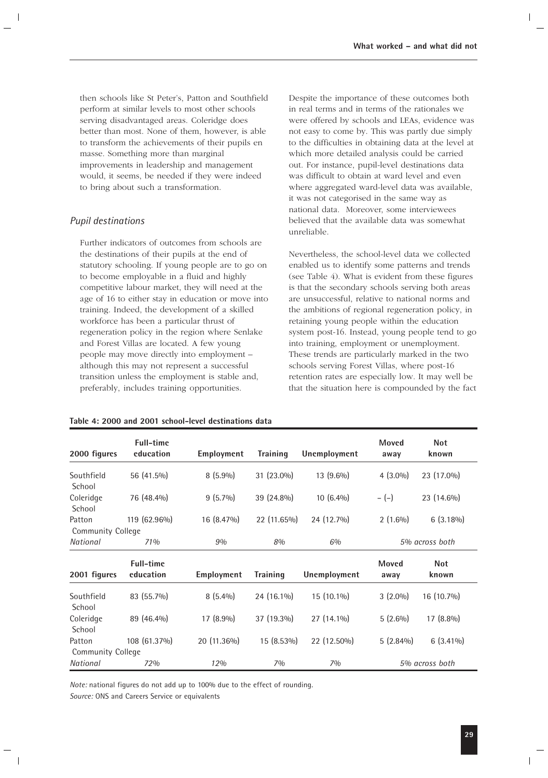then schools like St Peter's, Patton and Southfield perform at similar levels to most other schools serving disadvantaged areas. Coleridge does better than most. None of them, however, is able to transform the achievements of their pupils en masse. Something more than marginal improvements in leadership and management would, it seems, be needed if they were indeed to bring about such a transformation.

### *Pupil destinations*

Further indicators of outcomes from schools are the destinations of their pupils at the end of statutory schooling. If young people are to go on to become employable in a fluid and highly competitive labour market, they will need at the age of 16 to either stay in education or move into training. Indeed, the development of a skilled workforce has been a particular thrust of regeneration policy in the region where Senlake and Forest Villas are located. A few young people may move directly into employment – although this may not represent a successful transition unless the employment is stable and, preferably, includes training opportunities.

|--|

Despite the importance of these outcomes both in real terms and in terms of the rationales we were offered by schools and LEAs, evidence was not easy to come by. This was partly due simply to the difficulties in obtaining data at the level at which more detailed analysis could be carried out. For instance, pupil-level destinations data was difficult to obtain at ward level and even where aggregated ward-level data was available, it was not categorised in the same way as national data. Moreover, some interviewees believed that the available data was somewhat unreliable.

Nevertheless, the school-level data we collected enabled us to identify some patterns and trends (see Table 4). What is evident from these figures is that the secondary schools serving both areas are unsuccessful, relative to national norms and the ambitions of regional regeneration policy, in retaining young people within the education system post-16. Instead, young people tend to go into training, employment or unemployment. These trends are particularly marked in the two schools serving Forest Villas, where post-16 retention rates are especially low. It may well be that the situation here is compounded by the fact

| 2000 figures             | <b>Full-time</b><br>education | Employment  | <b>Training</b> | Unemployment | Moved<br>away | <b>Not</b><br>known |
|--------------------------|-------------------------------|-------------|-----------------|--------------|---------------|---------------------|
| Southfield<br>School     | 56 (41.5%)                    | $8(5.9\%)$  | 31 (23.0%)      | 13 (9.6%)    | $4(3.0\%)$    | 23 (17.0%)          |
| Coleridge<br>School      | 76 (48.4%)                    | $9(5.7\%)$  | 39 (24.8%)      | $10(6.4\%)$  | $-(-)$        | 23 (14.6%)          |
| Patton                   | 119 (62.96%)                  | 16 (8.47%)  | 22 (11.65%)     | 24 (12.7%)   | $2(1.6\%)$    | $6(3.18\%)$         |
| <b>Community College</b> |                               |             |                 |              |               |                     |
| National                 | <b>71%</b>                    | 9%          | 8%              | 6%           |               | 5% across both      |
| 2001 figures             | <b>Full-time</b><br>education | Employment  | <b>Training</b> | Unemployment | Moved<br>away | <b>Not</b><br>known |
| Southfield<br>School     | 83 (55.7%)                    | $8(5.4\%)$  | 24 (16.1%)      | 15 (10.1%)   | $3(2.0\%)$    | 16 (10.7%)          |
| Coleridge<br>School      | 89 (46.4%)                    | 17 (8.9%)   | 37 (19.3%)      | 27 (14.1%)   | $5(2.6\%)$    | 17 (8.8%)           |
| Patton                   | 108 (61.37%)                  | 20 (11.36%) | $15(8.53\%)$    | 22 (12.50%)  | $5(2.84\%)$   | $6(3.41\%)$         |
|                          |                               |             |                 |              |               |                     |
| Community College        |                               |             |                 |              |               |                     |

*Note:* national figures do not add up to 100% due to the effect of rounding. *Source:* ONS and Careers Service or equivalents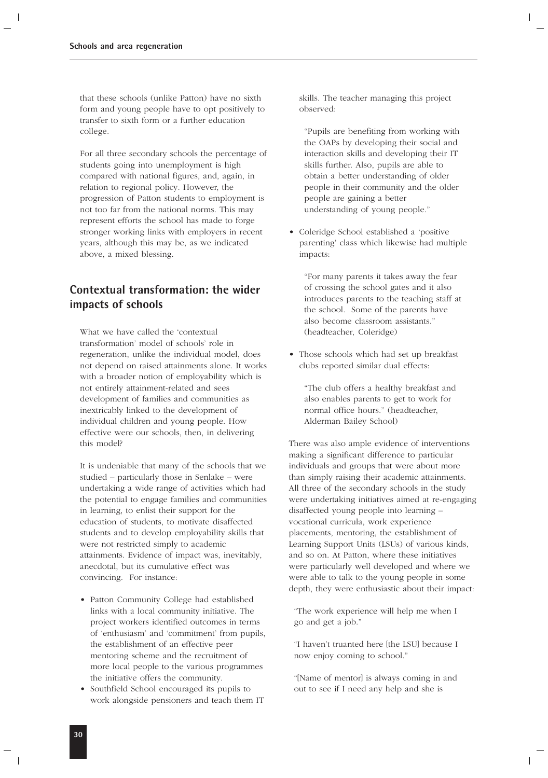that these schools (unlike Patton) have no sixth form and young people have to opt positively to transfer to sixth form or a further education college.

For all three secondary schools the percentage of students going into unemployment is high compared with national figures, and, again, in relation to regional policy. However, the progression of Patton students to employment is not too far from the national norms. This may represent efforts the school has made to forge stronger working links with employers in recent years, although this may be, as we indicated above, a mixed blessing.

### **Contextual transformation: the wider impacts of schools**

What we have called the 'contextual transformation' model of schools' role in regeneration, unlike the individual model, does not depend on raised attainments alone. It works with a broader notion of employability which is not entirely attainment-related and sees development of families and communities as inextricably linked to the development of individual children and young people. How effective were our schools, then, in delivering this model?

It is undeniable that many of the schools that we studied – particularly those in Senlake – were undertaking a wide range of activities which had the potential to engage families and communities in learning, to enlist their support for the education of students, to motivate disaffected students and to develop employability skills that were not restricted simply to academic attainments. Evidence of impact was, inevitably, anecdotal, but its cumulative effect was convincing. For instance:

- Patton Community College had established links with a local community initiative. The project workers identified outcomes in terms of 'enthusiasm' and 'commitment' from pupils, the establishment of an effective peer mentoring scheme and the recruitment of more local people to the various programmes the initiative offers the community.
- Southfield School encouraged its pupils to work alongside pensioners and teach them IT

skills. The teacher managing this project observed:

"Pupils are benefiting from working with the OAPs by developing their social and interaction skills and developing their IT skills further. Also, pupils are able to obtain a better understanding of older people in their community and the older people are gaining a better understanding of young people."

• Coleridge School established a 'positive parenting' class which likewise had multiple impacts:

"For many parents it takes away the fear of crossing the school gates and it also introduces parents to the teaching staff at the school. Some of the parents have also become classroom assistants." (headteacher, Coleridge)

• Those schools which had set up breakfast clubs reported similar dual effects:

"The club offers a healthy breakfast and also enables parents to get to work for normal office hours." (headteacher, Alderman Bailey School)

There was also ample evidence of interventions making a significant difference to particular individuals and groups that were about more than simply raising their academic attainments. All three of the secondary schools in the study were undertaking initiatives aimed at re-engaging disaffected young people into learning – vocational curricula, work experience placements, mentoring, the establishment of Learning Support Units (LSUs) of various kinds, and so on. At Patton, where these initiatives were particularly well developed and where we were able to talk to the young people in some depth, they were enthusiastic about their impact:

"The work experience will help me when I go and get a job."

"I haven't truanted here [the LSU] because I now enjoy coming to school."

"[Name of mentor] is always coming in and out to see if I need any help and she is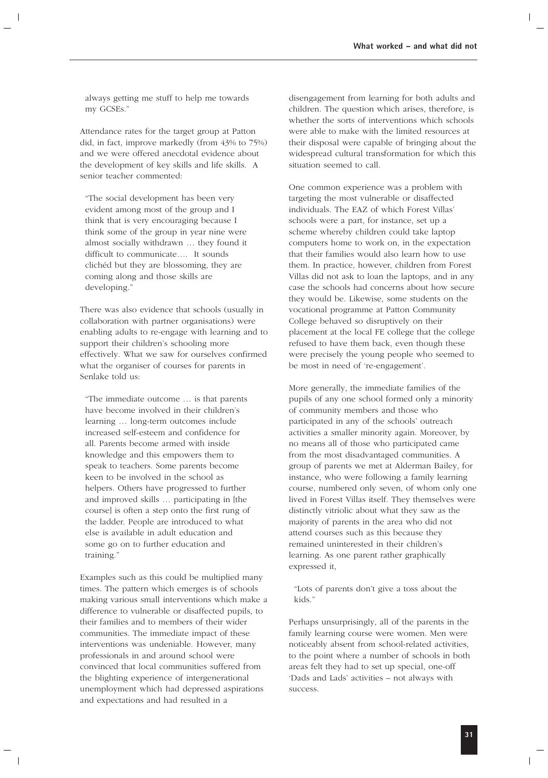always getting me stuff to help me towards my GCSEs."

Attendance rates for the target group at Patton did, in fact, improve markedly (from 43% to 75%) and we were offered anecdotal evidence about the development of key skills and life skills. A senior teacher commented:

"The social development has been very evident among most of the group and I think that is very encouraging because I think some of the group in year nine were almost socially withdrawn … they found it difficult to communicate…. It sounds clichéd but they are blossoming, they are coming along and those skills are developing."

There was also evidence that schools (usually in collaboration with partner organisations) were enabling adults to re-engage with learning and to support their children's schooling more effectively. What we saw for ourselves confirmed what the organiser of courses for parents in Senlake told us:

"The immediate outcome … is that parents have become involved in their children's learning … long-term outcomes include increased self-esteem and confidence for all. Parents become armed with inside knowledge and this empowers them to speak to teachers. Some parents become keen to be involved in the school as helpers. Others have progressed to further and improved skills … participating in [the course] is often a step onto the first rung of the ladder. People are introduced to what else is available in adult education and some go on to further education and training."

Examples such as this could be multiplied many times. The pattern which emerges is of schools making various small interventions which make a difference to vulnerable or disaffected pupils, to their families and to members of their wider communities. The immediate impact of these interventions was undeniable. However, many professionals in and around school were convinced that local communities suffered from the blighting experience of intergenerational unemployment which had depressed aspirations and expectations and had resulted in a

disengagement from learning for both adults and children. The question which arises, therefore, is whether the sorts of interventions which schools were able to make with the limited resources at their disposal were capable of bringing about the widespread cultural transformation for which this situation seemed to call.

One common experience was a problem with targeting the most vulnerable or disaffected individuals. The EAZ of which Forest Villas' schools were a part, for instance, set up a scheme whereby children could take laptop computers home to work on, in the expectation that their families would also learn how to use them. In practice, however, children from Forest Villas did not ask to loan the laptops, and in any case the schools had concerns about how secure they would be. Likewise, some students on the vocational programme at Patton Community College behaved so disruptively on their placement at the local FE college that the college refused to have them back, even though these were precisely the young people who seemed to be most in need of 're-engagement'.

More generally, the immediate families of the pupils of any one school formed only a minority of community members and those who participated in any of the schools' outreach activities a smaller minority again. Moreover, by no means all of those who participated came from the most disadvantaged communities. A group of parents we met at Alderman Bailey, for instance, who were following a family learning course, numbered only seven, of whom only one lived in Forest Villas itself. They themselves were distinctly vitriolic about what they saw as the majority of parents in the area who did not attend courses such as this because they remained uninterested in their children's learning. As one parent rather graphically expressed it,

"Lots of parents don't give a toss about the kids."

Perhaps unsurprisingly, all of the parents in the family learning course were women. Men were noticeably absent from school-related activities, to the point where a number of schools in both areas felt they had to set up special, one-off 'Dads and Lads' activities – not always with success.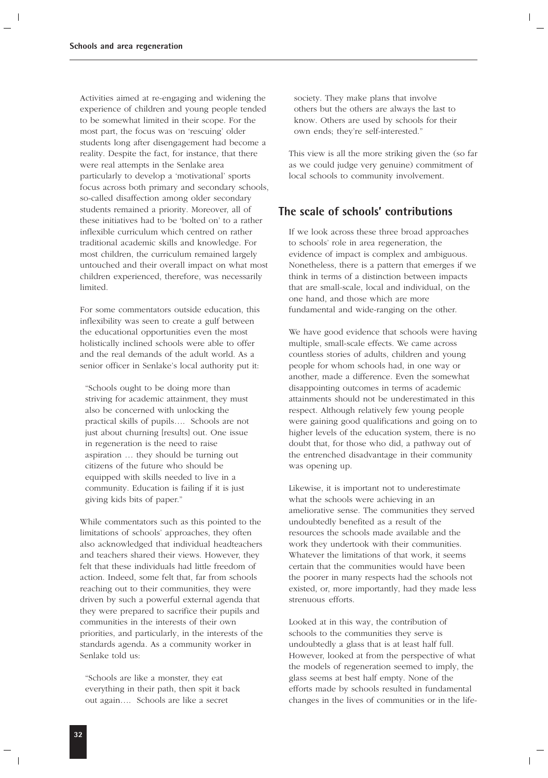Activities aimed at re-engaging and widening the experience of children and young people tended to be somewhat limited in their scope. For the most part, the focus was on 'rescuing' older students long after disengagement had become a reality. Despite the fact, for instance, that there were real attempts in the Senlake area particularly to develop a 'motivational' sports focus across both primary and secondary schools, so-called disaffection among older secondary students remained a priority. Moreover, all of these initiatives had to be 'bolted on' to a rather inflexible curriculum which centred on rather traditional academic skills and knowledge. For most children, the curriculum remained largely untouched and their overall impact on what most children experienced, therefore, was necessarily limited.

For some commentators outside education, this inflexibility was seen to create a gulf between the educational opportunities even the most holistically inclined schools were able to offer and the real demands of the adult world. As a senior officer in Senlake's local authority put it:

"Schools ought to be doing more than striving for academic attainment, they must also be concerned with unlocking the practical skills of pupils…. Schools are not just about churning [results] out. One issue in regeneration is the need to raise aspiration … they should be turning out citizens of the future who should be equipped with skills needed to live in a community. Education is failing if it is just giving kids bits of paper."

While commentators such as this pointed to the limitations of schools' approaches, they often also acknowledged that individual headteachers and teachers shared their views. However, they felt that these individuals had little freedom of action. Indeed, some felt that, far from schools reaching out to their communities, they were driven by such a powerful external agenda that they were prepared to sacrifice their pupils and communities in the interests of their own priorities, and particularly, in the interests of the standards agenda. As a community worker in Senlake told us:

"Schools are like a monster, they eat everything in their path, then spit it back out again…. Schools are like a secret

society. They make plans that involve others but the others are always the last to know. Others are used by schools for their own ends; they're self-interested."

This view is all the more striking given the (so far as we could judge very genuine) commitment of local schools to community involvement.

### **The scale of schools' contributions**

If we look across these three broad approaches to schools' role in area regeneration, the evidence of impact is complex and ambiguous. Nonetheless, there is a pattern that emerges if we think in terms of a distinction between impacts that are small-scale, local and individual, on the one hand, and those which are more fundamental and wide-ranging on the other.

We have good evidence that schools were having multiple, small-scale effects. We came across countless stories of adults, children and young people for whom schools had, in one way or another, made a difference. Even the somewhat disappointing outcomes in terms of academic attainments should not be underestimated in this respect. Although relatively few young people were gaining good qualifications and going on to higher levels of the education system, there is no doubt that, for those who did, a pathway out of the entrenched disadvantage in their community was opening up.

Likewise, it is important not to underestimate what the schools were achieving in an ameliorative sense. The communities they served undoubtedly benefited as a result of the resources the schools made available and the work they undertook with their communities. Whatever the limitations of that work, it seems certain that the communities would have been the poorer in many respects had the schools not existed, or, more importantly, had they made less strenuous efforts.

Looked at in this way, the contribution of schools to the communities they serve is undoubtedly a glass that is at least half full. However, looked at from the perspective of what the models of regeneration seemed to imply, the glass seems at best half empty. None of the efforts made by schools resulted in fundamental changes in the lives of communities or in the life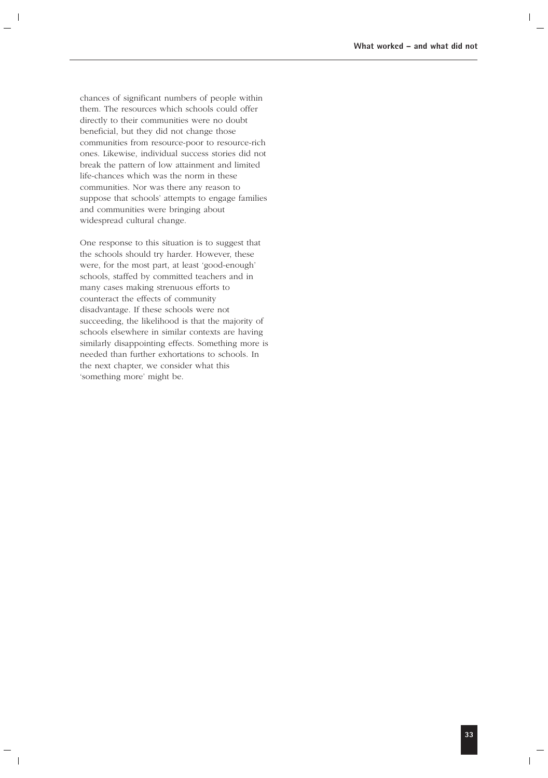chances of significant numbers of people within them. The resources which schools could offer directly to their communities were no doubt beneficial, but they did not change those communities from resource-poor to resource-rich ones. Likewise, individual success stories did not break the pattern of low attainment and limited life-chances which was the norm in these communities. Nor was there any reason to suppose that schools' attempts to engage families and communities were bringing about widespread cultural change.

One response to this situation is to suggest that the schools should try harder. However, these were, for the most part, at least 'good-enough' schools, staffed by committed teachers and in many cases making strenuous efforts to counteract the effects of community disadvantage. If these schools were not succeeding, the likelihood is that the majority of schools elsewhere in similar contexts are having similarly disappointing effects. Something more is needed than further exhortations to schools. In the next chapter, we consider what this 'something more' might be.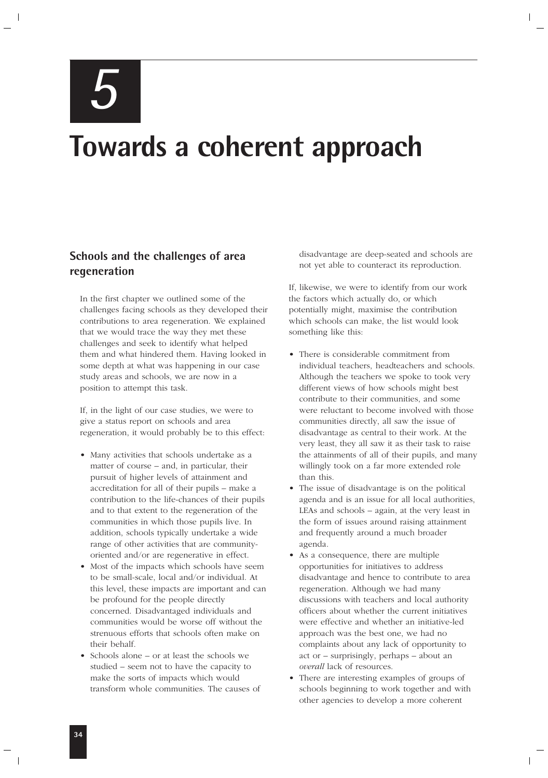*5*

# **Towards a coherent approach**

### **Schools and the challenges of area regeneration**

In the first chapter we outlined some of the challenges facing schools as they developed their contributions to area regeneration. We explained that we would trace the way they met these challenges and seek to identify what helped them and what hindered them. Having looked in some depth at what was happening in our case study areas and schools, we are now in a position to attempt this task.

If, in the light of our case studies, we were to give a status report on schools and area regeneration, it would probably be to this effect:

- Many activities that schools undertake as a matter of course – and, in particular, their pursuit of higher levels of attainment and accreditation for all of their pupils – make a contribution to the life-chances of their pupils and to that extent to the regeneration of the communities in which those pupils live. In addition, schools typically undertake a wide range of other activities that are communityoriented and/or are regenerative in effect.
- Most of the impacts which schools have seem to be small-scale, local and/or individual. At this level, these impacts are important and can be profound for the people directly concerned. Disadvantaged individuals and communities would be worse off without the strenuous efforts that schools often make on their behalf.
- Schools alone or at least the schools we studied – seem not to have the capacity to make the sorts of impacts which would transform whole communities. The causes of

disadvantage are deep-seated and schools are not yet able to counteract its reproduction.

If, likewise, we were to identify from our work the factors which actually do, or which potentially might, maximise the contribution which schools can make, the list would look something like this:

- There is considerable commitment from individual teachers, headteachers and schools. Although the teachers we spoke to took very different views of how schools might best contribute to their communities, and some were reluctant to become involved with those communities directly, all saw the issue of disadvantage as central to their work. At the very least, they all saw it as their task to raise the attainments of all of their pupils, and many willingly took on a far more extended role than this.
- The issue of disadvantage is on the political agenda and is an issue for all local authorities, LEAs and schools – again, at the very least in the form of issues around raising attainment and frequently around a much broader agenda.
- As a consequence, there are multiple opportunities for initiatives to address disadvantage and hence to contribute to area regeneration. Although we had many discussions with teachers and local authority officers about whether the current initiatives were effective and whether an initiative-led approach was the best one, we had no complaints about any lack of opportunity to act or – surprisingly, perhaps – about an *overall* lack of resources.
- There are interesting examples of groups of schools beginning to work together and with other agencies to develop a more coherent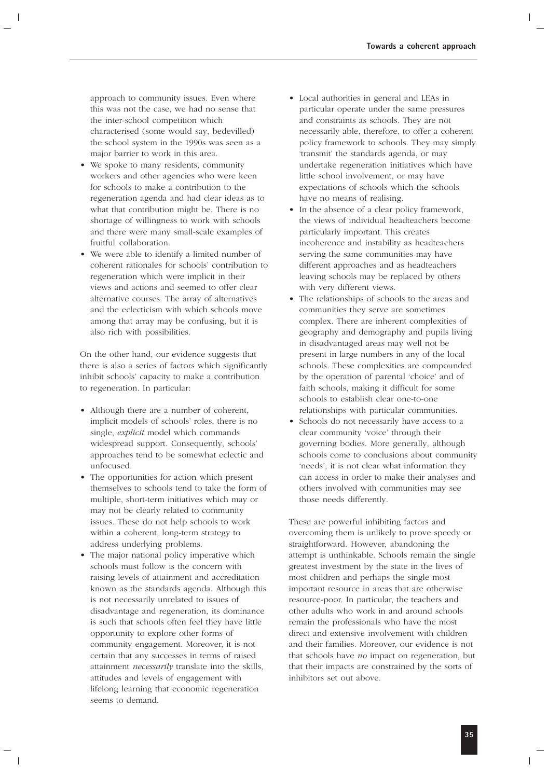approach to community issues. Even where this was not the case, we had no sense that the inter-school competition which characterised (some would say, bedevilled) the school system in the 1990s was seen as a major barrier to work in this area.

- We spoke to many residents, community workers and other agencies who were keen for schools to make a contribution to the regeneration agenda and had clear ideas as to what that contribution might be. There is no shortage of willingness to work with schools and there were many small-scale examples of fruitful collaboration.
- We were able to identify a limited number of coherent rationales for schools' contribution to regeneration which were implicit in their views and actions and seemed to offer clear alternative courses. The array of alternatives and the eclecticism with which schools move among that array may be confusing, but it is also rich with possibilities.

On the other hand, our evidence suggests that there is also a series of factors which significantly inhibit schools' capacity to make a contribution to regeneration. In particular:

- Although there are a number of coherent, implicit models of schools' roles, there is no single, *explicit* model which commands widespread support. Consequently, schools' approaches tend to be somewhat eclectic and unfocused.
- The opportunities for action which present themselves to schools tend to take the form of multiple, short-term initiatives which may or may not be clearly related to community issues. These do not help schools to work within a coherent, long-term strategy to address underlying problems.
- The major national policy imperative which schools must follow is the concern with raising levels of attainment and accreditation known as the standards agenda. Although this is not necessarily unrelated to issues of disadvantage and regeneration, its dominance is such that schools often feel they have little opportunity to explore other forms of community engagement. Moreover, it is not certain that any successes in terms of raised attainment *necessarily* translate into the skills, attitudes and levels of engagement with lifelong learning that economic regeneration seems to demand.
- Local authorities in general and LEAs in particular operate under the same pressures and constraints as schools. They are not necessarily able, therefore, to offer a coherent policy framework to schools. They may simply 'transmit' the standards agenda, or may undertake regeneration initiatives which have little school involvement, or may have expectations of schools which the schools have no means of realising.
- In the absence of a clear policy framework, the views of individual headteachers become particularly important. This creates incoherence and instability as headteachers serving the same communities may have different approaches and as headteachers leaving schools may be replaced by others with very different views.
- The relationships of schools to the areas and communities they serve are sometimes complex. There are inherent complexities of geography and demography and pupils living in disadvantaged areas may well not be present in large numbers in any of the local schools. These complexities are compounded by the operation of parental 'choice' and of faith schools, making it difficult for some schools to establish clear one-to-one relationships with particular communities.
- Schools do not necessarily have access to a clear community 'voice' through their governing bodies. More generally, although schools come to conclusions about community 'needs', it is not clear what information they can access in order to make their analyses and others involved with communities may see those needs differently.

These are powerful inhibiting factors and overcoming them is unlikely to prove speedy or straightforward. However, abandoning the attempt is unthinkable. Schools remain the single greatest investment by the state in the lives of most children and perhaps the single most important resource in areas that are otherwise resource-poor. In particular, the teachers and other adults who work in and around schools remain the professionals who have the most direct and extensive involvement with children and their families. Moreover, our evidence is not that schools have *no* impact on regeneration, but that their impacts are constrained by the sorts of inhibitors set out above.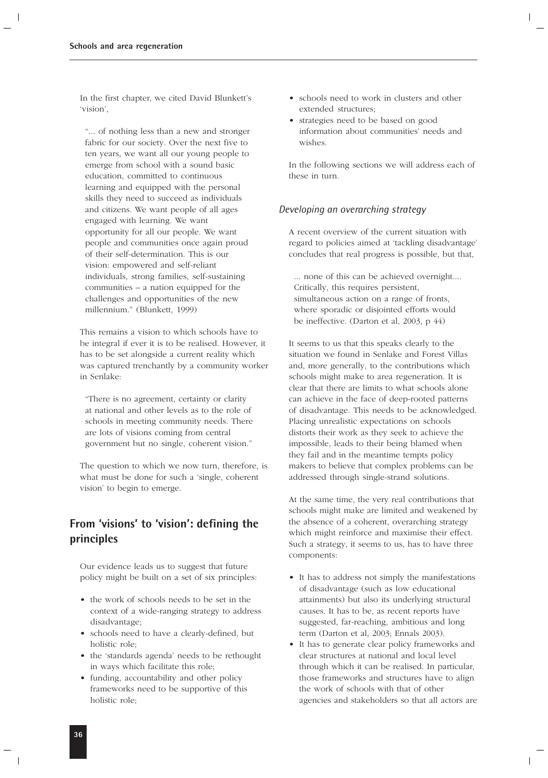In the first chapter, we cited David Blunkett's 'vision',

"... of nothing less than a new and stronger fabric for our society. Over the next five to ten years, we want all our young people to emerge from school with a sound basic education, committed to continuous learning and equipped with the personal skills they need to succeed as individuals and citizens. We want people of all ages engaged with learning. We want opportunity for all our people. We want people and communities once again proud of their self-determination. This is our vision: empowered and self-reliant individuals, strong families, self-sustaining communities – a nation equipped for the challenges and opportunities of the new millennium." (Blunkett, 1999)

This remains a vision to which schools have to be integral if ever it is to be realised. However, it has to be set alongside a current reality which was captured trenchantly by a community worker in Senlake:

"There is no agreement, certainty or clarity at national and other levels as to the role of schools in meeting community needs. There are lots of visions coming from central government but no single, coherent vision."

The question to which we now turn, therefore, is what must be done for such a 'single, coherent vision' to begin to emerge.

### **From 'visions' to 'vision': defining the principles**

Our evidence leads us to suggest that future policy might be built on a set of six principles:

- the work of schools needs to be set in the context of a wide-ranging strategy to address disadvantage;
- schools need to have a clearly-defined, but holistic role;
- the 'standards agenda' needs to be rethought in ways which facilitate this role;
- funding, accountability and other policy frameworks need to be supportive of this holistic role;
- schools need to work in clusters and other extended structures;
- strategies need to be based on good information about communities' needs and wishes.

In the following sections we will address each of these in turn.

### *Developing an overarching strategy*

A recent overview of the current situation with regard to policies aimed at 'tackling disadvantage' concludes that real progress is possible, but that,

... none of this can be achieved overnight.... Critically, this requires persistent, simultaneous action on a range of fronts, where sporadic or disjointed efforts would be ineffective. (Darton et al, 2003, p 44)

It seems to us that this speaks clearly to the situation we found in Senlake and Forest Villas and, more generally, to the contributions which schools might make to area regeneration. It is clear that there are limits to what schools alone can achieve in the face of deep-rooted patterns of disadvantage. This needs to be acknowledged. Placing unrealistic expectations on schools distorts their work as they seek to achieve the impossible, leads to their being blamed when they fail and in the meantime tempts policy makers to believe that complex problems can be addressed through single-strand solutions.

At the same time, the very real contributions that schools might make are limited and weakened by the absence of a coherent, overarching strategy which might reinforce and maximise their effect. Such a strategy, it seems to us, has to have three components:

- It has to address not simply the manifestations of disadvantage (such as low educational attainments) but also its underlying structural causes. It has to be, as recent reports have suggested, far-reaching, ambitious and long term (Darton et al, 2003; Ennals 2003).
- It has to generate clear policy frameworks and clear structures at national and local level through which it can be realised. In particular, those frameworks and structures have to align the work of schools with that of other agencies and stakeholders so that all actors are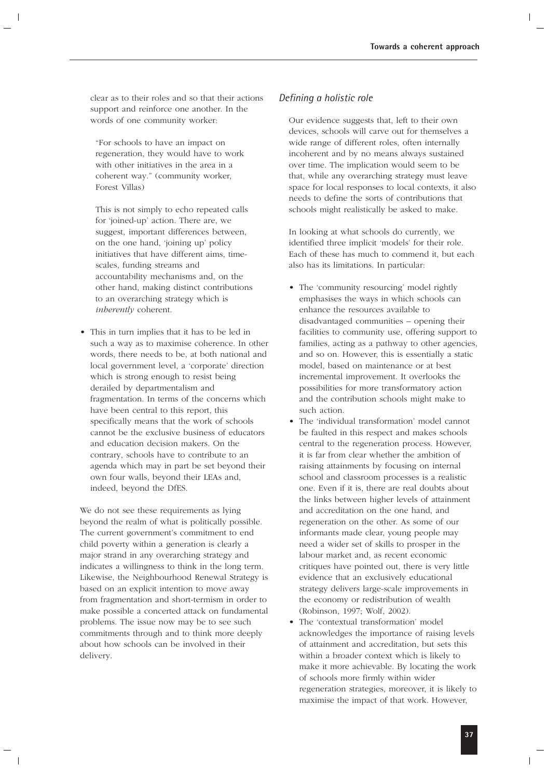clear as to their roles and so that their actions support and reinforce one another. In the words of one community worker:

"For schools to have an impact on regeneration, they would have to work with other initiatives in the area in a coherent way." (community worker, Forest Villas)

This is not simply to echo repeated calls for 'joined-up' action. There are, we suggest, important differences between, on the one hand, 'joining up' policy initiatives that have different aims, timescales, funding streams and accountability mechanisms and, on the other hand, making distinct contributions to an overarching strategy which is *inherently* coherent.

• This in turn implies that it has to be led in such a way as to maximise coherence. In other words, there needs to be, at both national and local government level, a 'corporate' direction which is strong enough to resist being derailed by departmentalism and fragmentation. In terms of the concerns which have been central to this report, this specifically means that the work of schools cannot be the exclusive business of educators and education decision makers. On the contrary, schools have to contribute to an agenda which may in part be set beyond their own four walls, beyond their LEAs and, indeed, beyond the DfES.

We do not see these requirements as lying beyond the realm of what is politically possible. The current government's commitment to end child poverty within a generation is clearly a major strand in any overarching strategy and indicates a willingness to think in the long term. Likewise, the Neighbourhood Renewal Strategy is based on an explicit intention to move away from fragmentation and short-termism in order to make possible a concerted attack on fundamental problems. The issue now may be to see such commitments through and to think more deeply about how schools can be involved in their delivery.

### *Defining a holistic role*

Our evidence suggests that, left to their own devices, schools will carve out for themselves a wide range of different roles, often internally incoherent and by no means always sustained over time. The implication would seem to be that, while any overarching strategy must leave space for local responses to local contexts, it also needs to define the sorts of contributions that schools might realistically be asked to make.

In looking at what schools do currently, we identified three implicit 'models' for their role. Each of these has much to commend it, but each also has its limitations. In particular:

- The 'community resourcing' model rightly emphasises the ways in which schools can enhance the resources available to disadvantaged communities – opening their facilities to community use, offering support to families, acting as a pathway to other agencies, and so on. However, this is essentially a static model, based on maintenance or at best incremental improvement. It overlooks the possibilities for more transformatory action and the contribution schools might make to such action.
- The 'individual transformation' model cannot be faulted in this respect and makes schools central to the regeneration process. However, it is far from clear whether the ambition of raising attainments by focusing on internal school and classroom processes is a realistic one. Even if it is, there are real doubts about the links between higher levels of attainment and accreditation on the one hand, and regeneration on the other. As some of our informants made clear, young people may need a wider set of skills to prosper in the labour market and, as recent economic critiques have pointed out, there is very little evidence that an exclusively educational strategy delivers large-scale improvements in the economy or redistribution of wealth (Robinson, 1997; Wolf, 2002).
- The 'contextual transformation' model acknowledges the importance of raising levels of attainment and accreditation, but sets this within a broader context which is likely to make it more achievable. By locating the work of schools more firmly within wider regeneration strategies, moreover, it is likely to maximise the impact of that work. However,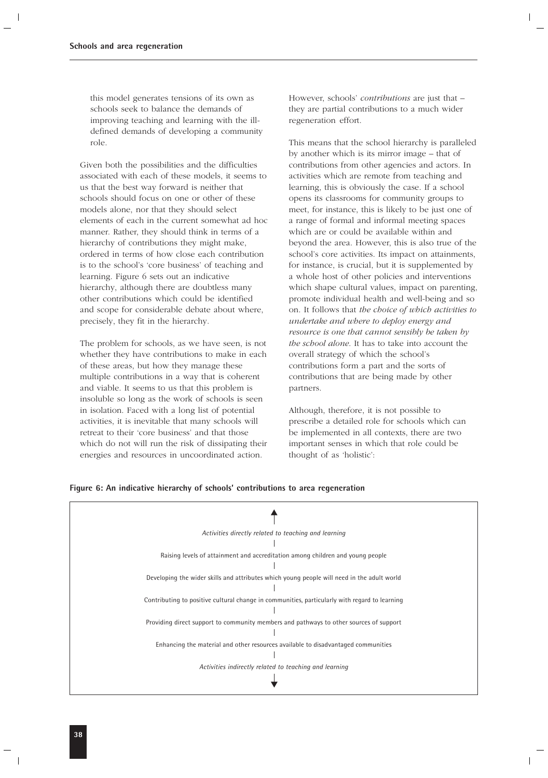this model generates tensions of its own as schools seek to balance the demands of improving teaching and learning with the illdefined demands of developing a community role.

Given both the possibilities and the difficulties associated with each of these models, it seems to us that the best way forward is neither that schools should focus on one or other of these models alone, nor that they should select elements of each in the current somewhat ad hoc manner. Rather, they should think in terms of a hierarchy of contributions they might make, ordered in terms of how close each contribution is to the school's 'core business' of teaching and learning. Figure 6 sets out an indicative hierarchy, although there are doubtless many other contributions which could be identified and scope for considerable debate about where, precisely, they fit in the hierarchy.

The problem for schools, as we have seen, is not whether they have contributions to make in each of these areas, but how they manage these multiple contributions in a way that is coherent and viable. It seems to us that this problem is insoluble so long as the work of schools is seen in isolation. Faced with a long list of potential activities, it is inevitable that many schools will retreat to their 'core business' and that those which do not will run the risk of dissipating their energies and resources in uncoordinated action.

However, schools' *contributions* are just that – they are partial contributions to a much wider regeneration effort.

This means that the school hierarchy is paralleled by another which is its mirror image – that of contributions from other agencies and actors. In activities which are remote from teaching and learning, this is obviously the case. If a school opens its classrooms for community groups to meet, for instance, this is likely to be just one of a range of formal and informal meeting spaces which are or could be available within and beyond the area. However, this is also true of the school's core activities. Its impact on attainments, for instance, is crucial, but it is supplemented by a whole host of other policies and interventions which shape cultural values, impact on parenting, promote individual health and well-being and so on. It follows that *the choice of which activities to undertake and where to deploy energy and resource is one that cannot sensibly be taken by the school alone*. It has to take into account the overall strategy of which the school's contributions form a part and the sorts of contributions that are being made by other partners.

Although, therefore, it is not possible to prescribe a detailed role for schools which can be implemented in all contexts, there are two important senses in which that role could be thought of as 'holistic':



### **Figure 6: An indicative hierarchy of schools' contributions to area regeneration**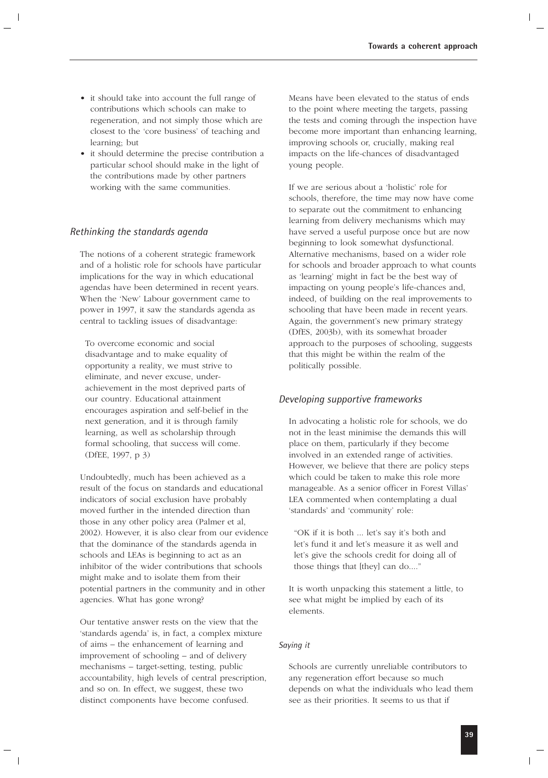- it should take into account the full range of contributions which schools can make to regeneration, and not simply those which are closest to the 'core business' of teaching and learning; but
- it should determine the precise contribution a particular school should make in the light of the contributions made by other partners working with the same communities.

### *Rethinking the standards agenda*

The notions of a coherent strategic framework and of a holistic role for schools have particular implications for the way in which educational agendas have been determined in recent years. When the 'New' Labour government came to power in 1997, it saw the standards agenda as central to tackling issues of disadvantage:

To overcome economic and social disadvantage and to make equality of opportunity a reality, we must strive to eliminate, and never excuse, underachievement in the most deprived parts of our country. Educational attainment encourages aspiration and self-belief in the next generation, and it is through family learning, as well as scholarship through formal schooling, that success will come. (DfEE, 1997, p 3)

Undoubtedly, much has been achieved as a result of the focus on standards and educational indicators of social exclusion have probably moved further in the intended direction than those in any other policy area (Palmer et al, 2002). However, it is also clear from our evidence that the dominance of the standards agenda in schools and LEAs is beginning to act as an inhibitor of the wider contributions that schools might make and to isolate them from their potential partners in the community and in other agencies. What has gone wrong?

Our tentative answer rests on the view that the 'standards agenda' is, in fact, a complex mixture of aims – the enhancement of learning and improvement of schooling – and of delivery mechanisms – target-setting, testing, public accountability, high levels of central prescription, and so on. In effect, we suggest, these two distinct components have become confused.

Means have been elevated to the status of ends to the point where meeting the targets, passing the tests and coming through the inspection have become more important than enhancing learning, improving schools or, crucially, making real impacts on the life-chances of disadvantaged young people.

If we are serious about a 'holistic' role for schools, therefore, the time may now have come to separate out the commitment to enhancing learning from delivery mechanisms which may have served a useful purpose once but are now beginning to look somewhat dysfunctional. Alternative mechanisms, based on a wider role for schools and broader approach to what counts as 'learning' might in fact be the best way of impacting on young people's life-chances and, indeed, of building on the real improvements to schooling that have been made in recent years. Again, the government's new primary strategy (DfES, 2003b), with its somewhat broader approach to the purposes of schooling, suggests that this might be within the realm of the politically possible.

### *Developing supportive frameworks*

In advocating a holistic role for schools, we do not in the least minimise the demands this will place on them, particularly if they become involved in an extended range of activities. However, we believe that there are policy steps which could be taken to make this role more manageable. As a senior officer in Forest Villas' LEA commented when contemplating a dual 'standards' and 'community' role:

"OK if it is both ... let's say it's both and let's fund it and let's measure it as well and let's give the schools credit for doing all of those things that [they] can do...."

It is worth unpacking this statement a little, to see what might be implied by each of its elements.

### *Saying it*

Schools are currently unreliable contributors to any regeneration effort because so much depends on what the individuals who lead them see as their priorities. It seems to us that if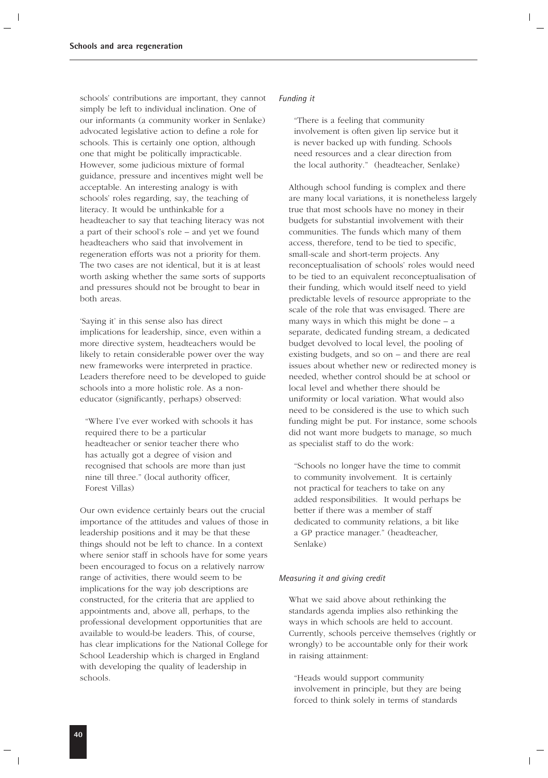schools' contributions are important, they cannot simply be left to individual inclination. One of our informants (a community worker in Senlake) advocated legislative action to define a role for schools. This is certainly one option, although one that might be politically impracticable. However, some judicious mixture of formal guidance, pressure and incentives might well be acceptable. An interesting analogy is with schools' roles regarding, say, the teaching of literacy. It would be unthinkable for a headteacher to say that teaching literacy was not a part of their school's role – and yet we found headteachers who said that involvement in regeneration efforts was not a priority for them. The two cases are not identical, but it is at least worth asking whether the same sorts of supports and pressures should not be brought to bear in both areas.

'Saying it' in this sense also has direct implications for leadership, since, even within a more directive system, headteachers would be likely to retain considerable power over the way new frameworks were interpreted in practice. Leaders therefore need to be developed to guide schools into a more holistic role. As a noneducator (significantly, perhaps) observed:

"Where I've ever worked with schools it has required there to be a particular headteacher or senior teacher there who has actually got a degree of vision and recognised that schools are more than just nine till three." (local authority officer, Forest Villas)

Our own evidence certainly bears out the crucial importance of the attitudes and values of those in leadership positions and it may be that these things should not be left to chance. In a context where senior staff in schools have for some years been encouraged to focus on a relatively narrow range of activities, there would seem to be implications for the way job descriptions are constructed, for the criteria that are applied to appointments and, above all, perhaps, to the professional development opportunities that are available to would-be leaders. This, of course, has clear implications for the National College for School Leadership which is charged in England with developing the quality of leadership in schools.

### *Funding it*

"There is a feeling that community involvement is often given lip service but it is never backed up with funding. Schools need resources and a clear direction from the local authority." (headteacher, Senlake)

Although school funding is complex and there are many local variations, it is nonetheless largely true that most schools have no money in their budgets for substantial involvement with their communities. The funds which many of them access, therefore, tend to be tied to specific, small-scale and short-term projects. Any reconceptualisation of schools' roles would need to be tied to an equivalent reconceptualisation of their funding, which would itself need to yield predictable levels of resource appropriate to the scale of the role that was envisaged. There are many ways in which this might be done  $- a$ separate, dedicated funding stream, a dedicated budget devolved to local level, the pooling of existing budgets, and so on – and there are real issues about whether new or redirected money is needed, whether control should be at school or local level and whether there should be uniformity or local variation. What would also need to be considered is the use to which such funding might be put. For instance, some schools did not want more budgets to manage, so much as specialist staff to do the work:

"Schools no longer have the time to commit to community involvement. It is certainly not practical for teachers to take on any added responsibilities. It would perhaps be better if there was a member of staff dedicated to community relations, a bit like a GP practice manager." (headteacher, Senlake)

### *Measuring it and giving credit*

What we said above about rethinking the standards agenda implies also rethinking the ways in which schools are held to account. Currently, schools perceive themselves (rightly or wrongly) to be accountable only for their work in raising attainment:

"Heads would support community involvement in principle, but they are being forced to think solely in terms of standards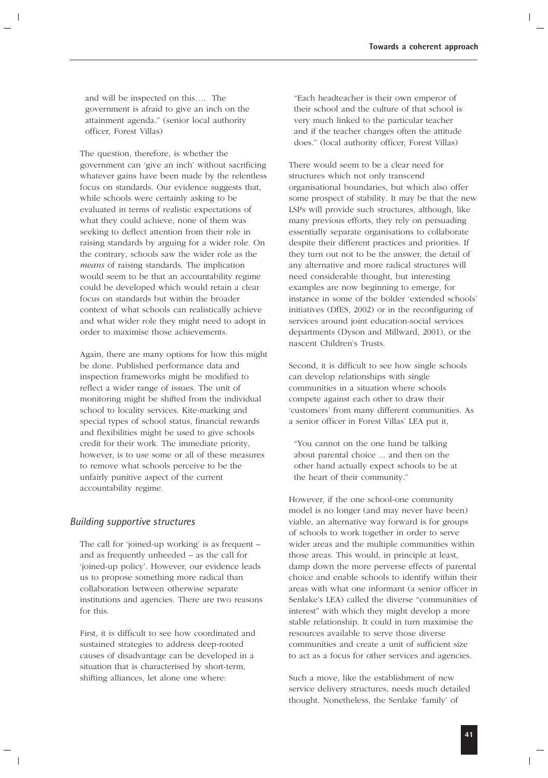and will be inspected on this…. The government is afraid to give an inch on the attainment agenda." (senior local authority officer, Forest Villas)

The question, therefore, is whether the government can 'give an inch' without sacrificing whatever gains have been made by the relentless focus on standards. Our evidence suggests that, while schools were certainly asking to be evaluated in terms of realistic expectations of what they could achieve, none of them was seeking to deflect attention from their role in raising standards by arguing for a wider role. On the contrary, schools saw the wider role as the *means* of raising standards. The implication would seem to be that an accountability regime could be developed which would retain a clear focus on standards but within the broader context of what schools can realistically achieve and what wider role they might need to adopt in order to maximise those achievements.

Again, there are many options for how this might be done. Published performance data and inspection frameworks might be modified to reflect a wider range of issues. The unit of monitoring might be shifted from the individual school to locality services. Kite-marking and special types of school status, financial rewards and flexibilities might be used to give schools credit for their work. The immediate priority, however, is to use some or all of these measures to remove what schools perceive to be the unfairly punitive aspect of the current accountability regime.

### *Building supportive structures*

The call for 'joined-up working' is as frequent – and as frequently unheeded – as the call for 'joined-up policy'. However, our evidence leads us to propose something more radical than collaboration between otherwise separate institutions and agencies. There are two reasons for this.

First, it is difficult to see how coordinated and sustained strategies to address deep-rooted causes of disadvantage can be developed in a situation that is characterised by short-term, shifting alliances, let alone one where:

"Each headteacher is their own emperor of their school and the culture of that school is very much linked to the particular teacher and if the teacher changes often the attitude does." (local authority officer, Forest Villas)

There would seem to be a clear need for structures which not only transcend organisational boundaries, but which also offer some prospect of stability. It may be that the new LSPs will provide such structures, although, like many previous efforts, they rely on persuading essentially separate organisations to collaborate despite their different practices and priorities. If they turn out not to be the answer, the detail of any alternative and more radical structures will need considerable thought, but interesting examples are now beginning to emerge, for instance in some of the bolder 'extended schools' initiatives (DfES, 2002) or in the reconfiguring of services around joint education-social services departments (Dyson and Millward, 2001), or the nascent Children's Trusts.

Second, it is difficult to see how single schools can develop relationships with single communities in a situation where schools compete against each other to draw their 'customers' from many different communities. As a senior officer in Forest Villas' LEA put it,

"You cannot on the one hand be talking about parental choice ... and then on the other hand actually expect schools to be at the heart of their community."

However, if the one school-one community model is no longer (and may never have been) viable, an alternative way forward is for groups of schools to work together in order to serve wider areas and the multiple communities within those areas. This would, in principle at least, damp down the more perverse effects of parental choice and enable schools to identify within their areas with what one informant (a senior officer in Senlake's LEA) called the diverse "communities of interest" with which they might develop a more stable relationship. It could in turn maximise the resources available to serve those diverse communities and create a unit of sufficient size to act as a focus for other services and agencies.

Such a move, like the establishment of new service delivery structures, needs much detailed thought. Nonetheless, the Senlake 'family' of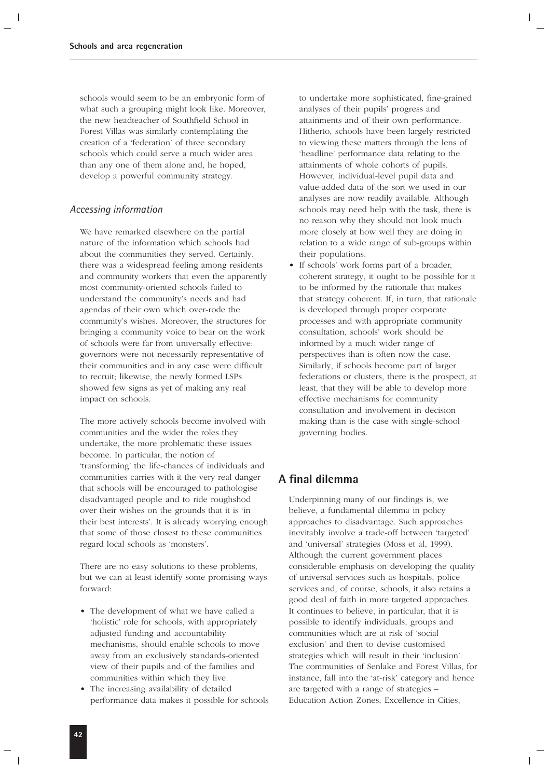schools would seem to be an embryonic form of what such a grouping might look like. Moreover, the new headteacher of Southfield School in Forest Villas was similarly contemplating the creation of a 'federation' of three secondary schools which could serve a much wider area than any one of them alone and, he hoped, develop a powerful community strategy.

### *Accessing information*

We have remarked elsewhere on the partial nature of the information which schools had about the communities they served. Certainly, there was a widespread feeling among residents and community workers that even the apparently most community-oriented schools failed to understand the community's needs and had agendas of their own which over-rode the community's wishes. Moreover, the structures for bringing a community voice to bear on the work of schools were far from universally effective: governors were not necessarily representative of their communities and in any case were difficult to recruit; likewise, the newly formed LSPs showed few signs as yet of making any real impact on schools.

The more actively schools become involved with communities and the wider the roles they undertake, the more problematic these issues become. In particular, the notion of 'transforming' the life-chances of individuals and communities carries with it the very real danger that schools will be encouraged to pathologise disadvantaged people and to ride roughshod over their wishes on the grounds that it is 'in their best interests'. It is already worrying enough that some of those closest to these communities regard local schools as 'monsters'.

There are no easy solutions to these problems, but we can at least identify some promising ways forward:

- The development of what we have called a 'holistic' role for schools, with appropriately adjusted funding and accountability mechanisms, should enable schools to move away from an exclusively standards-oriented view of their pupils and of the families and communities within which they live.
- The increasing availability of detailed performance data makes it possible for schools

to undertake more sophisticated, fine-grained analyses of their pupils' progress and attainments and of their own performance. Hitherto, schools have been largely restricted to viewing these matters through the lens of 'headline' performance data relating to the attainments of whole cohorts of pupils. However, individual-level pupil data and value-added data of the sort we used in our analyses are now readily available. Although schools may need help with the task, there is no reason why they should not look much more closely at how well they are doing in relation to a wide range of sub-groups within their populations.

• If schools' work forms part of a broader, coherent strategy, it ought to be possible for it to be informed by the rationale that makes that strategy coherent. If, in turn, that rationale is developed through proper corporate processes and with appropriate community consultation, schools' work should be informed by a much wider range of perspectives than is often now the case. Similarly, if schools become part of larger federations or clusters, there is the prospect, at least, that they will be able to develop more effective mechanisms for community consultation and involvement in decision making than is the case with single-school governing bodies.

### **A final dilemma**

Underpinning many of our findings is, we believe, a fundamental dilemma in policy approaches to disadvantage. Such approaches inevitably involve a trade-off between 'targeted' and 'universal' strategies (Moss et al, 1999). Although the current government places considerable emphasis on developing the quality of universal services such as hospitals, police services and, of course, schools, it also retains a good deal of faith in more targeted approaches. It continues to believe, in particular, that it is possible to identify individuals, groups and communities which are at risk of 'social exclusion' and then to devise customised strategies which will result in their 'inclusion'. The communities of Senlake and Forest Villas, for instance, fall into the 'at-risk' category and hence are targeted with a range of strategies – Education Action Zones, Excellence in Cities,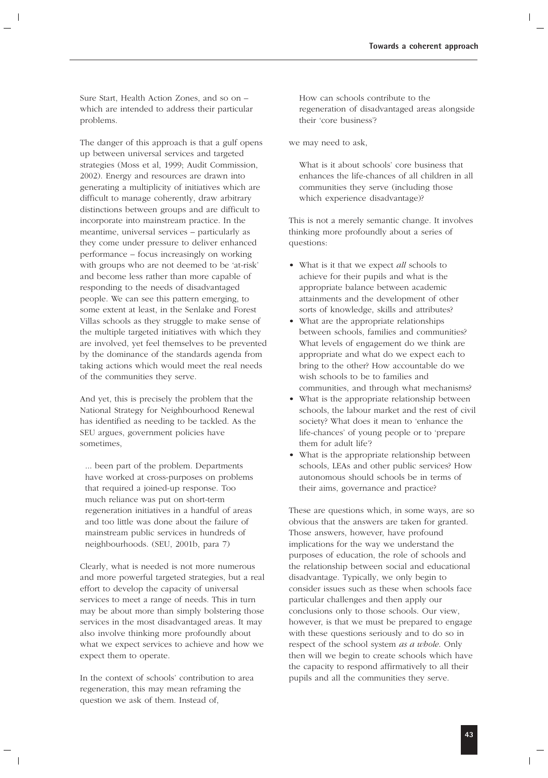Sure Start, Health Action Zones, and so on – which are intended to address their particular problems.

The danger of this approach is that a gulf opens up between universal services and targeted strategies (Moss et al, 1999; Audit Commission, 2002). Energy and resources are drawn into generating a multiplicity of initiatives which are difficult to manage coherently, draw arbitrary distinctions between groups and are difficult to incorporate into mainstream practice. In the meantime, universal services – particularly as they come under pressure to deliver enhanced performance – focus increasingly on working with groups who are not deemed to be 'at-risk' and become less rather than more capable of responding to the needs of disadvantaged people. We can see this pattern emerging, to some extent at least, in the Senlake and Forest Villas schools as they struggle to make sense of the multiple targeted initiatives with which they are involved, yet feel themselves to be prevented by the dominance of the standards agenda from taking actions which would meet the real needs of the communities they serve.

And yet, this is precisely the problem that the National Strategy for Neighbourhood Renewal has identified as needing to be tackled. As the SEU argues, government policies have sometimes,

... been part of the problem. Departments have worked at cross-purposes on problems that required a joined-up response. Too much reliance was put on short-term regeneration initiatives in a handful of areas and too little was done about the failure of mainstream public services in hundreds of neighbourhoods. (SEU, 2001b, para 7)

Clearly, what is needed is not more numerous and more powerful targeted strategies, but a real effort to develop the capacity of universal services to meet a range of needs. This in turn may be about more than simply bolstering those services in the most disadvantaged areas. It may also involve thinking more profoundly about what we expect services to achieve and how we expect them to operate.

In the context of schools' contribution to area regeneration, this may mean reframing the question we ask of them. Instead of,

How can schools contribute to the regeneration of disadvantaged areas alongside their 'core business'?

we may need to ask,

What is it about schools' core business that enhances the life-chances of all children in all communities they serve (including those which experience disadvantage)?

This is not a merely semantic change. It involves thinking more profoundly about a series of questions:

- What is it that we expect *all* schools to achieve for their pupils and what is the appropriate balance between academic attainments and the development of other sorts of knowledge, skills and attributes?
- What are the appropriate relationships between schools, families and communities? What levels of engagement do we think are appropriate and what do we expect each to bring to the other? How accountable do we wish schools to be to families and communities, and through what mechanisms?
- What is the appropriate relationship between schools, the labour market and the rest of civil society? What does it mean to 'enhance the life-chances' of young people or to 'prepare them for adult life'?
- What is the appropriate relationship between schools, LEAs and other public services? How autonomous should schools be in terms of their aims, governance and practice?

These are questions which, in some ways, are so obvious that the answers are taken for granted. Those answers, however, have profound implications for the way we understand the purposes of education, the role of schools and the relationship between social and educational disadvantage. Typically, we only begin to consider issues such as these when schools face particular challenges and then apply our conclusions only to those schools. Our view, however, is that we must be prepared to engage with these questions seriously and to do so in respect of the school system *as a whole*. Only then will we begin to create schools which have the capacity to respond affirmatively to all their pupils and all the communities they serve.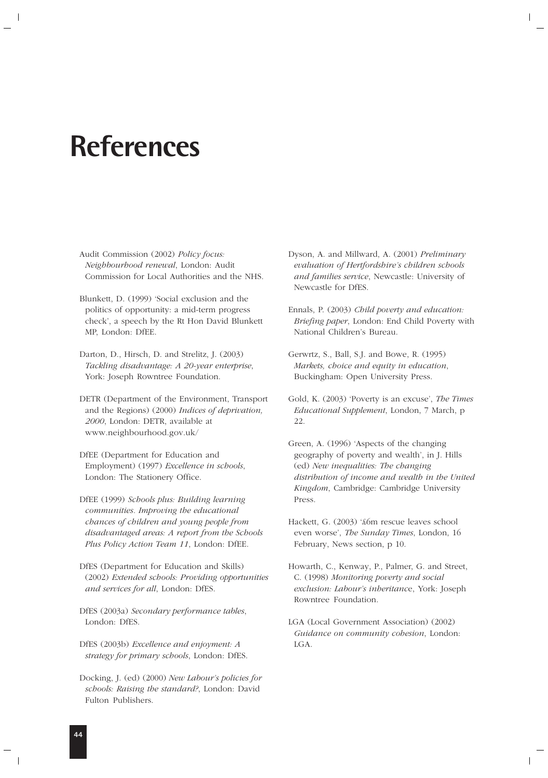# **References**

Audit Commission (2002) *Policy focus: Neighbourhood renewal*, London: Audit Commission for Local Authorities and the NHS.

Blunkett, D. (1999) 'Social exclusion and the politics of opportunity: a mid-term progress check', a speech by the Rt Hon David Blunkett MP, London: DfEE.

Darton, D., Hirsch, D. and Strelitz, J. (2003) *Tackling disadvantage: A 20-year enterprise*, York: Joseph Rowntree Foundation.

DETR (Department of the Environment, Transport and the Regions) (2000) *Indices of deprivation, 2000*, London: DETR, available at www.neighbourhood.gov.uk/

DfEE (Department for Education and Employment) (1997) *Excellence in schools*, London: The Stationery Office.

DfEE (1999) *Schools plus: Building learning communities. Improving the educational chances of children and young people from disadvantaged areas: A report from the Schools Plus Policy Action Team 11*, London: DfEE.

DfES (Department for Education and Skills) (2002) *Extended schools: Providing opportunities and services for all*, London: DfES.

DfES (2003a) *Secondary performance tables*, London: DfES.

DfES (2003b) *Excellence and enjoyment: A strategy for primary schools*, London: DfES.

Docking, J. (ed) (2000) *New Labour's policies for schools: Raising the standard?*, London: David Fulton Publishers.

Dyson, A. and Millward, A. (2001) *Preliminary evaluation of Hertfordshire's children schools and families service*, Newcastle: University of Newcastle for DfES.

Ennals, P. (2003) *Child poverty and education: Briefing paper*, London: End Child Poverty with National Children's Bureau.

Gerwrtz, S., Ball, S.J. and Bowe, R. (1995) *Markets, choice and equity in education*, Buckingham: Open University Press.

Gold, K. (2003) 'Poverty is an excuse', *The Times Educational Supplement*, London, 7 March, p 22.

Green, A. (1996) 'Aspects of the changing geography of poverty and wealth', in J. Hills (ed) *New inequalities: The changing distribution of income and wealth in the United Kingdom*, Cambridge: Cambridge University Press.

Hackett, G. (2003) '£6m rescue leaves school even worse', *The Sunday Times*, London, 16 February, News section, p 10.

Howarth, C., Kenway, P., Palmer, G. and Street, C. (1998) *Monitoring poverty and social exclusion: Labour's inheritanc*e, York: Joseph Rowntree Foundation.

LGA (Local Government Association) (2002) *Guidance on community cohesion*, London: LGA.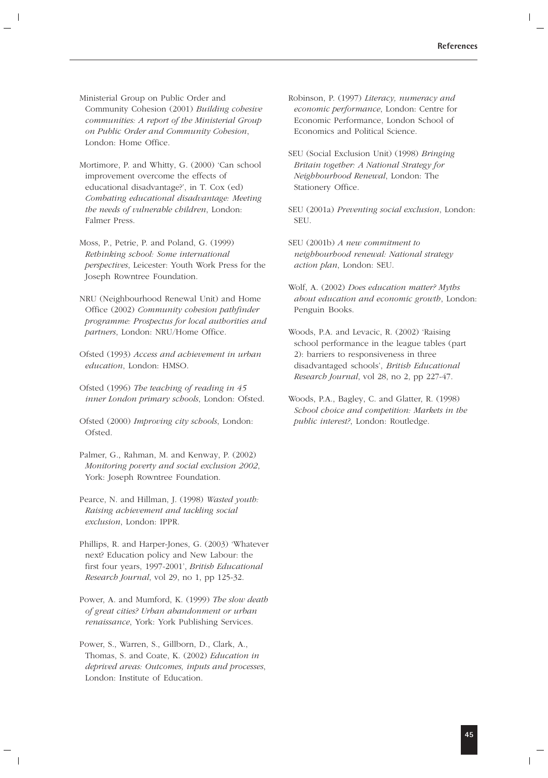Ministerial Group on Public Order and Community Cohesion (2001) *Building cohesive communities: A report of the Ministerial Group on Public Order and Community Cohesion*, London: Home Office.

Mortimore, P. and Whitty, G. (2000) 'Can school improvement overcome the effects of educational disadvantage?', in T. Cox (ed) *Combating educational disadvantage: Meeting the needs of vulnerable children*, London: Falmer Press.

Moss, P., Petrie, P. and Poland, G. (1999) *Rethinking school: Some international perspectives*, Leicester: Youth Work Press for the Joseph Rowntree Foundation.

- NRU (Neighbourhood Renewal Unit) and Home Office (2002) *Community cohesion pathfinder programme: Prospectus for local authorities and partners*, London: NRU/Home Office.
- Ofsted (1993) *Access and achievement in urban education*, London: HMSO.
- Ofsted (1996) *The teaching of reading in 45 inner London primary schools*, London: Ofsted.
- Ofsted (2000) *Improving city schools*, London: Ofsted.
- Palmer, G., Rahman, M. and Kenway, P. (2002) *Monitoring poverty and social exclusion 2002*, York: Joseph Rowntree Foundation.
- Pearce, N. and Hillman, J. (1998) *Wasted youth: Raising achievement and tackling social exclusion*, London: IPPR.
- Phillips, R. and Harper-Jones, G. (2003) 'Whatever next? Education policy and New Labour: the first four years, 1997-2001', *British Educational Research Journal*, vol 29, no 1, pp 125-32.
- Power, A. and Mumford, K. (1999) *The slow death of great cities? Urban abandonment or urban renaissance*, York: York Publishing Services.
- Power, S., Warren, S., Gillborn, D., Clark, A., Thomas, S. and Coate, K. (2002) *Education in deprived areas: Outcomes, inputs and processes*, London: Institute of Education.
- Robinson, P. (1997) *Literacy, numeracy and economic performance*, London: Centre for Economic Performance, London School of Economics and Political Science.
- SEU (Social Exclusion Unit) (1998) *Bringing Britain together: A National Strategy for Neighbourhood Renewal*, London: The Stationery Office.
- SEU (2001a) *Preventing social exclusion*, London: **SEU**.
- SEU (2001b) *A new commitment to neighbourhood renewal: National strategy action plan*, London: SEU.
- Wolf, A. (2002) *Does education matter? Myths about education and economic growth*, London: Penguin Books.
- Woods, P.A. and Levacic, R. (2002) 'Raising school performance in the league tables (part 2): barriers to responsiveness in three disadvantaged schools', *British Educational Research Journal*, vol 28, no 2, pp 227-47.
- Woods, P.A., Bagley, C. and Glatter, R. (1998) *School choice and competition: Markets in the public interest?*, London: Routledge.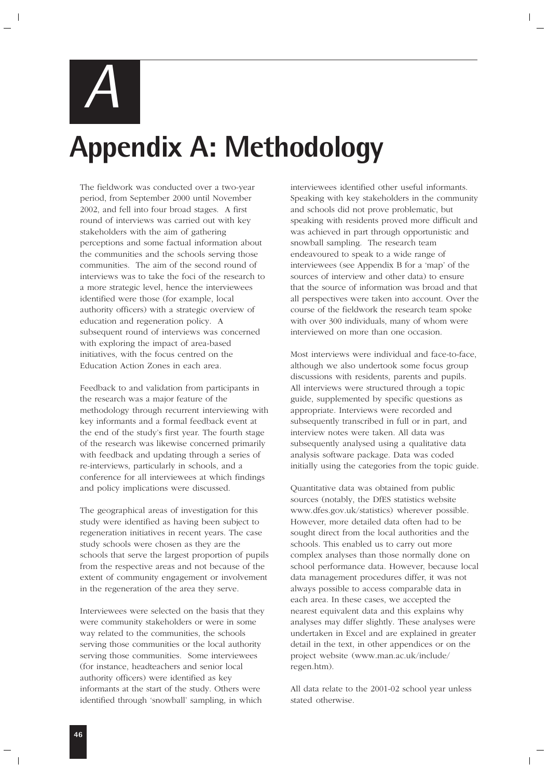*A*

# **Appendix A: Methodology**

The fieldwork was conducted over a two-year period, from September 2000 until November 2002, and fell into four broad stages. A first round of interviews was carried out with key stakeholders with the aim of gathering perceptions and some factual information about the communities and the schools serving those communities. The aim of the second round of interviews was to take the foci of the research to a more strategic level, hence the interviewees identified were those (for example, local authority officers) with a strategic overview of education and regeneration policy. A subsequent round of interviews was concerned with exploring the impact of area-based initiatives, with the focus centred on the Education Action Zones in each area.

Feedback to and validation from participants in the research was a major feature of the methodology through recurrent interviewing with key informants and a formal feedback event at the end of the study's first year. The fourth stage of the research was likewise concerned primarily with feedback and updating through a series of re-interviews, particularly in schools, and a conference for all interviewees at which findings and policy implications were discussed.

The geographical areas of investigation for this study were identified as having been subject to regeneration initiatives in recent years. The case study schools were chosen as they are the schools that serve the largest proportion of pupils from the respective areas and not because of the extent of community engagement or involvement in the regeneration of the area they serve.

Interviewees were selected on the basis that they were community stakeholders or were in some way related to the communities, the schools serving those communities or the local authority serving those communities. Some interviewees (for instance, headteachers and senior local authority officers) were identified as key informants at the start of the study. Others were identified through 'snowball' sampling, in which

interviewees identified other useful informants. Speaking with key stakeholders in the community and schools did not prove problematic, but speaking with residents proved more difficult and was achieved in part through opportunistic and snowball sampling. The research team endeavoured to speak to a wide range of interviewees (see Appendix B for a 'map' of the sources of interview and other data) to ensure that the source of information was broad and that all perspectives were taken into account. Over the course of the fieldwork the research team spoke with over 300 individuals, many of whom were interviewed on more than one occasion.

Most interviews were individual and face-to-face, although we also undertook some focus group discussions with residents, parents and pupils. All interviews were structured through a topic guide, supplemented by specific questions as appropriate. Interviews were recorded and subsequently transcribed in full or in part, and interview notes were taken. All data was subsequently analysed using a qualitative data analysis software package. Data was coded initially using the categories from the topic guide.

Quantitative data was obtained from public sources (notably, the DfES statistics website www.dfes.gov.uk/statistics) wherever possible. However, more detailed data often had to be sought direct from the local authorities and the schools. This enabled us to carry out more complex analyses than those normally done on school performance data. However, because local data management procedures differ, it was not always possible to access comparable data in each area. In these cases, we accepted the nearest equivalent data and this explains why analyses may differ slightly. These analyses were undertaken in Excel and are explained in greater detail in the text, in other appendices or on the project website (www.man.ac.uk/include/ regen.htm).

All data relate to the 2001-02 school year unless stated otherwise.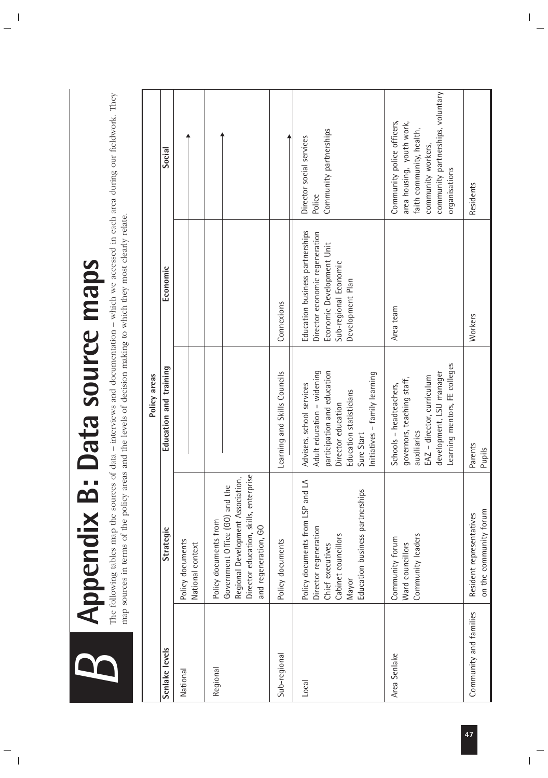

# **Appendix B: Data SOUICE Maps** or data – interviews and documentation – which we accessed in each area during our fieldwork. They **Appendix B: Data source maps**

The following tables map the sources of data – interviews and documentation – which we accessed in each area during our fieldwork. They map sources in terms of the policy areas and the levels of decision making to which they most clearly relate. map sources in terms of the policy areas and the levels of decision making to which they most clearly relate.

|              | Social                 |                                      |                                                                                                                                                                |                              | Community partnerships<br>Director social services<br>Police                                                                                                                           | community partnerships, voluntary<br>Community police officers,<br>area housing, youth work,<br>faith community, health,<br>community workers,<br>organisations | Residents                                          |
|--------------|------------------------|--------------------------------------|----------------------------------------------------------------------------------------------------------------------------------------------------------------|------------------------------|----------------------------------------------------------------------------------------------------------------------------------------------------------------------------------------|-----------------------------------------------------------------------------------------------------------------------------------------------------------------|----------------------------------------------------|
|              | Economic               |                                      |                                                                                                                                                                | Connexions                   | Education business partnerships<br>Director economic regeneration<br>Economic Development Unit<br>Sub-regional Economic<br>Development Plan                                            | Area team                                                                                                                                                       | Workers                                            |
| Policy areas | Education and training |                                      |                                                                                                                                                                | Learning and Skills Councils | Adult education - widening<br>participation and education<br>Initiatives - family learning<br>Advisers, school services<br>Education statisticians<br>Director education<br>Sure Start | Learning mentors, FE colleges<br>development, LSU manager<br>EAZ - director, curriculum<br>governors, teaching staff,<br>Schools - headteachers,<br>auxiliaries | Parents<br>Pupils                                  |
|              | Strategic              | Policy documents<br>National context | Director education, skills, enterprise<br>Regional Development Association,<br>Government Office (GO) and the<br>Policy documents from<br>and regeneration, GO | Policy documents             | Policy documents from LSP and LA<br>Education business partnerships<br>Director regeneration<br>Cabinet councillors<br>Chief executives<br>Mayor                                       | Community leaders<br>Community forum<br>Ward councillors                                                                                                        | on the community forum<br>Resident representatives |
|              | Senlake levels         | National                             | Regional                                                                                                                                                       | Sub-regional                 | Local                                                                                                                                                                                  | Area Senlake                                                                                                                                                    | Community and families                             |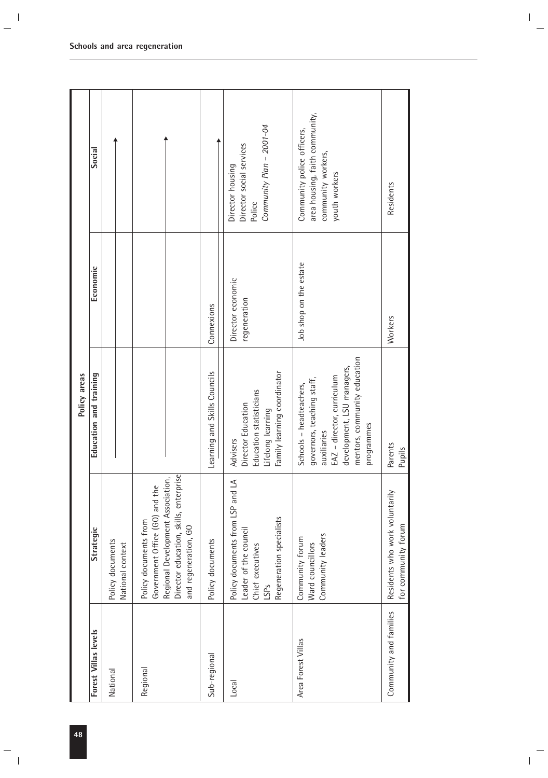|                        |                                                                                                                                                                | Policy areas                                                                                                                                                                   |                                   |                                                                                                     |
|------------------------|----------------------------------------------------------------------------------------------------------------------------------------------------------------|--------------------------------------------------------------------------------------------------------------------------------------------------------------------------------|-----------------------------------|-----------------------------------------------------------------------------------------------------|
| Forest Villas levels   | Strategic                                                                                                                                                      | Education and training                                                                                                                                                         | Economic                          | Social                                                                                              |
| National               | Policy documents<br>National context                                                                                                                           |                                                                                                                                                                                |                                   |                                                                                                     |
| Regional               | Director education, skills, enterprise<br>Regional Development Association,<br>Government Office (GO) and the<br>Policy documents from<br>and regeneration, GO |                                                                                                                                                                                |                                   |                                                                                                     |
| Sub-regional           | Policy documents                                                                                                                                               | Learning and Skills Councils                                                                                                                                                   | Connexions                        |                                                                                                     |
| Local                  | Policy documents from LSP and LA<br>Regeneration specialists<br>Leader of the council<br>Chief executives<br>LSP <sub>S</sub>                                  | Family learning coordinator<br>Education statisticians<br>Director Education<br>Lifelong learning<br>Advisers                                                                  | Director economic<br>regeneration | Community Plan - 2001-04<br>Director social services<br>Director housing<br>Police                  |
| Area Forest Villas     | Community leaders<br>Community forum<br>Ward councillors                                                                                                       | mentors, community education<br>development, LSU managers,<br>EAZ - director, curriculum<br>governors, teaching staff,<br>Schools - headteachers,<br>programmes<br>auxiliaries | Job shop on the estate            | area housing, faith community,<br>Community police officers,<br>community workers,<br>youth workers |
| Community and families | Residents who work voluntarily<br>for community forum                                                                                                          | Parents<br>Pupils                                                                                                                                                              | Workers                           | Residents                                                                                           |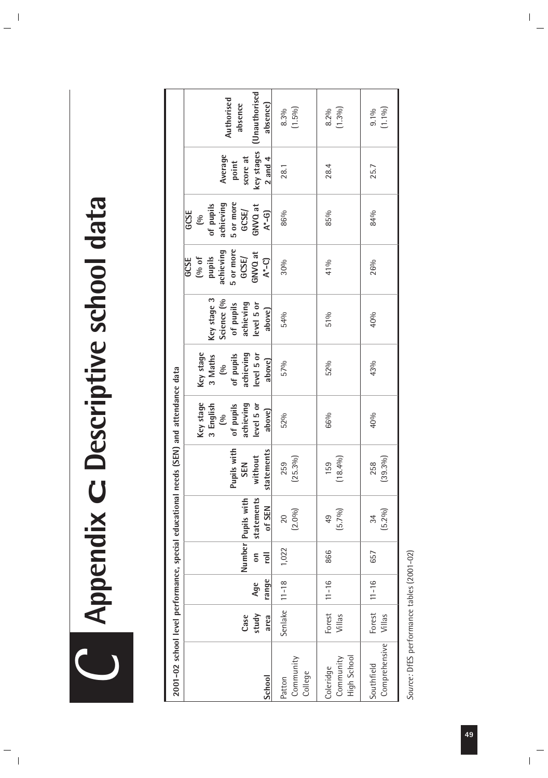**Appendix C: Descriptive school data Appendix C: Descriptive school data** 

| 2001-02 school level performance, special educational needs |                       |              |                                  |                                            |                                                | (SEN) and attendance data                                                            |                                                                                   |                                                                             |                                                                                                  |                                                                                            |                                                           |                                                   |
|-------------------------------------------------------------|-----------------------|--------------|----------------------------------|--------------------------------------------|------------------------------------------------|--------------------------------------------------------------------------------------|-----------------------------------------------------------------------------------|-----------------------------------------------------------------------------|--------------------------------------------------------------------------------------------------|--------------------------------------------------------------------------------------------|-----------------------------------------------------------|---------------------------------------------------|
| School                                                      | study<br>Case<br>area | range<br>Age | $\overline{e}$<br>$\overline{5}$ | statements<br>Number Pupils with<br>of SEN | with<br>statements<br>without<br>SEN<br>Pupils | Key stage<br>achieving<br>level 5 or<br>3 English<br>of pupils<br>above)<br>$\infty$ | Key stage<br>evel 5 or<br>achieving<br>of pupils<br>3 Maths<br>above)<br>$\infty$ | Key stage 3<br>Science (%<br>of pupils<br>achieving<br>level 5 or<br>above) | 5 or more<br>achieving<br>GNVQ at<br>GCSE/<br>pupils<br>$(96 \t{of}$<br>$A^*$ –C)<br><b>GCSE</b> | 5 or more<br>achieving<br>of pupils<br>GNVQ at<br>GCSE/<br>$A*-G$<br>GCSE<br>$\frac{8}{2}$ | key stages<br>Average<br>score at<br>$2$ and $4$<br>point | Unauthorised<br>Authorised<br>absence)<br>absence |
| Community<br>College<br>Patton                              | Senlake               | $11 - 18$    | 1,022                            | (2.0%)<br>20                               | $(25.3\%)$<br>259                              | 52%                                                                                  | 57%                                                                               | 54%                                                                         | 30%                                                                                              | 86%                                                                                        | 28.1                                                      | $(1.5\%)$<br>8.3%                                 |
| High School<br>Community<br>Coleridge                       | Forest<br>Villas      | $11 - 16$    | 866                              | (5.7%)<br>49                               | (18.4%)<br>159                                 | 66%                                                                                  | 52%                                                                               | 51%                                                                         | 41%                                                                                              | 85%                                                                                        | 28.4                                                      | (1.306)<br>8.2%                                   |
| Comprehensive<br>Southfield                                 | Forest<br>Villas      | $11 - 16$    | 657                              | $(5.2\%)$<br>34                            | $(39.3\%)$<br>258                              | 40%                                                                                  | 43%                                                                               | 40%                                                                         | 26%                                                                                              | 84%                                                                                        | 25.7                                                      | $(1.1\%)$<br>9.1%                                 |

Source: DfES performance tables (2001-02) *Source:* DfES performance tables (2001-02)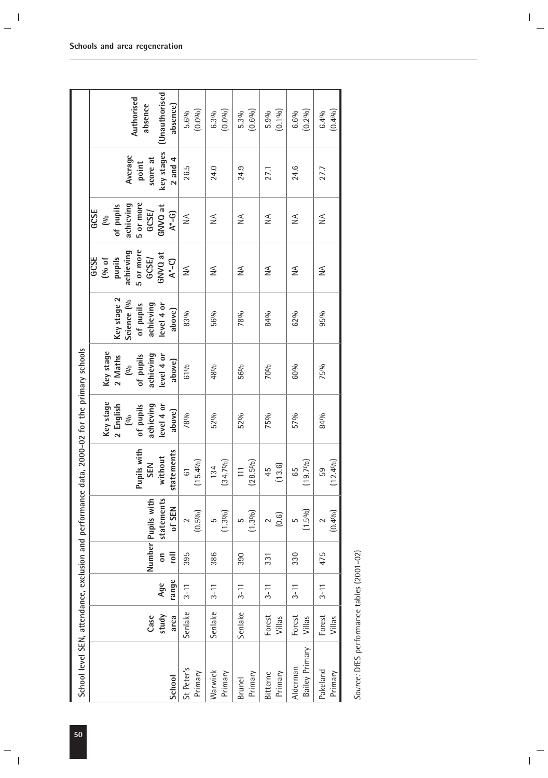| School level SEN, attendance, exclusion and performance data, 2000-02 for the primary schools |                       |              |                                  |                                            |                                                    |                                                                                |                                                                              |                                                                             |                                                                                  |                                                                                 |                                                           |                                                          |
|-----------------------------------------------------------------------------------------------|-----------------------|--------------|----------------------------------|--------------------------------------------|----------------------------------------------------|--------------------------------------------------------------------------------|------------------------------------------------------------------------------|-----------------------------------------------------------------------------|----------------------------------------------------------------------------------|---------------------------------------------------------------------------------|-----------------------------------------------------------|----------------------------------------------------------|
| School                                                                                        | study<br>Case<br>area | range<br>Age | $\overline{a}$<br>$\overline{5}$ | statements<br>Number Pupils with<br>of SEN | Pupils with<br>statements<br>without<br><b>SEN</b> | Key stage<br>2 English<br>achieving<br>level 4 or<br>of pupils<br>above)<br>ల్ | Key stage<br>achieving<br>level 4 or<br>of pupils<br>2 Maths<br>above)<br>ల్ | Key stage 2<br>Science (%<br>achieving<br>level 4 or<br>of pupils<br>above) | 5 or more<br>achieving<br>GNVQ at<br>pupils<br>GCSE/<br>GCSE<br>(% of<br>$A^*-C$ | 5 or more<br>achieving<br>of pupils<br>GNVQ at<br>GCSE/<br>GCSE<br>$A*-G$<br>60 | key stages<br>Average<br>score at<br>$2$ and $4$<br>point | <b>Unauthorised</b><br>Authorised<br>absence<br>absence) |
| St Peter's<br>Primary                                                                         | Senlake               | $3 - 11$     | 395                              | $(0.5\%)$                                  | (15.4%)<br>$\overline{6}$                          | 78%                                                                            | 61%                                                                          | 83%                                                                         | $\leq$                                                                           | $\leq$                                                                          | 26.5                                                      | (0.0%)<br>5.6%                                           |
| Warwick<br>Primary                                                                            | Senlake               | $3 - 11$     | 386                              | (1.300)<br>5                               | (34.7%)<br>134                                     | 52%                                                                            | 48%                                                                          | 56%                                                                         | $\leq$                                                                           | ₹                                                                               | 24.0                                                      | (0.0%)<br>6.3%                                           |
| Primary<br><b>Brunel</b>                                                                      | Senlake               | $3 - 11$     | 390                              | (1.30)()<br>5                              | $(28.5\%)$                                         | 52%                                                                            | 56%                                                                          | 78%                                                                         | ≸                                                                                | ≸                                                                               | 24.9                                                      | (0.6%)<br>5.3%                                           |
| Primary<br>Bitterne                                                                           | Forest<br>Villas      | $3 - 11$     | 331                              | (0.6)<br>$\sim$                            | (13.6)<br>45                                       | 75%                                                                            | 70%                                                                          | 84%                                                                         | ≸                                                                                | $\leq$                                                                          | 27.1                                                      | $(0.1\%)$<br>5.9%                                        |
| Bailey Primary<br>Alderman                                                                    | Forest<br>Villas      | $3 - 11$     | 330                              | (1.5%)<br>5                                | (19.7%)<br>65                                      | 57%                                                                            | 60%                                                                          | 62%                                                                         | ≸                                                                                | ≨                                                                               | 24.6                                                      | $(0.2\%)$<br>6.6%                                        |
| Pakeland<br>Primary                                                                           | Forest<br>Villas      | $3 - 11$     | 475                              | (0.4%)                                     | (12.4%)<br>59                                      | 84%                                                                            | 75%                                                                          | 95%                                                                         | $\frac{1}{2}$                                                                    | $\frac{1}{2}$                                                                   | 27.7                                                      | (0.4%)<br>6.4%                                           |

Source: DfES performance tables (2001-02) *Source:* DfES performance tables (2001-02)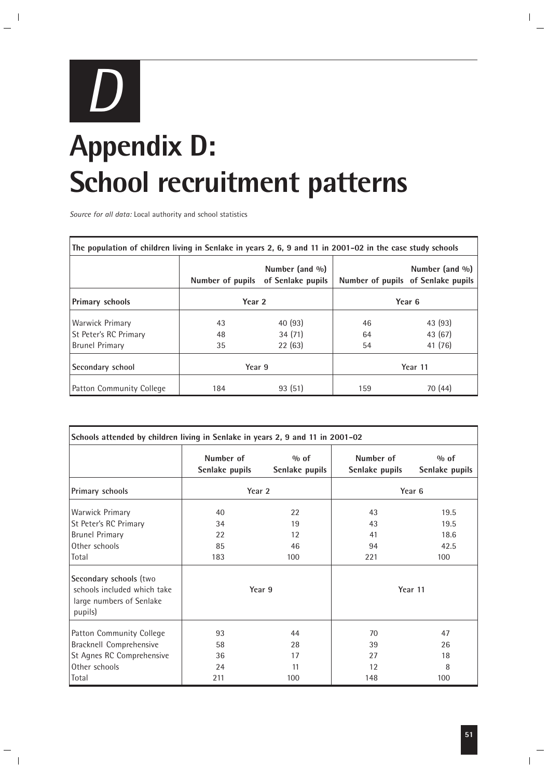

# **Appendix D: School recruitment patterns**

*Source for all data:* Local authority and school statistics

| The population of children living in Senlake in years 2, 6, 9 and 11 in 2001–02 in the case study schools |        |                                                          |         |                                                          |  |
|-----------------------------------------------------------------------------------------------------------|--------|----------------------------------------------------------|---------|----------------------------------------------------------|--|
|                                                                                                           |        | Number (and $\%$ )<br>Number of pupils of Senlake pupils |         | Number (and $\%$ )<br>Number of pupils of Senlake pupils |  |
| <b>Primary schools</b>                                                                                    | Year 2 |                                                          | Year 6  |                                                          |  |
| Warwick Primary                                                                                           | 43     | 40 (93)                                                  | 46      | 43 (93)                                                  |  |
| <b>St Peter's RC Primary</b>                                                                              | 48     | 34(71)                                                   | 64      | 43 (67)                                                  |  |
| <b>Brunel Primary</b>                                                                                     | 35     | 22(63)                                                   | 54      | 41 (76)                                                  |  |
| Secondary school                                                                                          | Year 9 |                                                          | Year 11 |                                                          |  |
| Patton Community College                                                                                  | 184    | 93(51)                                                   | 159     | 70 (44)                                                  |  |

| Schools attended by children living in Senlake in years 2, 9 and 11 in 2001-02                                                                              |                                       |                             |                             |                                                |
|-------------------------------------------------------------------------------------------------------------------------------------------------------------|---------------------------------------|-----------------------------|-----------------------------|------------------------------------------------|
|                                                                                                                                                             | Number of<br>Senlake pupils           | $\%$ of<br>Senlake pupils   | Number of<br>Senlake pupils | % of<br>Senlake pupils                         |
| Primary schools                                                                                                                                             | Year 2                                |                             |                             | Year 6                                         |
| <b>Warwick Primary</b><br>St Peter's RC Primary<br><b>Brunel Primary</b><br>Other schools<br>Total<br>Secondary schools (two<br>schools included which take | 40<br>34<br>22<br>85<br>183<br>Year 9 | 22<br>19<br>12<br>46<br>100 | 43<br>43<br>41<br>94<br>221 | 19.5<br>19.5<br>18.6<br>42.5<br>100<br>Year 11 |
| large numbers of Senlake<br>pupils)                                                                                                                         |                                       |                             |                             |                                                |
| Patton Community College                                                                                                                                    | 93                                    | 44                          | 70                          | 47                                             |
| Bracknell Comprehensive                                                                                                                                     | 58                                    | 28                          | 39                          | 26                                             |
| St Agnes RC Comprehensive                                                                                                                                   | 36                                    | 17                          | 27                          | 18                                             |
| Other schools                                                                                                                                               | 24                                    | 11                          | 12                          | 8                                              |
| Total                                                                                                                                                       | 211                                   | 100                         | 148                         | 100                                            |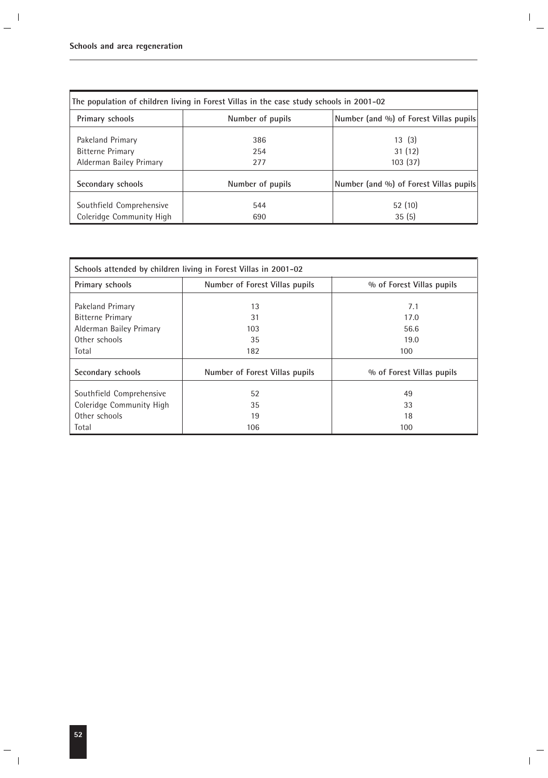|                                                      | The population of children living in Forest Villas in the case study schools in 2001–02 |                                        |
|------------------------------------------------------|-----------------------------------------------------------------------------------------|----------------------------------------|
| Primary schools                                      | Number of pupils                                                                        | Number (and %) of Forest Villas pupils |
| Pakeland Primary                                     | 386                                                                                     | 13(3)                                  |
| <b>Bitterne Primary</b>                              | 254                                                                                     | 31(12)                                 |
| Alderman Bailey Primary                              | 277                                                                                     | 103(37)                                |
| Secondary schools                                    | Number of pupils                                                                        | Number (and %) of Forest Villas pupils |
| Southfield Comprehensive<br>Coleridge Community High | 544<br>690                                                                              | 52(10)<br>35(5)                        |

|                          | Schools attended by children living in Forest Villas in 2001-02 |                           |
|--------------------------|-----------------------------------------------------------------|---------------------------|
| Primary schools          | Number of Forest Villas pupils                                  | % of Forest Villas pupils |
| Pakeland Primary         | 13                                                              | 7.1                       |
| <b>Bitterne Primary</b>  | 31                                                              | 17.0                      |
| Alderman Bailey Primary  | 103                                                             | 56.6                      |
| Other schools            | 35                                                              | 19.0                      |
| Total                    | 182                                                             | 100                       |
| Secondary schools        | Number of Forest Villas pupils                                  | % of Forest Villas pupils |
| Southfield Comprehensive | 52                                                              | 49                        |
| Coleridge Community High | 35                                                              | 33                        |
| Other schools            | 19                                                              | 18                        |
| Total                    | 106                                                             | 100                       |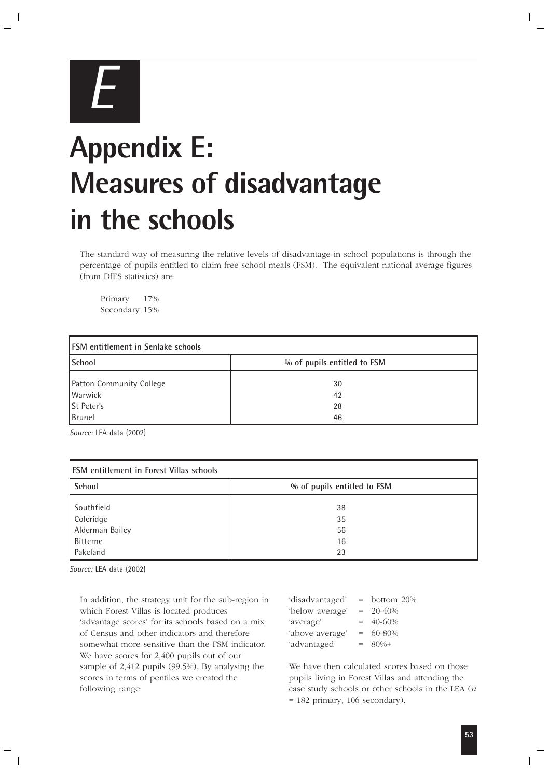

# **Appendix E: Measures of disadvantage in the schools**

The standard way of measuring the relative levels of disadvantage in school populations is through the percentage of pupils entitled to claim free school meals (FSM). The equivalent national average figures (from DfES statistics) are:

Primary 17% Secondary 15%

| <b>FSM</b> entitlement in Senlake schools |                             |
|-------------------------------------------|-----------------------------|
| School                                    | % of pupils entitled to FSM |
| Patton Community College                  | 30                          |
| Warwick                                   | 42                          |
| St Peter's                                | 28                          |
| <b>Brunel</b>                             | 46                          |

*Source:* LEA data (2002)

| FSM entitlement in Forest Villas schools |                             |
|------------------------------------------|-----------------------------|
| School                                   | % of pupils entitled to FSM |
| Southfield                               | 38                          |
| Coleridge                                | 35                          |
| Alderman Bailey                          | 56                          |
| <b>Bitterne</b>                          | 16                          |
| Pakeland                                 | 23                          |

*Source:* LEA data (2002)

In addition, the strategy unit for the sub-region in which Forest Villas is located produces 'advantage scores' for its schools based on a mix of Census and other indicators and therefore somewhat more sensitive than the FSM indicator. We have scores for 2,400 pupils out of our sample of 2,412 pupils (99.5%). By analysing the scores in terms of pentiles we created the following range:

| 'disadvantaged' | $=$ | bottom 20% |
|-----------------|-----|------------|
| 'below average' | $=$ | $20 - 40%$ |
| 'average'       | $=$ | 40-60%     |
| 'above average' | $=$ | 60-80%     |
| 'advantaged'    | $=$ | $80%+$     |

We have then calculated scores based on those pupils living in Forest Villas and attending the case study schools or other schools in the LEA (*n* = 182 primary, 106 secondary).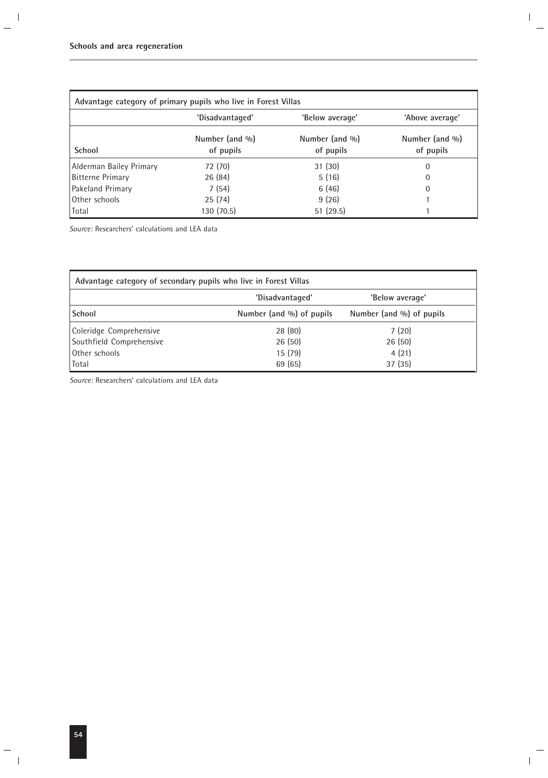| Advantage category of primary pupils who live in Forest Villas |                             |                             |                             |
|----------------------------------------------------------------|-----------------------------|-----------------------------|-----------------------------|
|                                                                | 'Disadvantaged'             | 'Below average'             | 'Above average'             |
| School                                                         | Number (and %)<br>of pupils | Number (and %)<br>of pupils | Number (and %)<br>of pupils |
| Alderman Bailey Primary                                        | 72 (70)                     | 31(30)                      | 0                           |
| <b>Bitterne Primary</b>                                        | 26(84)                      | 5(16)                       | 0                           |
| Pakeland Primary                                               | 7(54)                       | 6(46)                       | $\Omega$                    |
| Other schools                                                  | 25(74)                      | 9(26)                       |                             |
| Total                                                          | 130 (70.5)                  | 51(29.5)                    |                             |

*Source:* Researchers' calculations and LEA data

| Advantage category of secondary pupils who live in Forest Villas |                          |                          |
|------------------------------------------------------------------|--------------------------|--------------------------|
|                                                                  | 'Disadvantaged'          | 'Below average'          |
| School                                                           | Number (and %) of pupils | Number (and %) of pupils |
| Coleridge Comprehensive                                          | 28 (80)                  | 7(20)                    |
| Southfield Comprehensive                                         | 26(50)                   | 26(50)                   |
| Other schools                                                    | 15(79)                   | 4(21)                    |
| Total                                                            | 69 (65)                  | 37(35)                   |

*Source:* Researchers' calculations and LEA data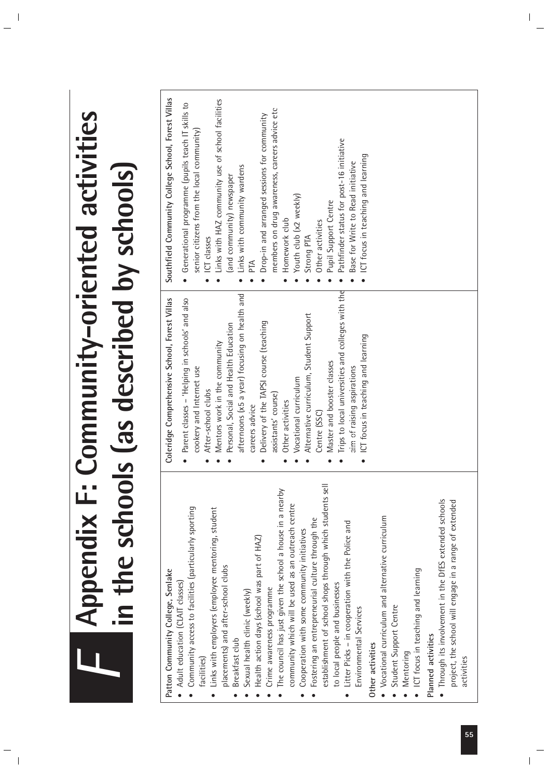| Southfield Community College School, Forest Villas<br>Links with HAZ community use of school facilities<br>Generational programme (pupils teach IT skills to<br>members on drug awareness, careers advice etc<br><b>Community-oriented activities</b><br>Drop-in and arranged sessions for community<br>senior citizens from the local community)<br>Pathfinder status for post-16 initiative<br>ICT focus in teaching and learning<br>Base for Write to Read initiative<br>in the schools (as described by schools)<br>Links with community wardens<br>(and community) newspaper<br>Youth club (x2 weekly)<br>Pupil Support Centre<br>Homework club<br>Other activities<br>Strong PTA<br>ICT classes<br>PТA<br>Trips to local universities and colleges with the<br>afternoons (x5 a year) focusing on health and<br>Coleridge Comprehensive School, Forest Villas<br>Parent classes - 'Helping in schools' and also<br>Alternative curriculum, Student Support<br>Delivery of the TAPSI course (teaching<br>Personal, Social and Health Education<br>ICT focus in teaching and learning<br>Mentors work in the community<br>Master and booster classes<br>cookery and Internet use<br>aim of raising aspirations<br>Vocational curriculum<br>After-school clubs<br>assistants' course)<br>Other activities<br>careers advice<br>Centre (SSC)<br>establishment of school shops through which students sell<br><b>Appendix F:</b><br>The council has just given the school a house in a nearby<br>• Through its involvement in the DfES extended schools<br>community which will be used as an outreach centre<br>Community access to facilities (particularly sporting<br>Links with employers (employee mentoring, student<br>Vocational curriculum and alternative curriculum<br>Fostering an entrepreneurial culture through the<br>Litter Picks - in cooperation with the Police and<br>Cooperation with some community initiatives<br>Health action days (school was part of HAZ)<br>placements) and after-school clubs<br>ICT focus in teaching and learning<br>Patton Community College, Senlake<br>• Adult education (CLAIT classes)<br>to local people and businesses<br>Crime awareness programme<br>Sexual health clinic (weekly)<br>Student Support Centre<br>Environmental Services<br>Planned activities<br>Breakfast club<br>Other activities<br>Mentoring<br>facilities) |
|-------------------------------------------------------------------------------------------------------------------------------------------------------------------------------------------------------------------------------------------------------------------------------------------------------------------------------------------------------------------------------------------------------------------------------------------------------------------------------------------------------------------------------------------------------------------------------------------------------------------------------------------------------------------------------------------------------------------------------------------------------------------------------------------------------------------------------------------------------------------------------------------------------------------------------------------------------------------------------------------------------------------------------------------------------------------------------------------------------------------------------------------------------------------------------------------------------------------------------------------------------------------------------------------------------------------------------------------------------------------------------------------------------------------------------------------------------------------------------------------------------------------------------------------------------------------------------------------------------------------------------------------------------------------------------------------------------------------------------------------------------------------------------------------------------------------------------------------------------------------------------------------------------------------------------------------------------------------------------------------------------------------------------------------------------------------------------------------------------------------------------------------------------------------------------------------------------------------------------------------------------------------------------------------------------------------------------------------------------------------------------------------|
|-------------------------------------------------------------------------------------------------------------------------------------------------------------------------------------------------------------------------------------------------------------------------------------------------------------------------------------------------------------------------------------------------------------------------------------------------------------------------------------------------------------------------------------------------------------------------------------------------------------------------------------------------------------------------------------------------------------------------------------------------------------------------------------------------------------------------------------------------------------------------------------------------------------------------------------------------------------------------------------------------------------------------------------------------------------------------------------------------------------------------------------------------------------------------------------------------------------------------------------------------------------------------------------------------------------------------------------------------------------------------------------------------------------------------------------------------------------------------------------------------------------------------------------------------------------------------------------------------------------------------------------------------------------------------------------------------------------------------------------------------------------------------------------------------------------------------------------------------------------------------------------------------------------------------------------------------------------------------------------------------------------------------------------------------------------------------------------------------------------------------------------------------------------------------------------------------------------------------------------------------------------------------------------------------------------------------------------------------------------------------------------------|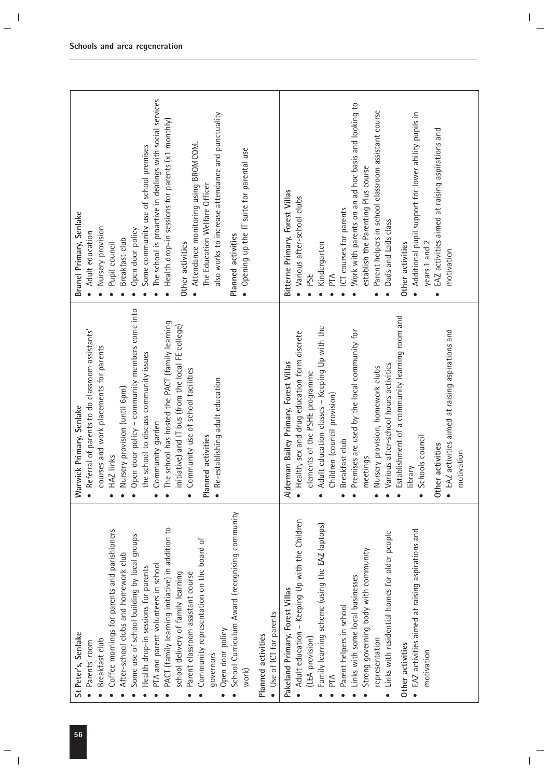| School Curriculum Award (recognising community<br>PACT (family learning initiative) in addition to<br>Coffee mornings for parents and parishioners<br>Some use of school building by local groups<br>Community representation on the board of<br>After-school clubs and homework club<br>PTA and parent volunteers in school<br>Health drop-in sessions for parents<br>Parent classroom assistant course<br>school delivery of family learning<br>Use of ICT for parents<br>Open door policy<br>St Peter's, Senlake<br>Planned activities<br>Breakfast club<br>Parents' room<br>governors<br>work) | Open door policy - community members come into<br>The school has hosted the PACT (family learning<br>initiative) and IT bus (from the local FE college)<br>Referral of parents to do classroom assistants'<br>courses and work placements for parents<br>the school to discuss community issues<br>Community use of school facilities<br>Re-establishing adult education<br>Nursery provision (until 6pm)<br>Warwick Primary, Senlake<br>Community garden<br>Planned activities<br>HAZ links<br>$\bullet$                                      | The school is proactive in dealings with social services<br>also works to increase attendance and punctuality<br>Health drop-in sessions for parents (x1 monthly)<br>Attendance monitoring using BROMCOM.<br>Some community use of school premises<br>Opening up the IT suite for parental use<br>The Education Welfare Officer<br>Brunel Primary, Senlake<br>Nursery provision<br>Open door policy<br>Adult education<br>Planned activities<br>Breakfast club<br>Other activities<br>Pupil council<br>$\bullet$ |
|----------------------------------------------------------------------------------------------------------------------------------------------------------------------------------------------------------------------------------------------------------------------------------------------------------------------------------------------------------------------------------------------------------------------------------------------------------------------------------------------------------------------------------------------------------------------------------------------------|------------------------------------------------------------------------------------------------------------------------------------------------------------------------------------------------------------------------------------------------------------------------------------------------------------------------------------------------------------------------------------------------------------------------------------------------------------------------------------------------------------------------------------------------|------------------------------------------------------------------------------------------------------------------------------------------------------------------------------------------------------------------------------------------------------------------------------------------------------------------------------------------------------------------------------------------------------------------------------------------------------------------------------------------------------------------|
| Adult education - Keeping Up with the Children<br>Family learning scheme (using the EAZ laptops)<br>EAZ activities aimed at raising aspirations and<br>Links with residential homes for older people<br>Strong governing body with community<br>Links with some local businesses<br>Pakeland Primary, Forest Villas<br>Parent helpers in school<br>(LEA provision)<br>representation<br>Other activities<br>motivation<br>PTA                                                                                                                                                                      | Establishment of a community learning room and<br>Adult education classes - Keeping Up with the<br>Premises are used by the local community for<br>• EAZ activities aimed at raising aspirations and<br>• Health, sex and drug education form discrete<br>Alderman Bailey Primary, Forest Villas<br>Various after-school hours activities<br>Nursery provision, homework clubs<br>elements of the PSHE programme<br>Children (council provision)<br>Schools council<br>Breakfast club<br>Other activities<br>motivation<br>meetings<br>library | Work with parents on an ad hoc basis and looking to<br>Parent helpers in school classroom assistant course<br>Additional pupil support for lower ability pupils in<br>EAZ activities aimed at raising aspirations and<br>establish the Parenting Plus course<br>Bitterne Primary, Forest Villas<br>• Various after-school clubs<br>ICT courses for parents<br>Dads and Lads class<br>years 1 and 2<br>Kindergarten<br>Other activities<br>motivation<br>PSE<br>PTA<br>$\bullet$                                  |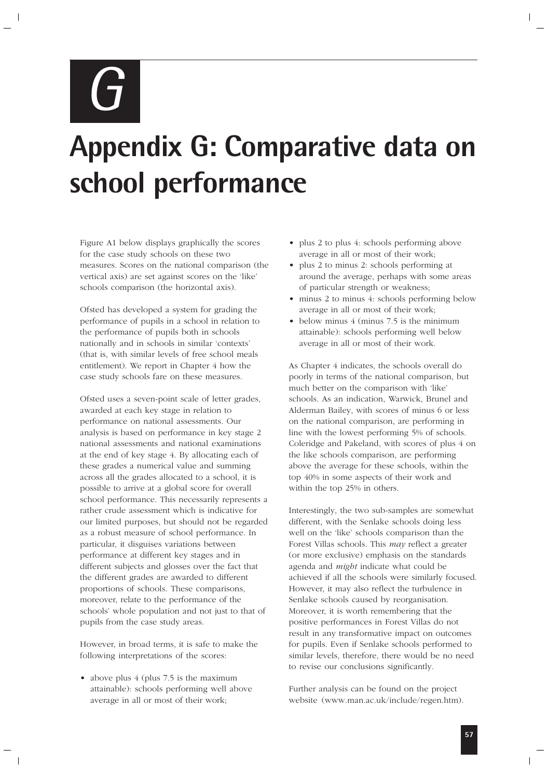*G*

# **Appendix G: Comparative data on school performance**

Figure A1 below displays graphically the scores for the case study schools on these two measures. Scores on the national comparison (the vertical axis) are set against scores on the 'like' schools comparison (the horizontal axis).

Ofsted has developed a system for grading the performance of pupils in a school in relation to the performance of pupils both in schools nationally and in schools in similar 'contexts' (that is, with similar levels of free school meals entitlement). We report in Chapter 4 how the case study schools fare on these measures.

Ofsted uses a seven-point scale of letter grades, awarded at each key stage in relation to performance on national assessments. Our analysis is based on performance in key stage 2 national assessments and national examinations at the end of key stage 4. By allocating each of these grades a numerical value and summing across all the grades allocated to a school, it is possible to arrive at a global score for overall school performance. This necessarily represents a rather crude assessment which is indicative for our limited purposes, but should not be regarded as a robust measure of school performance. In particular, it disguises variations between performance at different key stages and in different subjects and glosses over the fact that the different grades are awarded to different proportions of schools. These comparisons, moreover, relate to the performance of the schools' whole population and not just to that of pupils from the case study areas.

However, in broad terms, it is safe to make the following interpretations of the scores:

• above plus 4 (plus 7.5 is the maximum attainable): schools performing well above average in all or most of their work;

- plus 2 to plus 4: schools performing above average in all or most of their work;
- plus 2 to minus 2: schools performing at around the average, perhaps with some areas of particular strength or weakness;
- minus 2 to minus 4: schools performing below average in all or most of their work;
- below minus 4 (minus 7.5 is the minimum attainable): schools performing well below average in all or most of their work.

As Chapter 4 indicates, the schools overall do poorly in terms of the national comparison, but much better on the comparison with 'like' schools. As an indication, Warwick, Brunel and Alderman Bailey, with scores of minus 6 or less on the national comparison, are performing in line with the lowest performing 5% of schools. Coleridge and Pakeland, with scores of plus 4 on the like schools comparison, are performing above the average for these schools, within the top 40% in some aspects of their work and within the top 25% in others.

Interestingly, the two sub-samples are somewhat different, with the Senlake schools doing less well on the 'like' schools comparison than the Forest Villas schools. This *may* reflect a greater (or more exclusive) emphasis on the standards agenda and *might* indicate what could be achieved if all the schools were similarly focused. However, it may also reflect the turbulence in Senlake schools caused by reorganisation. Moreover, it is worth remembering that the positive performances in Forest Villas do not result in any transformative impact on outcomes for pupils. Even if Senlake schools performed to similar levels, therefore, there would be no need to revise our conclusions significantly.

Further analysis can be found on the project website (www.man.ac.uk/include/regen.htm).